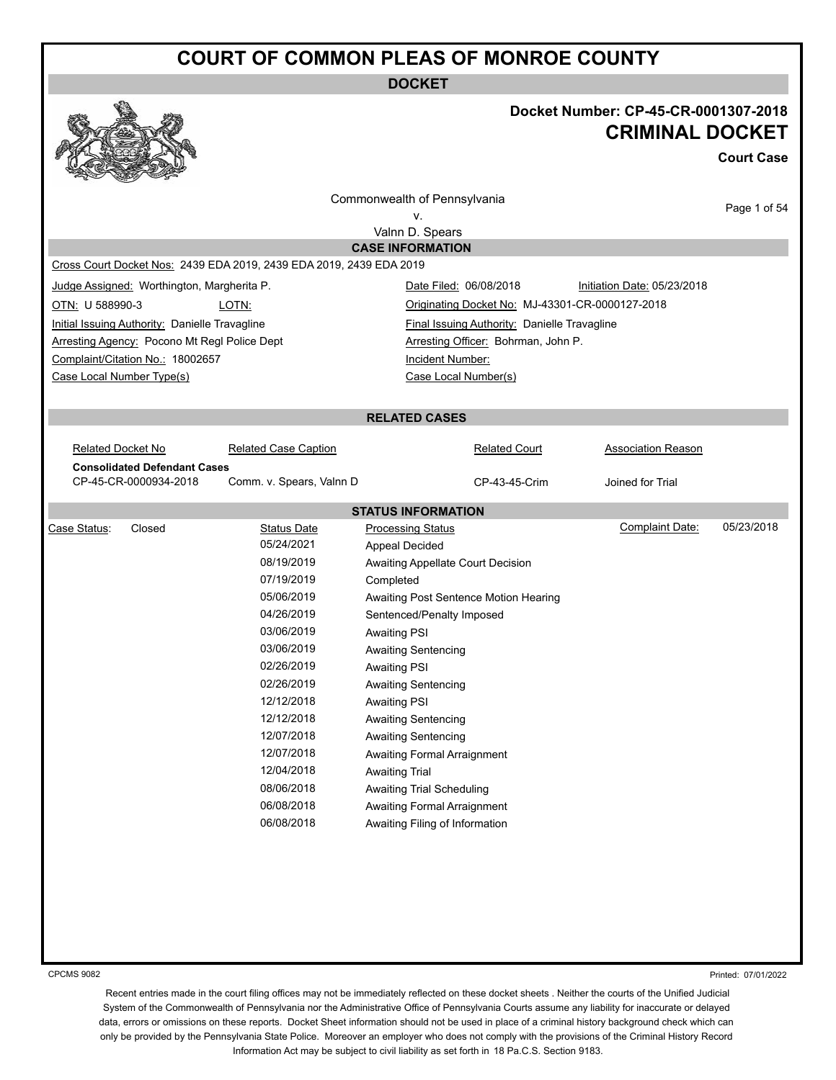**DOCKET**

#### **Docket Number: CP-45-CR-0001307-2018 CRIMINAL DOCKET**

**Court Case**

| w                         | <b>Contract of the Contract of the Contract of the Contract of the Contract of the Contract of the Contract of the Contract of The Contract of The Contract of The Contract of The Contract of The Contract of The Contract of T</b><br>$-2$ |                                                                     |                                                     |                             |              |
|---------------------------|----------------------------------------------------------------------------------------------------------------------------------------------------------------------------------------------------------------------------------------------|---------------------------------------------------------------------|-----------------------------------------------------|-----------------------------|--------------|
|                           |                                                                                                                                                                                                                                              |                                                                     | Commonwealth of Pennsylvania                        |                             |              |
|                           |                                                                                                                                                                                                                                              |                                                                     | v.                                                  |                             | Page 1 of 54 |
|                           |                                                                                                                                                                                                                                              |                                                                     | Valnn D. Spears                                     |                             |              |
|                           |                                                                                                                                                                                                                                              |                                                                     | <b>CASE INFORMATION</b>                             |                             |              |
|                           |                                                                                                                                                                                                                                              | Cross Court Docket Nos: 2439 EDA 2019, 2439 EDA 2019, 2439 EDA 2019 |                                                     |                             |              |
|                           | Judge Assigned: Worthington, Margherita P.                                                                                                                                                                                                   |                                                                     | Date Filed: 06/08/2018                              | Initiation Date: 05/23/2018 |              |
| OTN: U 588990-3           |                                                                                                                                                                                                                                              | LOTN:                                                               | Originating Docket No: MJ-43301-CR-0000127-2018     |                             |              |
|                           | Initial Issuing Authority: Danielle Travagline                                                                                                                                                                                               |                                                                     | <b>Final Issuing Authority: Danielle Travagline</b> |                             |              |
|                           | Arresting Agency: Pocono Mt Regl Police Dept                                                                                                                                                                                                 |                                                                     | Arresting Officer: Bohrman, John P.                 |                             |              |
|                           | Complaint/Citation No.: 18002657                                                                                                                                                                                                             |                                                                     | Incident Number:                                    |                             |              |
| Case Local Number Type(s) |                                                                                                                                                                                                                                              |                                                                     | Case Local Number(s)                                |                             |              |
|                           |                                                                                                                                                                                                                                              |                                                                     |                                                     |                             |              |
|                           |                                                                                                                                                                                                                                              |                                                                     | <b>RELATED CASES</b>                                |                             |              |
|                           |                                                                                                                                                                                                                                              |                                                                     |                                                     |                             |              |
| <b>Related Docket No</b>  |                                                                                                                                                                                                                                              | <b>Related Case Caption</b>                                         | <b>Related Court</b>                                | <b>Association Reason</b>   |              |
|                           | <b>Consolidated Defendant Cases</b>                                                                                                                                                                                                          |                                                                     |                                                     |                             |              |
|                           | CP-45-CR-0000934-2018                                                                                                                                                                                                                        | Comm. v. Spears, Valnn D                                            | CP-43-45-Crim                                       | Joined for Trial            |              |
|                           |                                                                                                                                                                                                                                              |                                                                     | <b>STATUS INFORMATION</b>                           |                             |              |
| Case Status:              | Closed                                                                                                                                                                                                                                       | <b>Status Date</b>                                                  | <b>Processing Status</b>                            | Complaint Date:             | 05/23/2018   |
|                           |                                                                                                                                                                                                                                              | 05/24/2021                                                          | <b>Appeal Decided</b>                               |                             |              |
|                           |                                                                                                                                                                                                                                              | 08/19/2019                                                          | Awaiting Appellate Court Decision                   |                             |              |
|                           |                                                                                                                                                                                                                                              | 07/19/2019                                                          | Completed                                           |                             |              |
|                           |                                                                                                                                                                                                                                              | 05/06/2019                                                          | Awaiting Post Sentence Motion Hearing               |                             |              |
|                           |                                                                                                                                                                                                                                              | 04/26/2019                                                          | Sentenced/Penalty Imposed                           |                             |              |
|                           |                                                                                                                                                                                                                                              | 03/06/2019                                                          | <b>Awaiting PSI</b>                                 |                             |              |
|                           |                                                                                                                                                                                                                                              | 03/06/2019                                                          | <b>Awaiting Sentencing</b>                          |                             |              |
|                           |                                                                                                                                                                                                                                              | 02/26/2019                                                          | <b>Awaiting PSI</b>                                 |                             |              |
|                           |                                                                                                                                                                                                                                              | 02/26/2019                                                          | <b>Awaiting Sentencing</b>                          |                             |              |
|                           |                                                                                                                                                                                                                                              | 12/12/2018                                                          | <b>Awaiting PSI</b>                                 |                             |              |
|                           |                                                                                                                                                                                                                                              | 12/12/2018                                                          | Awaiting Sentencing                                 |                             |              |
|                           |                                                                                                                                                                                                                                              | 12/07/2018                                                          | <b>Awaiting Sentencing</b>                          |                             |              |
|                           |                                                                                                                                                                                                                                              | 12/07/2018                                                          | Awaiting Formal Arraignment                         |                             |              |
|                           |                                                                                                                                                                                                                                              | 12/04/2018                                                          | <b>Awaiting Trial</b>                               |                             |              |
|                           |                                                                                                                                                                                                                                              | 08/06/2018                                                          | Awaiting Trial Scheduling                           |                             |              |
|                           |                                                                                                                                                                                                                                              | 06/08/2018                                                          | Awaiting Formal Arraignment                         |                             |              |
|                           |                                                                                                                                                                                                                                              | 06/08/2018                                                          | Awaiting Filing of Information                      |                             |              |
|                           |                                                                                                                                                                                                                                              |                                                                     |                                                     |                             |              |
|                           |                                                                                                                                                                                                                                              |                                                                     |                                                     |                             |              |
|                           |                                                                                                                                                                                                                                              |                                                                     |                                                     |                             |              |
|                           |                                                                                                                                                                                                                                              |                                                                     |                                                     |                             |              |
|                           |                                                                                                                                                                                                                                              |                                                                     |                                                     |                             |              |
|                           |                                                                                                                                                                                                                                              |                                                                     |                                                     |                             |              |

CPCMS 9082

Printed: 07/01/2022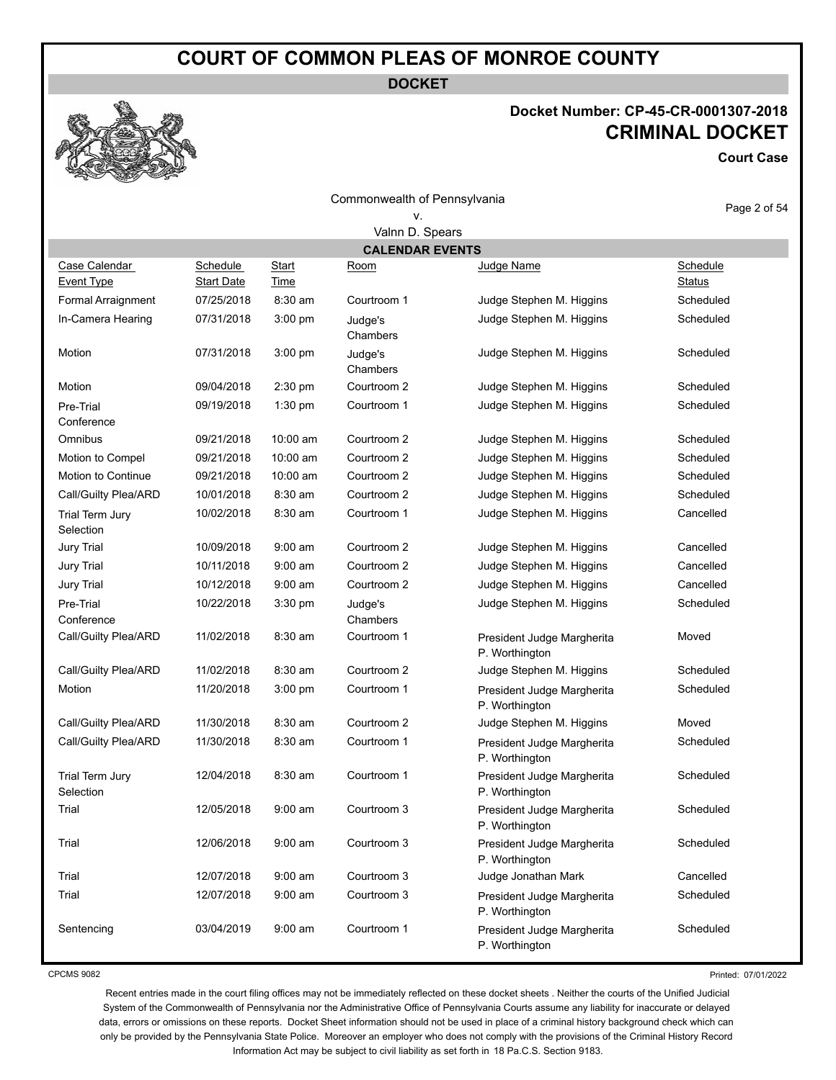**DOCKET**

#### **Docket Number: CP-45-CR-0001307-2018 CRIMINAL DOCKET**

**Court Case**

| Commonwealth of Pennsylvania       |                               |                      |                                |                                              | Page 2 of 54              |  |  |  |
|------------------------------------|-------------------------------|----------------------|--------------------------------|----------------------------------------------|---------------------------|--|--|--|
|                                    |                               |                      | ٧.                             |                                              |                           |  |  |  |
|                                    | Valnn D. Spears               |                      |                                |                                              |                           |  |  |  |
| Case Calendar<br><b>Event Type</b> | Schedule<br><b>Start Date</b> | <b>Start</b><br>Time | <b>CALENDAR EVENTS</b><br>Room | Judge Name                                   | Schedule<br><b>Status</b> |  |  |  |
| Formal Arraignment                 | 07/25/2018                    | 8:30 am              | Courtroom 1                    | Judge Stephen M. Higgins                     | Scheduled                 |  |  |  |
| In-Camera Hearing                  | 07/31/2018                    | 3:00 pm              | Judge's<br>Chambers            | Judge Stephen M. Higgins                     | Scheduled                 |  |  |  |
| Motion                             | 07/31/2018                    | 3:00 pm              | Judge's<br>Chambers            | Judge Stephen M. Higgins                     | Scheduled                 |  |  |  |
| Motion                             | 09/04/2018                    | 2:30 pm              | Courtroom 2                    | Judge Stephen M. Higgins                     | Scheduled                 |  |  |  |
| Pre-Trial<br>Conference            | 09/19/2018                    | 1:30 pm              | Courtroom 1                    | Judge Stephen M. Higgins                     | Scheduled                 |  |  |  |
| Omnibus                            | 09/21/2018                    | 10:00 am             | Courtroom 2                    | Judge Stephen M. Higgins                     | Scheduled                 |  |  |  |
| Motion to Compel                   | 09/21/2018                    | 10:00 am             | Courtroom 2                    | Judge Stephen M. Higgins                     | Scheduled                 |  |  |  |
| Motion to Continue                 | 09/21/2018                    | 10:00 am             | Courtroom 2                    | Judge Stephen M. Higgins                     | Scheduled                 |  |  |  |
| Call/Guilty Plea/ARD               | 10/01/2018                    | $8:30$ am            | Courtroom 2                    | Judge Stephen M. Higgins                     | Scheduled                 |  |  |  |
| Trial Term Jury<br>Selection       | 10/02/2018                    | 8:30 am              | Courtroom 1                    | Judge Stephen M. Higgins                     | Cancelled                 |  |  |  |
| <b>Jury Trial</b>                  | 10/09/2018                    | 9:00 am              | Courtroom 2                    | Judge Stephen M. Higgins                     | Cancelled                 |  |  |  |
| <b>Jury Trial</b>                  | 10/11/2018                    | $9:00$ am            | Courtroom 2                    | Judge Stephen M. Higgins                     | Cancelled                 |  |  |  |
| Jury Trial                         | 10/12/2018                    | $9:00$ am            | Courtroom 2                    | Judge Stephen M. Higgins                     | Cancelled                 |  |  |  |
| Pre-Trial<br>Conference            | 10/22/2018                    | 3:30 pm              | Judge's<br>Chambers            | Judge Stephen M. Higgins                     | Scheduled                 |  |  |  |
| Call/Guilty Plea/ARD               | 11/02/2018                    | 8:30 am              | Courtroom 1                    | President Judge Margherita<br>P. Worthington | Moved                     |  |  |  |
| Call/Guilty Plea/ARD               | 11/02/2018                    | 8:30 am              | Courtroom 2                    | Judge Stephen M. Higgins                     | Scheduled                 |  |  |  |
| Motion                             | 11/20/2018                    | 3:00 pm              | Courtroom 1                    | President Judge Margherita<br>P. Worthington | Scheduled                 |  |  |  |
| Call/Guilty Plea/ARD               | 11/30/2018                    | 8:30 am              | Courtroom 2                    | Judge Stephen M. Higgins                     | Moved                     |  |  |  |
| Call/Guilty Plea/ARD               | 11/30/2018                    | 8:30 am              | Courtroom 1                    | President Judge Margherita<br>P. Worthington | Scheduled                 |  |  |  |
| Trial Term Jury<br>Selection       | 12/04/2018                    | $8:30$ am            | Courtroom 1                    | President Judge Margherita<br>P. Worthington | Scheduled                 |  |  |  |
| Trial                              | 12/05/2018                    | 9:00 am              | Courtroom 3                    | President Judge Margherita<br>P. Worthington | Scheduled                 |  |  |  |
| Trial                              | 12/06/2018                    | $9:00$ am            | Courtroom 3                    | President Judge Margherita<br>P. Worthington | Scheduled                 |  |  |  |
| Trial                              | 12/07/2018                    | $9:00$ am            | Courtroom 3                    | Judge Jonathan Mark                          | Cancelled                 |  |  |  |
| Trial                              | 12/07/2018                    | $9:00$ am            | Courtroom 3                    | President Judge Margherita<br>P. Worthington | Scheduled                 |  |  |  |
| Sentencing                         | 03/04/2019                    | $9:00$ am            | Courtroom 1                    | President Judge Margherita<br>P. Worthington | Scheduled                 |  |  |  |

CPCMS 9082

Printed: 07/01/2022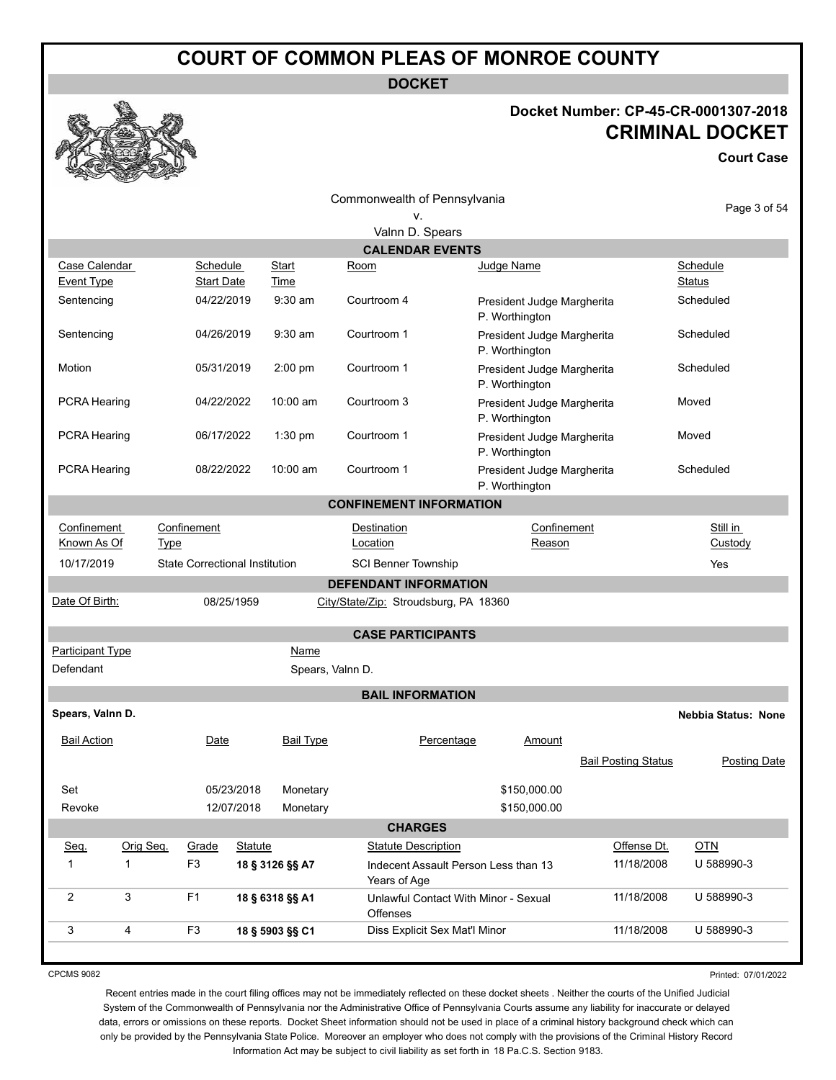**DOCKET**

#### **Docket Number: CP-45-CR-0001307-2018 CRIMINAL DOCKET**

**Court Case**



| Commonwealth of Pennsylvania       |                                       |               |                                       |                                              |                           |  |  |
|------------------------------------|---------------------------------------|---------------|---------------------------------------|----------------------------------------------|---------------------------|--|--|
|                                    |                                       |               | v.<br>Valnn D. Spears                 |                                              |                           |  |  |
|                                    |                                       |               | <b>CALENDAR EVENTS</b>                |                                              |                           |  |  |
| Case Calendar<br><b>Event Type</b> | Schedule<br><b>Start Date</b>         | Start<br>Time | Room                                  | Judge Name                                   | Schedule<br><b>Status</b> |  |  |
| Sentencing                         | 04/22/2019                            | $9:30$ am     | Courtroom 4                           | President Judge Margherita<br>P. Worthington | Scheduled                 |  |  |
| Sentencing                         | 04/26/2019                            | $9:30$ am     | Courtroom 1                           | President Judge Margherita<br>P. Worthington | Scheduled                 |  |  |
| Motion                             | 05/31/2019                            | $2:00$ pm     | Courtroom 1                           | President Judge Margherita<br>P. Worthington | Scheduled                 |  |  |
| <b>PCRA Hearing</b>                | 04/22/2022                            | 10:00 am      | Courtroom 3                           | President Judge Margherita<br>P. Worthington | Moved                     |  |  |
| <b>PCRA Hearing</b>                | 06/17/2022                            | $1:30$ pm     | Courtroom 1                           | President Judge Margherita<br>P. Worthington | Moved                     |  |  |
| PCRA Hearing                       | 08/22/2022                            | 10:00 am      | Courtroom 1                           | President Judge Margherita<br>P. Worthington | Scheduled                 |  |  |
| <b>CONFINEMENT INFORMATION</b>     |                                       |               |                                       |                                              |                           |  |  |
| Confinement<br>Known As Of         | Confinement<br><b>Type</b>            |               | <b>Destination</b><br>Location        | Confinement<br>Reason                        | Still in<br>Custody       |  |  |
| 10/17/2019                         | <b>State Correctional Institution</b> |               | <b>SCI Benner Township</b>            |                                              | Yes                       |  |  |
| <b>DEFENDANT INFORMATION</b>       |                                       |               |                                       |                                              |                           |  |  |
| Date Of Birth:                     | 08/25/1959                            |               | City/State/Zip: Stroudsburg, PA 18360 |                                              |                           |  |  |
|                                    |                                       |               | <b>CASE PARTICIPANTS</b>              |                                              |                           |  |  |
| <b>Participant Type</b>            |                                       | Name          |                                       |                                              |                           |  |  |
| Defendant                          |                                       |               | Spears, Valnn D.                      |                                              |                           |  |  |
|                                    |                                       |               | <b>BAIL INFORMATION</b>               |                                              |                           |  |  |

**Spears, Valnn D. Nebbia Status: None**

| <b>Bail Action</b> |           | Date           |            | <b>Bail Type</b> | Percentage                                              | Amount       |                            |              |
|--------------------|-----------|----------------|------------|------------------|---------------------------------------------------------|--------------|----------------------------|--------------|
|                    |           |                |            |                  |                                                         |              | <b>Bail Posting Status</b> | Posting Date |
| Set                |           |                | 05/23/2018 | Monetary         |                                                         | \$150,000.00 |                            |              |
| Revoke             |           |                | 12/07/2018 | Monetary         |                                                         | \$150,000.00 |                            |              |
|                    |           |                |            |                  | <b>CHARGES</b>                                          |              |                            |              |
| Seq.               | Orig Seg. | Grade          | Statute    |                  | <b>Statute Description</b>                              |              | Offense Dt.                | <b>OTN</b>   |
|                    |           | F <sub>3</sub> |            | 18 § 3126 §§ A7  | Indecent Assault Person Less than 13<br>Years of Age    |              | 11/18/2008                 | U 588990-3   |
| $\overline{2}$     | 3         | F <sub>1</sub> |            | 18 § 6318 §§ A1  | Unlawful Contact With Minor - Sexual<br><b>Offenses</b> |              | 11/18/2008                 | U 588990-3   |
| 3                  | 4         | F <sub>3</sub> |            | 18 § 5903 §§ C1  | Diss Explicit Sex Mat'l Minor                           |              | 11/18/2008                 | U 588990-3   |
|                    |           |                |            |                  |                                                         |              |                            |              |

CPCMS 9082

Printed: 07/01/2022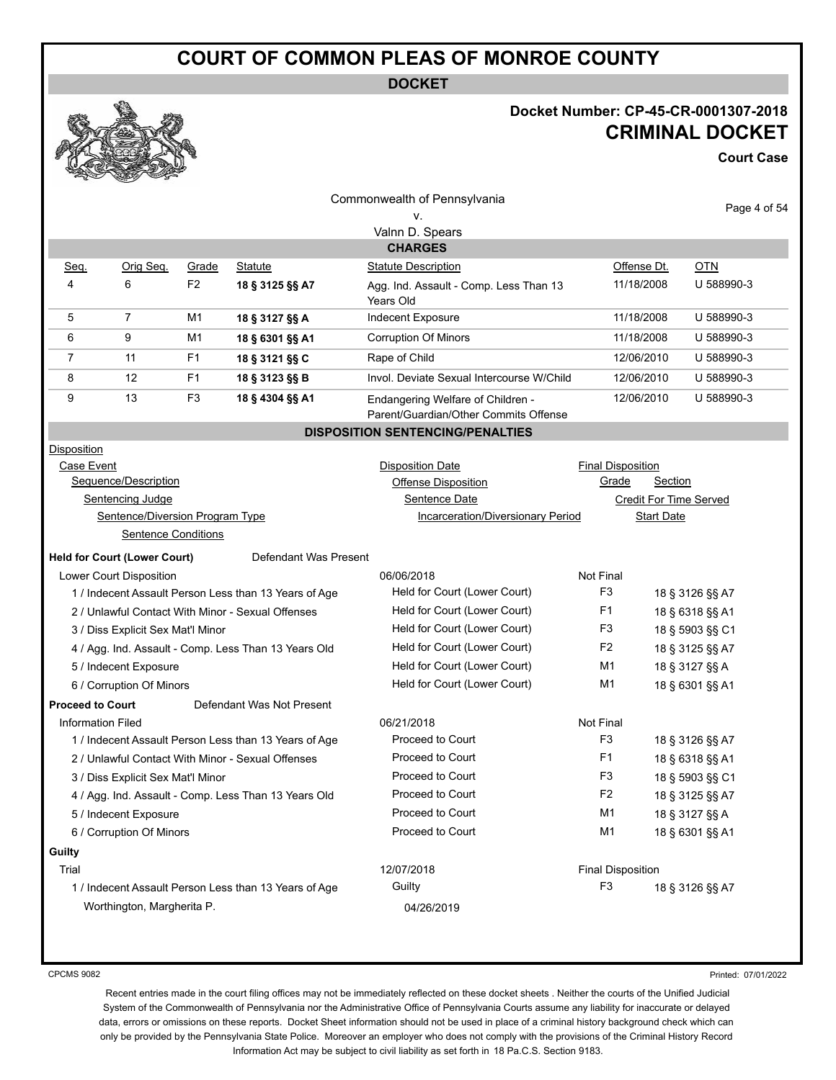**DOCKET**

#### **Docket Number: CP-45-CR-0001307-2018 CRIMINAL DOCKET**

**Court Case**

|                                   | <b>STERN</b><br><b>Contraction</b>  |                |                                                       |                                                                            |                          |                   |                          |
|-----------------------------------|-------------------------------------|----------------|-------------------------------------------------------|----------------------------------------------------------------------------|--------------------------|-------------------|--------------------------|
|                                   |                                     |                |                                                       | Commonwealth of Pennsylvania                                               |                          |                   | Page 4 of 54             |
|                                   |                                     |                |                                                       | ۷.                                                                         |                          |                   |                          |
|                                   |                                     |                |                                                       | Valnn D. Spears                                                            |                          |                   |                          |
|                                   |                                     |                |                                                       | <b>CHARGES</b>                                                             |                          |                   |                          |
| Seq.                              | Orig Seg.                           | Grade          | <b>Statute</b>                                        | <b>Statute Description</b>                                                 |                          | Offense Dt.       | <u>OTN</u><br>U 588990-3 |
| 4                                 | 6                                   | F <sub>2</sub> | 18 § 3125 §§ A7                                       | Agg. Ind. Assault - Comp. Less Than 13<br>Years Old                        |                          | 11/18/2008        |                          |
| 5                                 | $\overline{7}$                      | M1             | 18 § 3127 §§ A                                        | Indecent Exposure                                                          |                          | 11/18/2008        | U 588990-3               |
| 6                                 | 9                                   | M1             | 18 § 6301 §§ A1                                       | Corruption Of Minors                                                       |                          | 11/18/2008        | U 588990-3               |
| $\overline{7}$                    | 11                                  | F <sub>1</sub> | 18 § 3121 §§ C                                        | Rape of Child                                                              |                          | 12/06/2010        | U 588990-3               |
| 8                                 | 12                                  | F <sub>1</sub> | 18 § 3123 §§ B                                        | Invol. Deviate Sexual Intercourse W/Child                                  |                          | 12/06/2010        | U 588990-3               |
| 9                                 | 13                                  | F3             | 18 § 4304 §§ A1                                       | Endangering Welfare of Children -<br>Parent/Guardian/Other Commits Offense |                          | 12/06/2010        | U 588990-3               |
|                                   |                                     |                |                                                       | <b>DISPOSITION SENTENCING/PENALTIES</b>                                    |                          |                   |                          |
| Disposition                       |                                     |                |                                                       |                                                                            |                          |                   |                          |
| Case Event                        |                                     |                |                                                       | <b>Disposition Date</b>                                                    | <b>Final Disposition</b> |                   |                          |
|                                   | Sequence/Description                |                |                                                       | Offense Disposition                                                        | Grade                    | <b>Section</b>    |                          |
|                                   | Sentencing Judge                    |                |                                                       | Sentence Date                                                              |                          |                   | Credit For Time Served   |
|                                   | Sentence/Diversion Program Type     |                |                                                       | Incarceration/Diversionary Period                                          |                          | <b>Start Date</b> |                          |
|                                   | Sentence Conditions                 |                |                                                       |                                                                            |                          |                   |                          |
|                                   | <b>Held for Court (Lower Court)</b> |                | Defendant Was Present                                 |                                                                            |                          |                   |                          |
|                                   | Lower Court Disposition             |                |                                                       | 06/06/2018                                                                 | Not Final                |                   |                          |
|                                   |                                     |                | 1 / Indecent Assault Person Less than 13 Years of Age | Held for Court (Lower Court)                                               | F3                       |                   | 18 § 3126 §§ A7          |
|                                   |                                     |                | 2 / Unlawful Contact With Minor - Sexual Offenses     | Held for Court (Lower Court)                                               | F1                       |                   | 18 § 6318 §§ A1          |
| 3 / Diss Explicit Sex Mat'l Minor |                                     |                |                                                       | Held for Court (Lower Court)                                               | F3                       |                   | 18 § 5903 §§ C1          |
|                                   |                                     |                | 4 / Agg. Ind. Assault - Comp. Less Than 13 Years Old  | Held for Court (Lower Court)                                               | F <sub>2</sub>           |                   | 18 § 3125 §§ A7          |
|                                   | 5 / Indecent Exposure               |                |                                                       | Held for Court (Lower Court)                                               | M1                       |                   | 18 § 3127 §§ A           |
|                                   | 6 / Corruption Of Minors            |                |                                                       | Held for Court (Lower Court)                                               | M1                       |                   | 18 § 6301 §§ A1          |
| <b>Proceed to Court</b>           |                                     |                | Defendant Was Not Present                             |                                                                            |                          |                   |                          |
| <b>Information Filed</b>          |                                     |                |                                                       | 06/21/2018                                                                 | Not Final                |                   |                          |
|                                   |                                     |                | 1 / Indecent Assault Person Less than 13 Years of Age | Proceed to Court                                                           | F <sub>3</sub>           |                   | 18 § 3126 §§ A7          |
|                                   |                                     |                | 2 / Unlawful Contact With Minor - Sexual Offenses     | Proceed to Court                                                           | F1                       |                   | 18 § 6318 §§ A1          |
|                                   | 3 / Diss Explicit Sex Mat'l Minor   |                |                                                       | Proceed to Court                                                           | F3                       |                   | 18 § 5903 §§ C1          |
|                                   |                                     |                | 4 / Agg. Ind. Assault - Comp. Less Than 13 Years Old  | Proceed to Court                                                           | F <sub>2</sub>           |                   | 18 § 3125 §§ A7          |
|                                   | 5 / Indecent Exposure               |                |                                                       | Proceed to Court                                                           | M <sub>1</sub>           |                   | 18 § 3127 §§ A           |
|                                   | 6 / Corruption Of Minors            |                |                                                       | Proceed to Court                                                           | M <sub>1</sub>           |                   | 18 § 6301 §§ A1          |
| Guilty                            |                                     |                |                                                       |                                                                            |                          |                   |                          |
| Trial                             |                                     |                |                                                       | 12/07/2018                                                                 | <b>Final Disposition</b> |                   |                          |
|                                   |                                     |                | 1 / Indecent Assault Person Less than 13 Years of Age | Guilty                                                                     | F <sub>3</sub>           |                   | 18 § 3126 §§ A7          |
|                                   | Worthington, Margherita P.          |                |                                                       | 04/26/2019                                                                 |                          |                   |                          |

CPCMS 9082

Printed: 07/01/2022

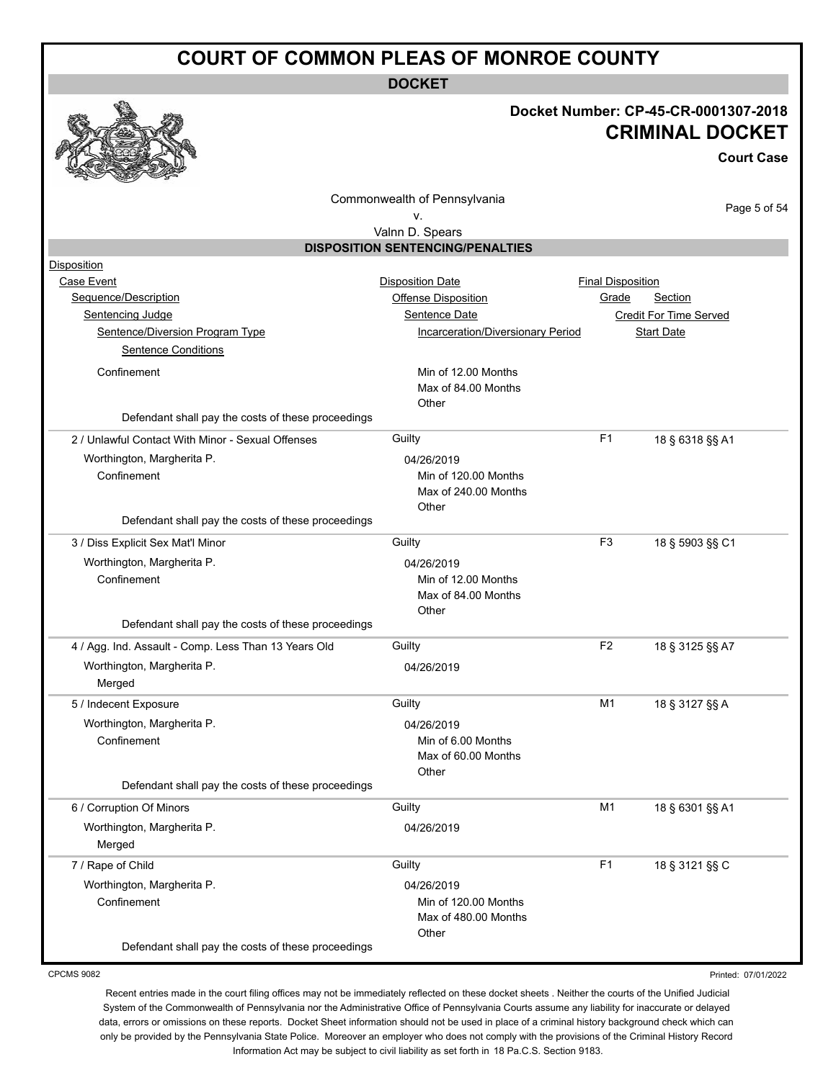**DOCKET**

#### **Docket Number: CP-45-CR-0001307-2018 CRIMINAL DOCKET**

**Court Case**

|                                                                                                                                        | Commonwealth of Pennsylvania<br>٧.                                                                          |                                   |                                                               | Page 5 of 54 |
|----------------------------------------------------------------------------------------------------------------------------------------|-------------------------------------------------------------------------------------------------------------|-----------------------------------|---------------------------------------------------------------|--------------|
|                                                                                                                                        | Valnn D. Spears                                                                                             |                                   |                                                               |              |
|                                                                                                                                        | <b>DISPOSITION SENTENCING/PENALTIES</b>                                                                     |                                   |                                                               |              |
| Disposition<br>Case Event<br>Sequence/Description<br>Sentencing Judge<br>Sentence/Diversion Program Type<br><b>Sentence Conditions</b> | <b>Disposition Date</b><br><b>Offense Disposition</b><br>Sentence Date<br>Incarceration/Diversionary Period | <b>Final Disposition</b><br>Grade | Section<br><b>Credit For Time Served</b><br><b>Start Date</b> |              |
| Confinement<br>Defendant shall pay the costs of these proceedings                                                                      | Min of 12.00 Months<br>Max of 84.00 Months<br>Other                                                         |                                   |                                                               |              |
| 2 / Unlawful Contact With Minor - Sexual Offenses                                                                                      | Guilty                                                                                                      | F <sub>1</sub>                    | 18 § 6318 §§ A1                                               |              |
| Worthington, Margherita P.<br>Confinement                                                                                              | 04/26/2019<br>Min of 120.00 Months<br>Max of 240.00 Months<br>Other                                         |                                   |                                                               |              |
| Defendant shall pay the costs of these proceedings                                                                                     |                                                                                                             |                                   |                                                               |              |
| 3 / Diss Explicit Sex Mat'l Minor<br>Worthington, Margherita P.<br>Confinement                                                         | Guilty<br>04/26/2019<br>Min of 12.00 Months<br>Max of 84.00 Months<br>Other                                 | F <sub>3</sub>                    | 18 § 5903 §§ C1                                               |              |
| Defendant shall pay the costs of these proceedings                                                                                     |                                                                                                             |                                   |                                                               |              |
| 4 / Agg. Ind. Assault - Comp. Less Than 13 Years Old<br>Worthington, Margherita P.<br>Merged                                           | Guilty<br>04/26/2019                                                                                        | F <sub>2</sub>                    | 18 § 3125 §§ A7                                               |              |
| 5 / Indecent Exposure<br>Worthington, Margherita P.<br>Confinement<br>Defendant shall pay the costs of these proceedings               | Guilty<br>04/26/2019<br>Min of 6.00 Months<br>Max of 60.00 Months<br>Other                                  | M1                                | 18 § 3127 §§ A                                                |              |
|                                                                                                                                        |                                                                                                             |                                   |                                                               |              |
| 6 / Corruption Of Minors<br>Worthington, Margherita P.<br>Merged                                                                       | Guilty<br>04/26/2019                                                                                        | M <sub>1</sub>                    | 18 § 6301 §§ A1                                               |              |
| 7 / Rape of Child<br>Worthington, Margherita P.<br>Confinement<br>Defendant shall pay the costs of these proceedings                   | Guilty<br>04/26/2019<br>Min of 120.00 Months<br>Max of 480.00 Months<br>Other                               | F <sub>1</sub>                    | 18 § 3121 §§ C                                                |              |

CPCMS 9082

Printed: 07/01/2022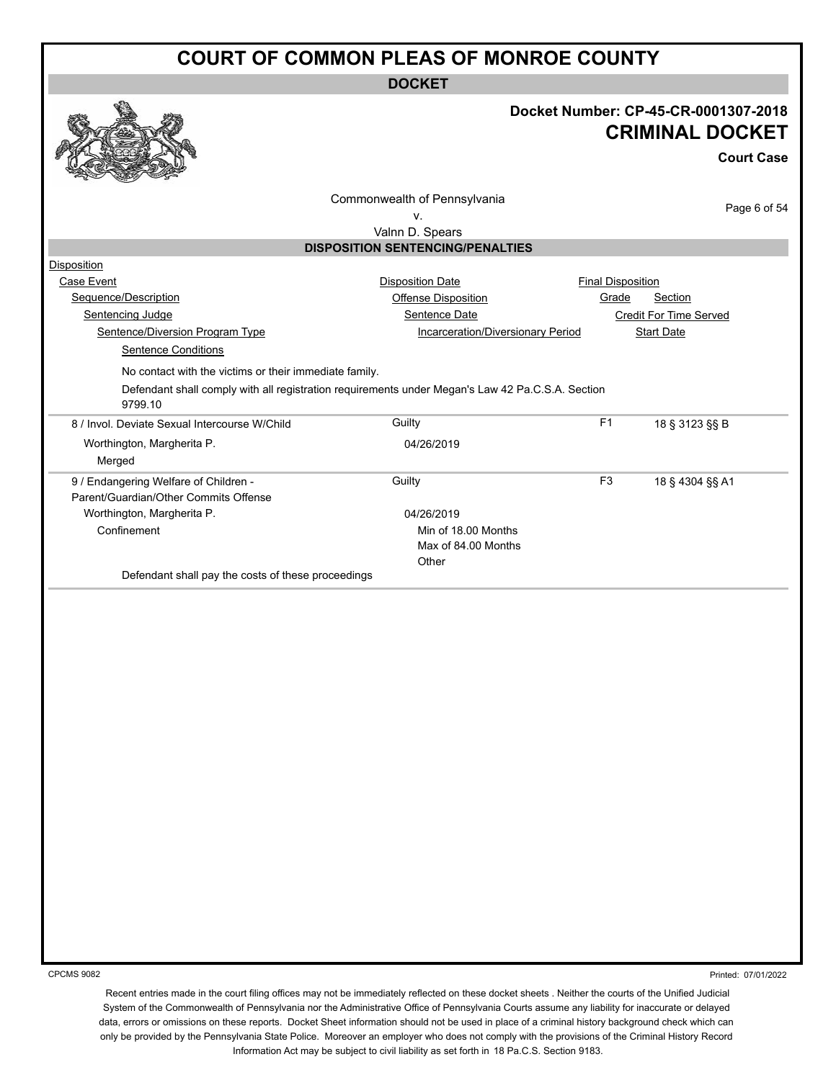**DOCKET**



#### **Docket Number: CP-45-CR-0001307-2018 CRIMINAL DOCKET**

**Court Case**

| ٧.<br>Valnn D. Spears<br><b>DISPOSITION SENTENCING/PENALTIES</b><br>Disposition<br><b>Disposition Date</b><br>Case Event<br>Sequence/Description<br>Sentencing Judge<br>Sentence/Diversion Program Type<br>Sentence Conditions<br>No contact with the victims or their immediate family.<br>Defendant shall comply with all registration requirements under Megan's Law 42 Pa.C.S.A. Section<br>9799.10<br>Guilty<br>8 / Invol. Deviate Sexual Intercourse W/Child<br>Worthington, Margherita P.<br>04/26/2019<br>Merged<br>Guilty<br>9 / Endangering Welfare of Children -<br>Parent/Guardian/Other Commits Offense<br>Worthington, Margherita P.<br>04/26/2019<br>Confinement<br>Other<br>Defendant shall pay the costs of these proceedings | <b>Final Disposition</b><br>Section<br>Grade<br>Offense Disposition<br>Sentence Date<br><b>Credit For Time Served</b><br>Incarceration/Diversionary Period<br><b>Start Date</b><br>F <sub>1</sub><br>18 § 3123 §§ B<br>F <sub>3</sub><br>18 § 4304 §§ A1<br>Min of 18.00 Months<br>Max of 84.00 Months |  |
|------------------------------------------------------------------------------------------------------------------------------------------------------------------------------------------------------------------------------------------------------------------------------------------------------------------------------------------------------------------------------------------------------------------------------------------------------------------------------------------------------------------------------------------------------------------------------------------------------------------------------------------------------------------------------------------------------------------------------------------------|--------------------------------------------------------------------------------------------------------------------------------------------------------------------------------------------------------------------------------------------------------------------------------------------------------|--|
|                                                                                                                                                                                                                                                                                                                                                                                                                                                                                                                                                                                                                                                                                                                                                |                                                                                                                                                                                                                                                                                                        |  |
|                                                                                                                                                                                                                                                                                                                                                                                                                                                                                                                                                                                                                                                                                                                                                |                                                                                                                                                                                                                                                                                                        |  |
|                                                                                                                                                                                                                                                                                                                                                                                                                                                                                                                                                                                                                                                                                                                                                |                                                                                                                                                                                                                                                                                                        |  |
|                                                                                                                                                                                                                                                                                                                                                                                                                                                                                                                                                                                                                                                                                                                                                |                                                                                                                                                                                                                                                                                                        |  |
|                                                                                                                                                                                                                                                                                                                                                                                                                                                                                                                                                                                                                                                                                                                                                |                                                                                                                                                                                                                                                                                                        |  |
|                                                                                                                                                                                                                                                                                                                                                                                                                                                                                                                                                                                                                                                                                                                                                |                                                                                                                                                                                                                                                                                                        |  |
|                                                                                                                                                                                                                                                                                                                                                                                                                                                                                                                                                                                                                                                                                                                                                |                                                                                                                                                                                                                                                                                                        |  |
|                                                                                                                                                                                                                                                                                                                                                                                                                                                                                                                                                                                                                                                                                                                                                |                                                                                                                                                                                                                                                                                                        |  |
|                                                                                                                                                                                                                                                                                                                                                                                                                                                                                                                                                                                                                                                                                                                                                |                                                                                                                                                                                                                                                                                                        |  |
|                                                                                                                                                                                                                                                                                                                                                                                                                                                                                                                                                                                                                                                                                                                                                |                                                                                                                                                                                                                                                                                                        |  |
|                                                                                                                                                                                                                                                                                                                                                                                                                                                                                                                                                                                                                                                                                                                                                |                                                                                                                                                                                                                                                                                                        |  |
|                                                                                                                                                                                                                                                                                                                                                                                                                                                                                                                                                                                                                                                                                                                                                |                                                                                                                                                                                                                                                                                                        |  |
|                                                                                                                                                                                                                                                                                                                                                                                                                                                                                                                                                                                                                                                                                                                                                |                                                                                                                                                                                                                                                                                                        |  |
|                                                                                                                                                                                                                                                                                                                                                                                                                                                                                                                                                                                                                                                                                                                                                |                                                                                                                                                                                                                                                                                                        |  |
|                                                                                                                                                                                                                                                                                                                                                                                                                                                                                                                                                                                                                                                                                                                                                |                                                                                                                                                                                                                                                                                                        |  |
|                                                                                                                                                                                                                                                                                                                                                                                                                                                                                                                                                                                                                                                                                                                                                |                                                                                                                                                                                                                                                                                                        |  |
|                                                                                                                                                                                                                                                                                                                                                                                                                                                                                                                                                                                                                                                                                                                                                |                                                                                                                                                                                                                                                                                                        |  |
|                                                                                                                                                                                                                                                                                                                                                                                                                                                                                                                                                                                                                                                                                                                                                |                                                                                                                                                                                                                                                                                                        |  |
|                                                                                                                                                                                                                                                                                                                                                                                                                                                                                                                                                                                                                                                                                                                                                |                                                                                                                                                                                                                                                                                                        |  |
|                                                                                                                                                                                                                                                                                                                                                                                                                                                                                                                                                                                                                                                                                                                                                |                                                                                                                                                                                                                                                                                                        |  |
|                                                                                                                                                                                                                                                                                                                                                                                                                                                                                                                                                                                                                                                                                                                                                |                                                                                                                                                                                                                                                                                                        |  |
|                                                                                                                                                                                                                                                                                                                                                                                                                                                                                                                                                                                                                                                                                                                                                |                                                                                                                                                                                                                                                                                                        |  |
|                                                                                                                                                                                                                                                                                                                                                                                                                                                                                                                                                                                                                                                                                                                                                |                                                                                                                                                                                                                                                                                                        |  |
|                                                                                                                                                                                                                                                                                                                                                                                                                                                                                                                                                                                                                                                                                                                                                |                                                                                                                                                                                                                                                                                                        |  |
|                                                                                                                                                                                                                                                                                                                                                                                                                                                                                                                                                                                                                                                                                                                                                |                                                                                                                                                                                                                                                                                                        |  |
|                                                                                                                                                                                                                                                                                                                                                                                                                                                                                                                                                                                                                                                                                                                                                |                                                                                                                                                                                                                                                                                                        |  |
|                                                                                                                                                                                                                                                                                                                                                                                                                                                                                                                                                                                                                                                                                                                                                |                                                                                                                                                                                                                                                                                                        |  |
|                                                                                                                                                                                                                                                                                                                                                                                                                                                                                                                                                                                                                                                                                                                                                |                                                                                                                                                                                                                                                                                                        |  |
|                                                                                                                                                                                                                                                                                                                                                                                                                                                                                                                                                                                                                                                                                                                                                |                                                                                                                                                                                                                                                                                                        |  |
|                                                                                                                                                                                                                                                                                                                                                                                                                                                                                                                                                                                                                                                                                                                                                |                                                                                                                                                                                                                                                                                                        |  |
|                                                                                                                                                                                                                                                                                                                                                                                                                                                                                                                                                                                                                                                                                                                                                |                                                                                                                                                                                                                                                                                                        |  |
|                                                                                                                                                                                                                                                                                                                                                                                                                                                                                                                                                                                                                                                                                                                                                |                                                                                                                                                                                                                                                                                                        |  |

CPCMS 9082

Printed: 07/01/2022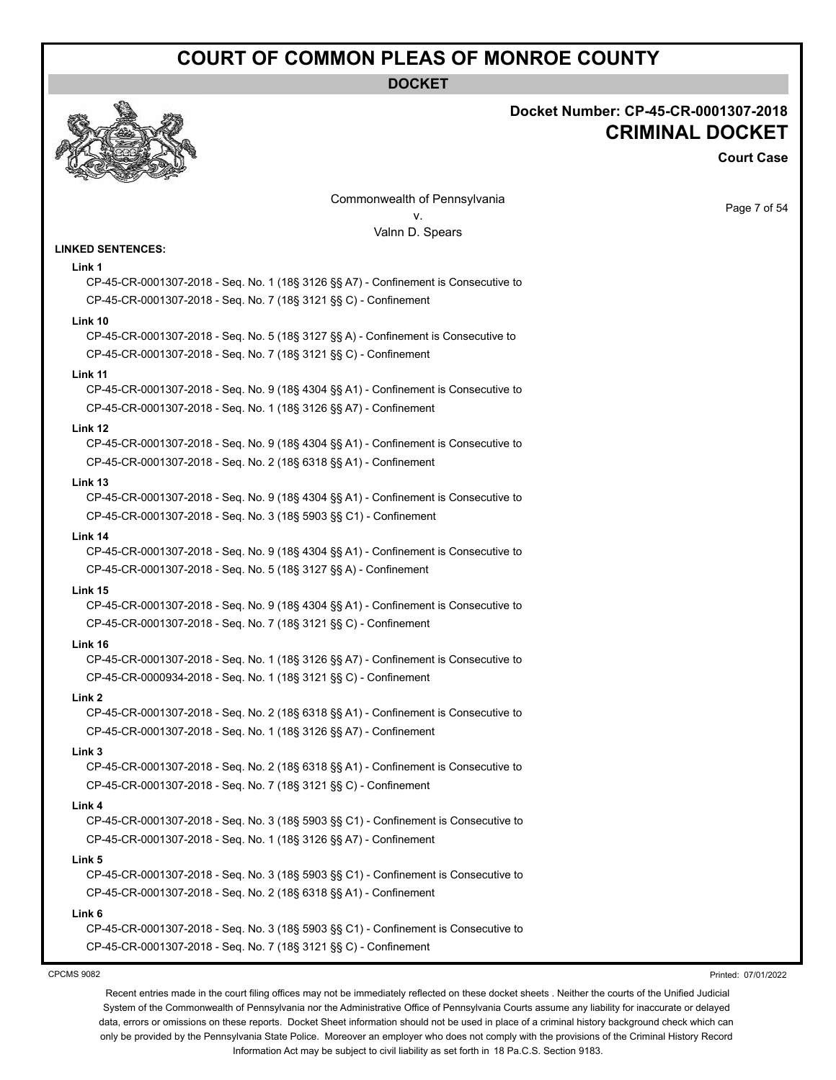**DOCKET**



#### **Docket Number: CP-45-CR-0001307-2018 CRIMINAL DOCKET**

**Court Case**

Page 7 of 54

Commonwealth of Pennsylvania v. Valnn D. Spears

#### **LINKED SENTENCES:**

#### **Link 1**

CP-45-CR-0001307-2018 - Seq. No. 1 (18§ 3126 §§ A7) - Confinement is Consecutive to CP-45-CR-0001307-2018 - Seq. No. 7 (18§ 3121 §§ C) - Confinement

#### **Link 10**

CP-45-CR-0001307-2018 - Seq. No. 5 (18§ 3127 §§ A) - Confinement is Consecutive to CP-45-CR-0001307-2018 - Seq. No. 7 (18§ 3121 §§ C) - Confinement

#### **Link 11**

CP-45-CR-0001307-2018 - Seq. No. 9 (18§ 4304 §§ A1) - Confinement is Consecutive to CP-45-CR-0001307-2018 - Seq. No. 1 (18§ 3126 §§ A7) - Confinement

#### **Link 12**

CP-45-CR-0001307-2018 - Seq. No. 9 (18§ 4304 §§ A1) - Confinement is Consecutive to CP-45-CR-0001307-2018 - Seq. No. 2 (18§ 6318 §§ A1) - Confinement

#### **Link 13**

CP-45-CR-0001307-2018 - Seq. No. 9 (18§ 4304 §§ A1) - Confinement is Consecutive to CP-45-CR-0001307-2018 - Seq. No. 3 (18§ 5903 §§ C1) - Confinement

#### **Link 14**

CP-45-CR-0001307-2018 - Seq. No. 9 (18§ 4304 §§ A1) - Confinement is Consecutive to CP-45-CR-0001307-2018 - Seq. No. 5 (18§ 3127 §§ A) - Confinement

#### **Link 15**

CP-45-CR-0001307-2018 - Seq. No. 9 (18§ 4304 §§ A1) - Confinement is Consecutive to CP-45-CR-0001307-2018 - Seq. No. 7 (18§ 3121 §§ C) - Confinement

#### **Link 16**

CP-45-CR-0001307-2018 - Seq. No. 1 (18§ 3126 §§ A7) - Confinement is Consecutive to CP-45-CR-0000934-2018 - Seq. No. 1 (18§ 3121 §§ C) - Confinement

#### **Link 2**

CP-45-CR-0001307-2018 - Seq. No. 2 (18§ 6318 §§ A1) - Confinement is Consecutive to CP-45-CR-0001307-2018 - Seq. No. 1 (18§ 3126 §§ A7) - Confinement

#### **Link 3**

CP-45-CR-0001307-2018 - Seq. No. 2 (18§ 6318 §§ A1) - Confinement is Consecutive to CP-45-CR-0001307-2018 - Seq. No. 7 (18§ 3121 §§ C) - Confinement

#### **Link 4**

CP-45-CR-0001307-2018 - Seq. No. 3 (18§ 5903 §§ C1) - Confinement is Consecutive to CP-45-CR-0001307-2018 - Seq. No. 1 (18§ 3126 §§ A7) - Confinement

#### **Link 5**

CP-45-CR-0001307-2018 - Seq. No. 3 (18§ 5903 §§ C1) - Confinement is Consecutive to CP-45-CR-0001307-2018 - Seq. No. 2 (18§ 6318 §§ A1) - Confinement

#### **Link 6**

CP-45-CR-0001307-2018 - Seq. No. 3 (18§ 5903 §§ C1) - Confinement is Consecutive to CP-45-CR-0001307-2018 - Seq. No. 7 (18§ 3121 §§ C) - Confinement

#### CPCMS 9082

Printed: 07/01/2022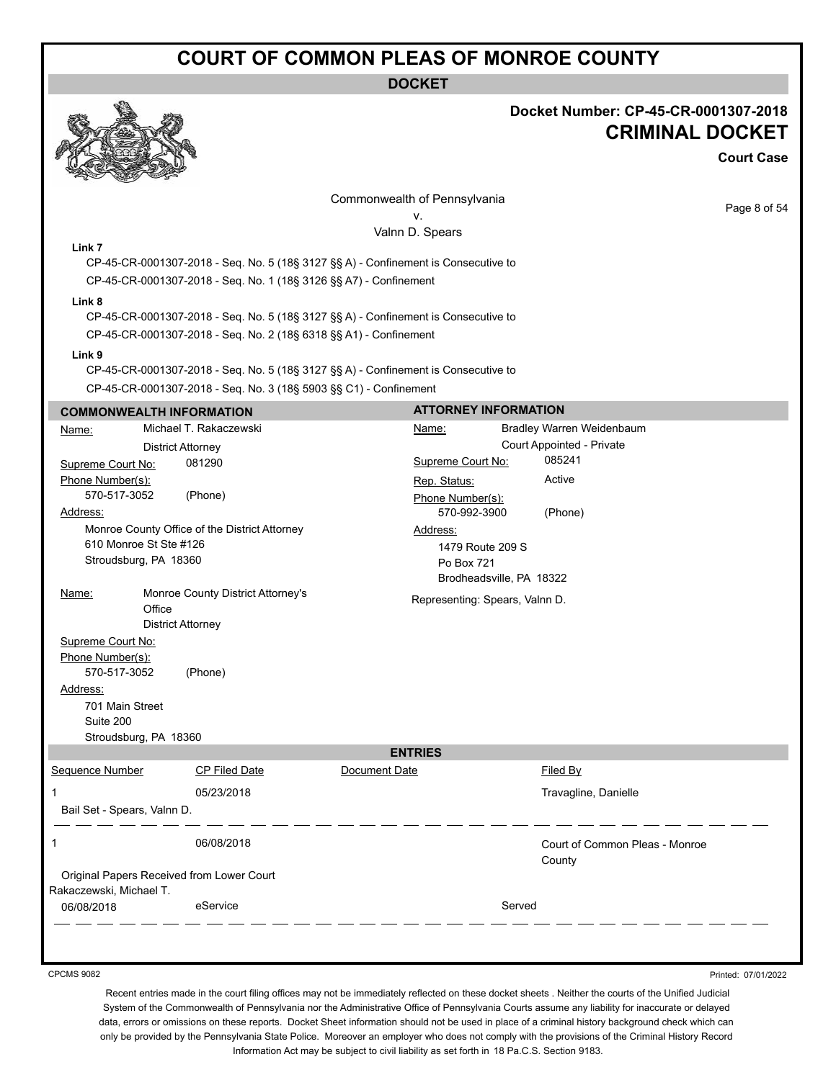**DOCKET**



#### **Docket Number: CP-45-CR-0001307-2018 CRIMINAL DOCKET**

**Court Case**

|                                                                   |                                                 |                                                                                                                                                         | Commonwealth of Pennsylvania |                                                                        |        |                                                        | Page 8 of 54 |
|-------------------------------------------------------------------|-------------------------------------------------|---------------------------------------------------------------------------------------------------------------------------------------------------------|------------------------------|------------------------------------------------------------------------|--------|--------------------------------------------------------|--------------|
|                                                                   |                                                 |                                                                                                                                                         |                              | v.<br>Valnn D. Spears                                                  |        |                                                        |              |
| Link 7                                                            |                                                 | CP-45-CR-0001307-2018 - Seq. No. 5 (18§ 3127 §§ A) - Confinement is Consecutive to<br>CP-45-CR-0001307-2018 - Seq. No. 1 (18§ 3126 §§ A7) - Confinement |                              |                                                                        |        |                                                        |              |
| Link 8                                                            |                                                 | CP-45-CR-0001307-2018 - Seq. No. 5 (18§ 3127 §§ A) - Confinement is Consecutive to<br>CP-45-CR-0001307-2018 - Seq. No. 2 (18§ 6318 §§ A1) - Confinement |                              |                                                                        |        |                                                        |              |
| Link 9                                                            |                                                 |                                                                                                                                                         |                              |                                                                        |        |                                                        |              |
|                                                                   |                                                 | CP-45-CR-0001307-2018 - Seq. No. 5 (18§ 3127 §§ A) - Confinement is Consecutive to                                                                      |                              |                                                                        |        |                                                        |              |
|                                                                   |                                                 | CP-45-CR-0001307-2018 - Seq. No. 3 (18§ 5903 §§ C1) - Confinement                                                                                       |                              |                                                                        |        |                                                        |              |
|                                                                   | <b>COMMONWEALTH INFORMATION</b>                 |                                                                                                                                                         |                              | <b>ATTORNEY INFORMATION</b>                                            |        |                                                        |              |
| Name:                                                             | <b>District Attorney</b>                        | Michael T. Rakaczewski                                                                                                                                  |                              | Name:                                                                  |        | Bradley Warren Weidenbaum<br>Court Appointed - Private |              |
| Supreme Court No:                                                 |                                                 | 081290                                                                                                                                                  |                              | Supreme Court No:                                                      |        | 085241                                                 |              |
| Phone Number(s):<br>570-517-3052<br>Address:                      |                                                 | (Phone)                                                                                                                                                 |                              | Rep. Status:<br>Phone Number(s):<br>570-992-3900                       |        | Active<br>(Phone)                                      |              |
|                                                                   | 610 Monroe St Ste #126<br>Stroudsburg, PA 18360 | Monroe County Office of the District Attorney                                                                                                           |                              | Address:<br>1479 Route 209 S<br>Po Box 721<br>Brodheadsville, PA 18322 |        |                                                        |              |
| Name:                                                             | Office<br><b>District Attorney</b>              | Monroe County District Attorney's                                                                                                                       |                              | Representing: Spears, Valnn D.                                         |        |                                                        |              |
| Supreme Court No:<br>Phone Number(s):<br>570-517-3052<br>Address: |                                                 | (Phone)                                                                                                                                                 |                              |                                                                        |        |                                                        |              |
| 701 Main Street<br>Suite 200                                      | Stroudsburg, PA 18360                           |                                                                                                                                                         |                              |                                                                        |        |                                                        |              |
|                                                                   |                                                 |                                                                                                                                                         |                              | <b>ENTRIES</b>                                                         |        |                                                        |              |
| Sequence Number                                                   |                                                 | CP Filed Date                                                                                                                                           | Document Date                |                                                                        |        | <b>Filed By</b>                                        |              |
| 1                                                                 | Bail Set - Spears, Valnn D.                     | 05/23/2018                                                                                                                                              |                              |                                                                        |        | Travagline, Danielle                                   |              |
| 1                                                                 |                                                 | 06/08/2018                                                                                                                                              |                              |                                                                        |        | Court of Common Pleas - Monroe<br>County               |              |
| Rakaczewski, Michael T.                                           |                                                 | Original Papers Received from Lower Court                                                                                                               |                              |                                                                        |        |                                                        |              |
| 06/08/2018                                                        |                                                 | eService                                                                                                                                                |                              |                                                                        | Served |                                                        |              |

CPCMS 9082

Printed: 07/01/2022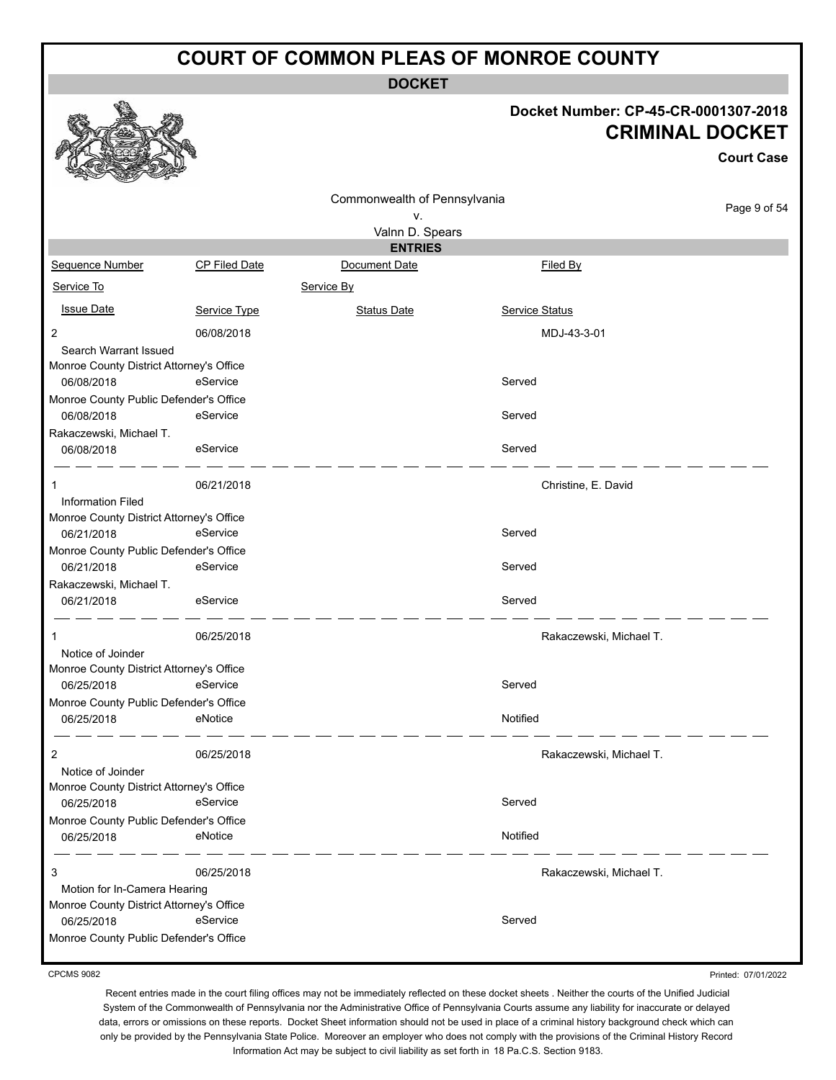**DOCKET**

#### **Docket Number: CP-45-CR-0001307-2018 CRIMINAL DOCKET**

|                                                      |               |                              | Docket Number: CP-45-CR-0001307-2018<br><b>CRIMINAL DOCKET</b> |
|------------------------------------------------------|---------------|------------------------------|----------------------------------------------------------------|
|                                                      |               |                              | <b>Court Case</b>                                              |
|                                                      |               | Commonwealth of Pennsylvania |                                                                |
|                                                      |               | ٧.                           | Page 9 of 54                                                   |
|                                                      |               | Valnn D. Spears              |                                                                |
|                                                      |               | <b>ENTRIES</b>               |                                                                |
| Sequence Number                                      | CP Filed Date | Document Date                | Filed By                                                       |
| Service To                                           |               | Service By                   |                                                                |
| <b>Issue Date</b>                                    | Service Type  | <b>Status Date</b>           | <b>Service Status</b>                                          |
| $\overline{2}$                                       | 06/08/2018    |                              | MDJ-43-3-01                                                    |
| Search Warrant Issued                                |               |                              |                                                                |
| Monroe County District Attorney's Office             |               |                              |                                                                |
| 06/08/2018                                           | eService      |                              | Served                                                         |
| Monroe County Public Defender's Office<br>06/08/2018 | eService      |                              | Served                                                         |
| Rakaczewski, Michael T.                              |               |                              |                                                                |
| 06/08/2018                                           | eService      |                              | Served                                                         |
| 1                                                    | 06/21/2018    |                              | Christine, E. David                                            |
| <b>Information Filed</b>                             |               |                              |                                                                |
| Monroe County District Attorney's Office             |               |                              |                                                                |
| 06/21/2018                                           | eService      |                              | Served                                                         |
| Monroe County Public Defender's Office<br>06/21/2018 | eService      |                              | Served                                                         |
| Rakaczewski, Michael T.                              |               |                              |                                                                |
| 06/21/2018                                           | eService      |                              | Served                                                         |
| 1                                                    | 06/25/2018    |                              | Rakaczewski, Michael T.                                        |
| Notice of Joinder                                    |               |                              |                                                                |
| Monroe County District Attorney's Office             |               |                              |                                                                |
| 06/25/2018                                           | eService      |                              | Served                                                         |
| Monroe County Public Defender's Office               |               |                              |                                                                |
| 06/25/2018                                           | eNotice       |                              | Notified                                                       |
| 2                                                    | 06/25/2018    |                              | Rakaczewski, Michael T.                                        |
| Notice of Joinder                                    |               |                              |                                                                |
| Monroe County District Attorney's Office             |               |                              |                                                                |
| 06/25/2018                                           | eService      |                              | Served                                                         |
| Monroe County Public Defender's Office               |               |                              |                                                                |
| 06/25/2018                                           | eNotice       |                              | Notified                                                       |
| 3                                                    | 06/25/2018    |                              | Rakaczewski, Michael T.                                        |
| Motion for In-Camera Hearing                         |               |                              |                                                                |
| Monroe County District Attorney's Office             |               |                              |                                                                |
| 06/25/2018                                           | eService      |                              | Served                                                         |
| Monroe County Public Defender's Office               |               |                              |                                                                |

CPCMS 9082

Printed: 07/01/2022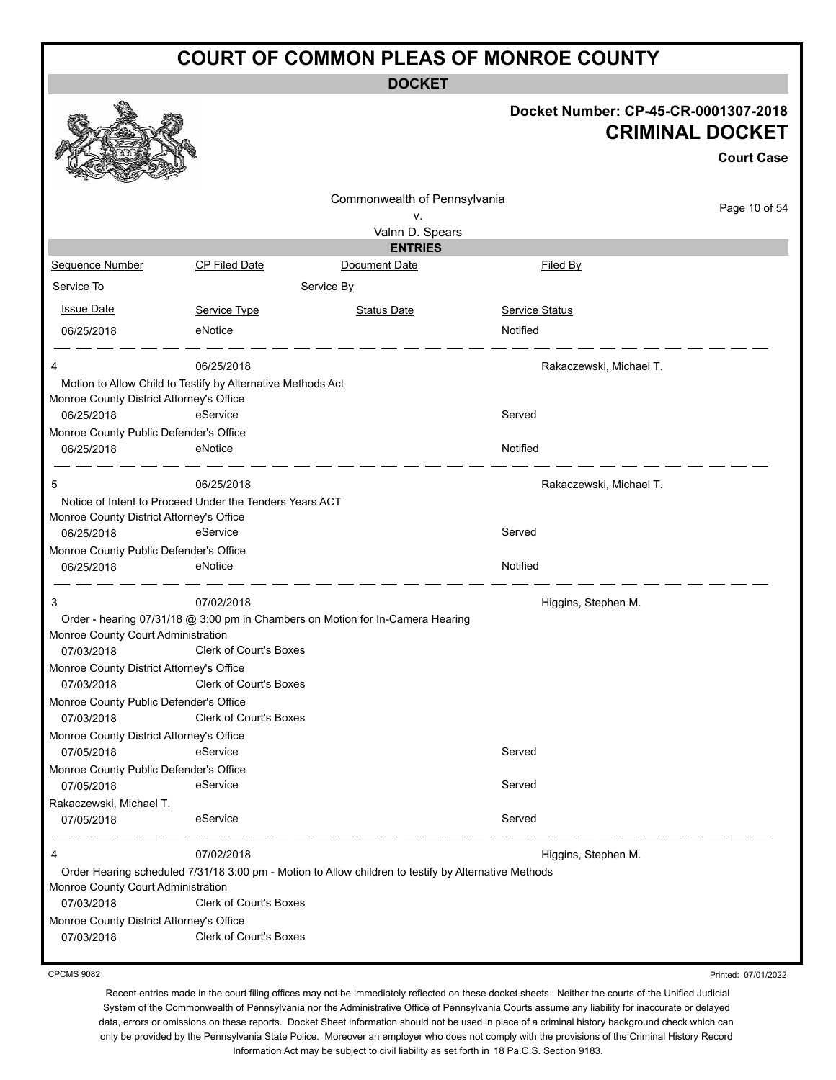**DOCKET**

#### **Docket Number: CP-45-CR-0001307-2018 CRIMINAL DOCKET**

**Court Case**

|                                          |                                                             |                                                                                                      |                         | <b>Court Case</b> |
|------------------------------------------|-------------------------------------------------------------|------------------------------------------------------------------------------------------------------|-------------------------|-------------------|
|                                          |                                                             | Commonwealth of Pennsylvania                                                                         |                         | Page 10 of 54     |
|                                          |                                                             | v.                                                                                                   |                         |                   |
|                                          |                                                             | Valnn D. Spears<br><b>ENTRIES</b>                                                                    |                         |                   |
| Sequence Number                          | <b>CP Filed Date</b>                                        | Document Date                                                                                        | <b>Filed By</b>         |                   |
| Service To                               |                                                             | Service By                                                                                           |                         |                   |
|                                          |                                                             |                                                                                                      |                         |                   |
| <b>Issue Date</b>                        | Service Type                                                | <b>Status Date</b>                                                                                   | <b>Service Status</b>   |                   |
| 06/25/2018                               | eNotice                                                     |                                                                                                      | Notified                |                   |
| 4                                        | 06/25/2018                                                  |                                                                                                      | Rakaczewski, Michael T. |                   |
|                                          | Motion to Allow Child to Testify by Alternative Methods Act |                                                                                                      |                         |                   |
| Monroe County District Attorney's Office |                                                             |                                                                                                      |                         |                   |
| 06/25/2018                               | eService                                                    |                                                                                                      | Served                  |                   |
| Monroe County Public Defender's Office   |                                                             |                                                                                                      |                         |                   |
| 06/25/2018                               | eNotice                                                     |                                                                                                      | Notified                |                   |
| 5                                        | 06/25/2018                                                  |                                                                                                      | Rakaczewski, Michael T. |                   |
|                                          | Notice of Intent to Proceed Under the Tenders Years ACT     |                                                                                                      |                         |                   |
| Monroe County District Attorney's Office |                                                             |                                                                                                      |                         |                   |
| 06/25/2018                               | eService                                                    |                                                                                                      | Served                  |                   |
| Monroe County Public Defender's Office   |                                                             |                                                                                                      |                         |                   |
| 06/25/2018                               | eNotice                                                     |                                                                                                      | Notified                |                   |
| 3                                        | 07/02/2018                                                  |                                                                                                      | Higgins, Stephen M.     |                   |
|                                          |                                                             | Order - hearing 07/31/18 @ 3:00 pm in Chambers on Motion for In-Camera Hearing                       |                         |                   |
| Monroe County Court Administration       |                                                             |                                                                                                      |                         |                   |
| 07/03/2018                               | Clerk of Court's Boxes                                      |                                                                                                      |                         |                   |
| Monroe County District Attorney's Office |                                                             |                                                                                                      |                         |                   |
| 07/03/2018                               | Clerk of Court's Boxes                                      |                                                                                                      |                         |                   |
| Monroe County Public Defender's Office   |                                                             |                                                                                                      |                         |                   |
| 07/03/2018                               | <b>Clerk of Court's Boxes</b>                               |                                                                                                      |                         |                   |
| Monroe County District Attorney's Office |                                                             |                                                                                                      |                         |                   |
| 07/05/2018                               | eService                                                    |                                                                                                      | Served                  |                   |
| Monroe County Public Defender's Office   |                                                             |                                                                                                      |                         |                   |
| 07/05/2018                               | eService                                                    |                                                                                                      | Served                  |                   |
| Rakaczewski, Michael T.                  |                                                             |                                                                                                      |                         |                   |
| 07/05/2018                               | eService                                                    |                                                                                                      | Served                  |                   |
| 4                                        | 07/02/2018                                                  |                                                                                                      | Higgins, Stephen M.     |                   |
|                                          |                                                             | Order Hearing scheduled 7/31/18 3:00 pm - Motion to Allow children to testify by Alternative Methods |                         |                   |
| Monroe County Court Administration       |                                                             |                                                                                                      |                         |                   |
| 07/03/2018                               | Clerk of Court's Boxes                                      |                                                                                                      |                         |                   |
| Monroe County District Attorney's Office |                                                             |                                                                                                      |                         |                   |
| 07/03/2018                               | <b>Clerk of Court's Boxes</b>                               |                                                                                                      |                         |                   |

CPCMS 9082

Printed: 07/01/2022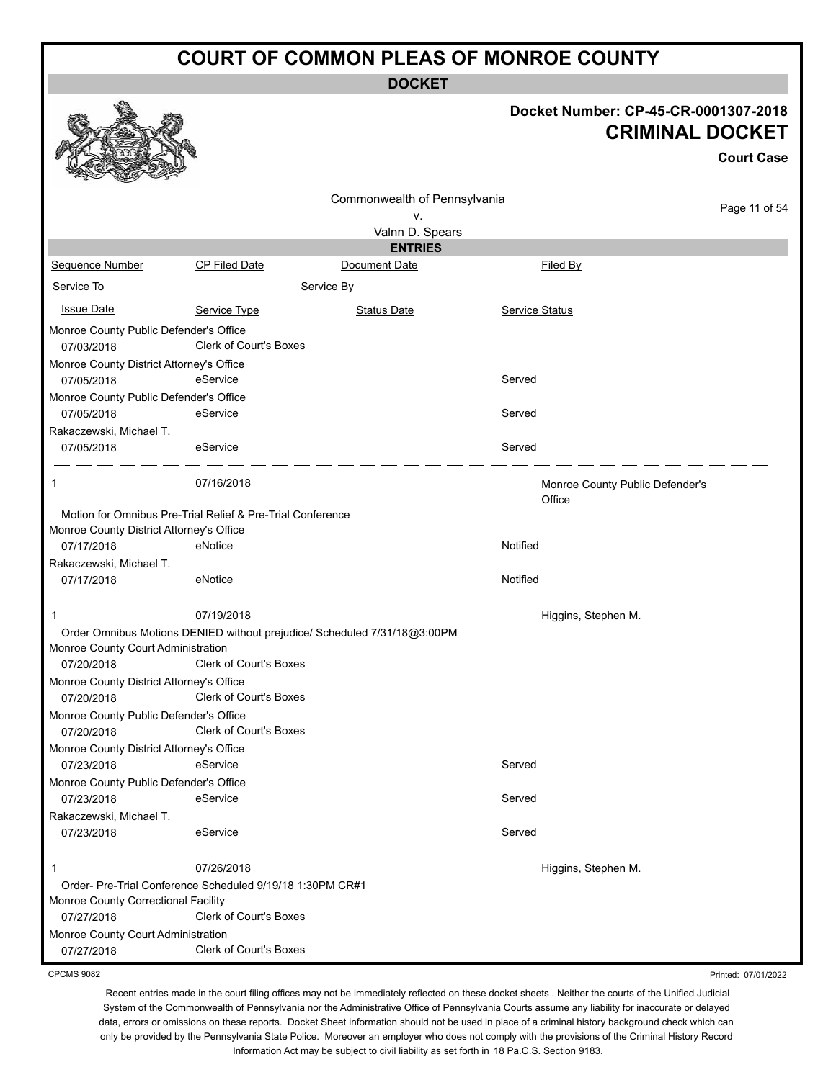**DOCKET**

#### **Docket Number: CP-45-CR-0001307-2018 CRIMINAL DOCKET**

Printed: 07/01/2022

|                                                      |                                                                          |                              |                                           | <b>CRIMINAL DOCKET</b><br><b>Court Case</b> |
|------------------------------------------------------|--------------------------------------------------------------------------|------------------------------|-------------------------------------------|---------------------------------------------|
|                                                      |                                                                          | Commonwealth of Pennsylvania |                                           |                                             |
|                                                      |                                                                          | ۷.                           |                                           | Page 11 of 54                               |
|                                                      |                                                                          | Valnn D. Spears              |                                           |                                             |
|                                                      |                                                                          | <b>ENTRIES</b>               |                                           |                                             |
| Sequence Number                                      | <b>CP Filed Date</b>                                                     | Document Date                | Filed By                                  |                                             |
| Service To                                           |                                                                          | Service By                   |                                           |                                             |
| <b>Issue Date</b>                                    | Service Type                                                             | <b>Status Date</b>           | Service Status                            |                                             |
| Monroe County Public Defender's Office               |                                                                          |                              |                                           |                                             |
| 07/03/2018                                           | Clerk of Court's Boxes                                                   |                              |                                           |                                             |
| Monroe County District Attorney's Office             |                                                                          |                              |                                           |                                             |
| 07/05/2018                                           | eService                                                                 |                              | Served                                    |                                             |
| Monroe County Public Defender's Office               |                                                                          |                              |                                           |                                             |
| 07/05/2018                                           | eService                                                                 |                              | Served                                    |                                             |
| Rakaczewski, Michael T.                              |                                                                          |                              |                                           |                                             |
| 07/05/2018                                           | eService                                                                 |                              | Served                                    |                                             |
| 1                                                    | 07/16/2018                                                               |                              | Monroe County Public Defender's<br>Office |                                             |
|                                                      | Motion for Omnibus Pre-Trial Relief & Pre-Trial Conference               |                              |                                           |                                             |
| Monroe County District Attorney's Office             |                                                                          |                              |                                           |                                             |
| 07/17/2018                                           | eNotice                                                                  |                              | Notified                                  |                                             |
| Rakaczewski, Michael T.                              |                                                                          |                              |                                           |                                             |
| 07/17/2018                                           | eNotice                                                                  |                              | Notified                                  |                                             |
| 1                                                    | 07/19/2018                                                               |                              | Higgins, Stephen M.                       |                                             |
|                                                      | Order Omnibus Motions DENIED without prejudice/ Scheduled 7/31/18@3:00PM |                              |                                           |                                             |
| Monroe County Court Administration                   |                                                                          |                              |                                           |                                             |
| 07/20/2018                                           | <b>Clerk of Court's Boxes</b>                                            |                              |                                           |                                             |
| Monroe County District Attorney's Office             |                                                                          |                              |                                           |                                             |
| 07/20/2018                                           | Clerk of Court's Boxes                                                   |                              |                                           |                                             |
| Monroe County Public Defender's Office<br>07/20/2018 | <b>Clerk of Court's Boxes</b>                                            |                              |                                           |                                             |
| Monroe County District Attorney's Office             |                                                                          |                              |                                           |                                             |
| 07/23/2018                                           | eService                                                                 |                              | Served                                    |                                             |
| Monroe County Public Defender's Office               |                                                                          |                              |                                           |                                             |
| 07/23/2018                                           | eService                                                                 |                              | Served                                    |                                             |
| Rakaczewski, Michael T.                              |                                                                          |                              |                                           |                                             |
| 07/23/2018                                           | eService                                                                 |                              | Served                                    |                                             |
| 1                                                    | 07/26/2018                                                               |                              | Higgins, Stephen M.                       |                                             |
|                                                      | Order- Pre-Trial Conference Scheduled 9/19/18 1:30PM CR#1                |                              |                                           |                                             |
| Monroe County Correctional Facility                  |                                                                          |                              |                                           |                                             |
| 07/27/2018                                           | Clerk of Court's Boxes                                                   |                              |                                           |                                             |
| Monroe County Court Administration                   |                                                                          |                              |                                           |                                             |
| 07/27/2018                                           | Clerk of Court's Boxes                                                   |                              |                                           |                                             |

CPCMS 9082

a An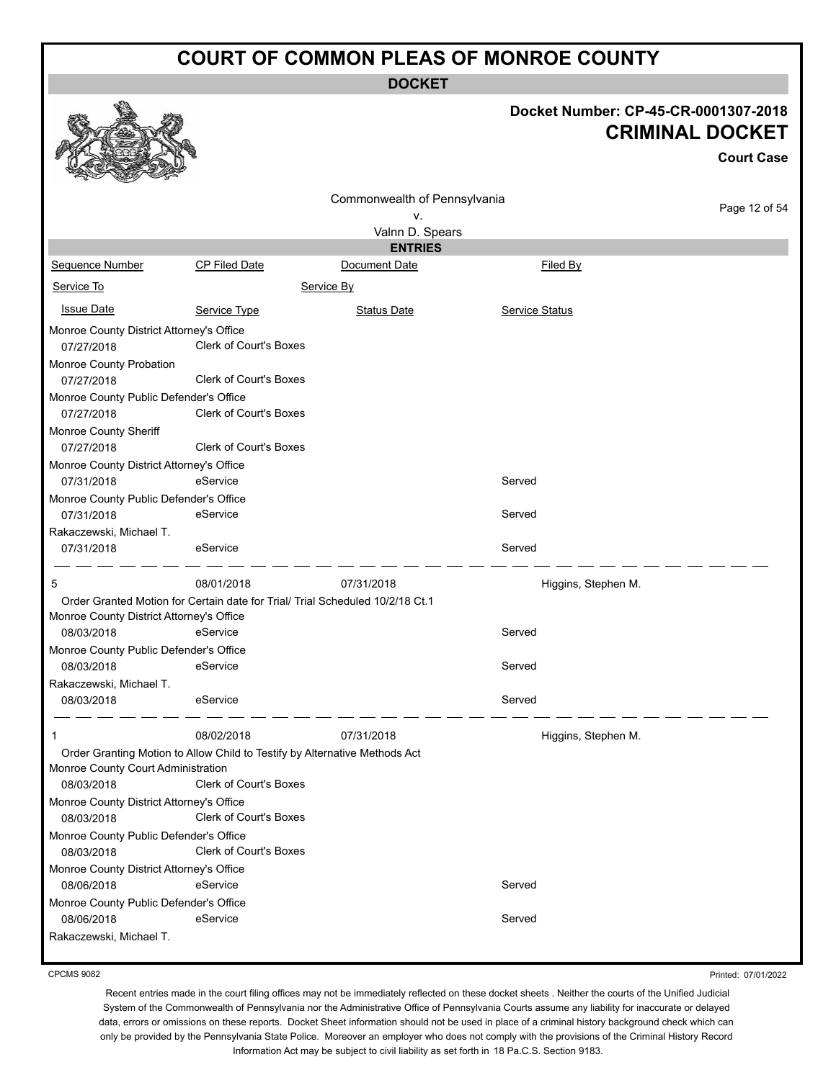**DOCKET**

## **Docket Number: CP-45-CR-0001307-2018**

|                                                      |                                                                               |                              |                 | <b>CRIMINAL DOCKET</b><br><b>Court Case</b> |
|------------------------------------------------------|-------------------------------------------------------------------------------|------------------------------|-----------------|---------------------------------------------|
|                                                      |                                                                               | Commonwealth of Pennsylvania |                 |                                             |
|                                                      |                                                                               | ٧.                           |                 | Page 12 of 54                               |
|                                                      |                                                                               | Valnn D. Spears              |                 |                                             |
|                                                      |                                                                               | <b>ENTRIES</b>               |                 |                                             |
| Sequence Number                                      | <b>CP Filed Date</b>                                                          | Document Date                | <b>Filed By</b> |                                             |
| Service To                                           |                                                                               | Service By                   |                 |                                             |
| <b>Issue Date</b>                                    | Service Type                                                                  | <b>Status Date</b>           | Service Status  |                                             |
| Monroe County District Attorney's Office             |                                                                               |                              |                 |                                             |
| 07/27/2018                                           | <b>Clerk of Court's Boxes</b>                                                 |                              |                 |                                             |
| Monroe County Probation                              |                                                                               |                              |                 |                                             |
| 07/27/2018                                           | <b>Clerk of Court's Boxes</b>                                                 |                              |                 |                                             |
| Monroe County Public Defender's Office               |                                                                               |                              |                 |                                             |
| 07/27/2018                                           | Clerk of Court's Boxes                                                        |                              |                 |                                             |
| Monroe County Sheriff                                |                                                                               |                              |                 |                                             |
| 07/27/2018                                           | Clerk of Court's Boxes                                                        |                              |                 |                                             |
| Monroe County District Attorney's Office             |                                                                               |                              |                 |                                             |
| 07/31/2018<br>Monroe County Public Defender's Office | eService                                                                      |                              | Served          |                                             |
| 07/31/2018                                           | eService                                                                      |                              | Served          |                                             |
| Rakaczewski, Michael T.                              |                                                                               |                              |                 |                                             |
| 07/31/2018                                           | eService                                                                      |                              | Served          |                                             |
| 5                                                    | 08/01/2018                                                                    | 07/31/2018                   |                 | Higgins, Stephen M.                         |
|                                                      | Order Granted Motion for Certain date for Trial/ Trial Scheduled 10/2/18 Ct.1 |                              |                 |                                             |
| Monroe County District Attorney's Office             |                                                                               |                              |                 |                                             |
| 08/03/2018                                           | eService                                                                      |                              | Served          |                                             |
| Monroe County Public Defender's Office               |                                                                               |                              |                 |                                             |
| 08/03/2018                                           | eService                                                                      |                              | Served          |                                             |
| Rakaczewski, Michael T.<br>08/03/2018                | eService                                                                      |                              | Served          |                                             |
| $\mathbf 1$                                          | 08/02/2018                                                                    | 07/31/2018                   |                 | Higgins, Stephen M.                         |
|                                                      | Order Granting Motion to Allow Child to Testify by Alternative Methods Act    |                              |                 |                                             |
| Monroe County Court Administration                   |                                                                               |                              |                 |                                             |
| 08/03/2018                                           | <b>Clerk of Court's Boxes</b>                                                 |                              |                 |                                             |
| Monroe County District Attorney's Office             |                                                                               |                              |                 |                                             |
| 08/03/2018                                           | Clerk of Court's Boxes                                                        |                              |                 |                                             |
| Monroe County Public Defender's Office               |                                                                               |                              |                 |                                             |
| 08/03/2018                                           | <b>Clerk of Court's Boxes</b>                                                 |                              |                 |                                             |
| Monroe County District Attorney's Office             |                                                                               |                              |                 |                                             |
| 08/06/2018                                           | eService                                                                      |                              | Served          |                                             |
| Monroe County Public Defender's Office               |                                                                               |                              |                 |                                             |
| 08/06/2018                                           | eService                                                                      |                              | Served          |                                             |
| Rakaczewski, Michael T.                              |                                                                               |                              |                 |                                             |

CPCMS 9082

 $\mathbb{Z}$ 

Printed: 07/01/2022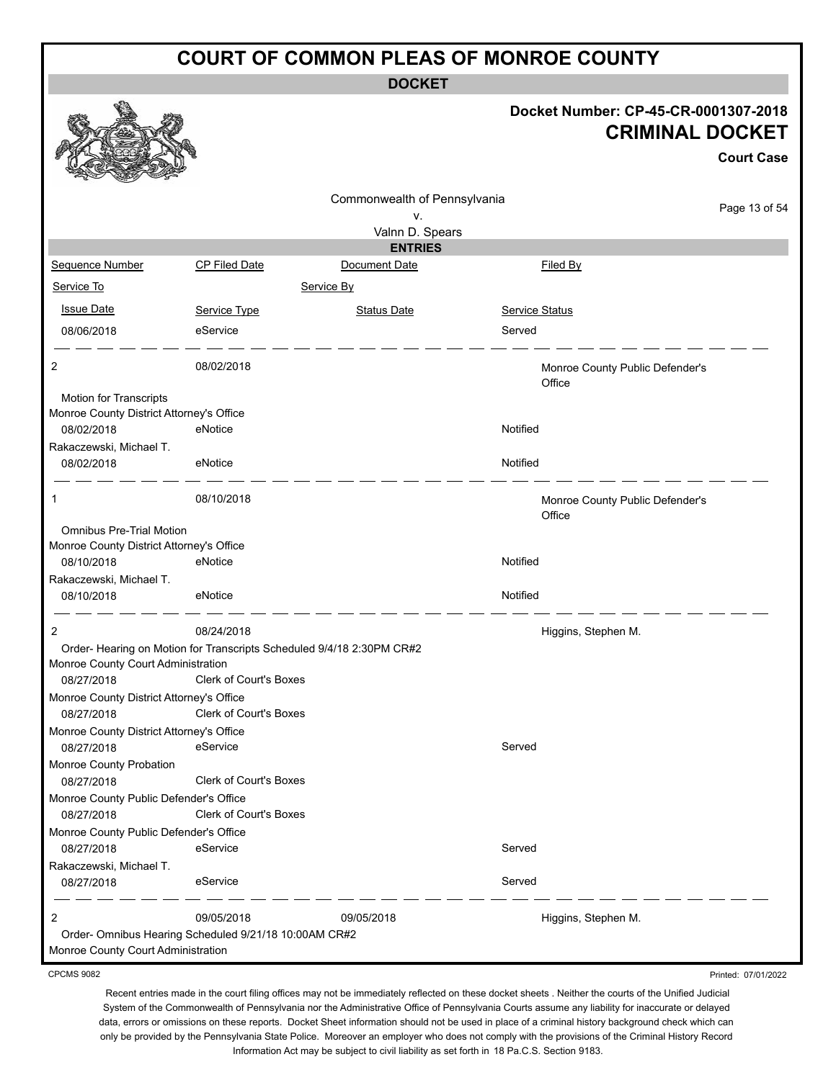**DOCKET**

#### **Docket Number: CP-45-CR-0001307-2018 CRIMINAL DOCKET**

**Court Case**

|                                                                    |                                                                      |                                   |                                           | Gourt Gase    |
|--------------------------------------------------------------------|----------------------------------------------------------------------|-----------------------------------|-------------------------------------------|---------------|
|                                                                    |                                                                      | Commonwealth of Pennsylvania      |                                           | Page 13 of 54 |
|                                                                    |                                                                      | ۷.                                |                                           |               |
|                                                                    |                                                                      | Valnn D. Spears<br><b>ENTRIES</b> |                                           |               |
| Sequence Number                                                    | CP Filed Date                                                        | Document Date                     | Filed By                                  |               |
| Service To                                                         |                                                                      | Service By                        |                                           |               |
| <b>Issue Date</b>                                                  | Service Type                                                         | <b>Status Date</b>                | Service Status                            |               |
| 08/06/2018                                                         | eService                                                             |                                   | Served                                    |               |
| 2                                                                  | 08/02/2018                                                           |                                   | Monroe County Public Defender's<br>Office |               |
| Motion for Transcripts<br>Monroe County District Attorney's Office |                                                                      |                                   |                                           |               |
| 08/02/2018                                                         | eNotice                                                              |                                   | Notified                                  |               |
| Rakaczewski, Michael T.                                            |                                                                      |                                   |                                           |               |
| 08/02/2018                                                         | eNotice                                                              |                                   | Notified                                  |               |
| 1                                                                  | 08/10/2018                                                           |                                   | Monroe County Public Defender's<br>Office |               |
| <b>Omnibus Pre-Trial Motion</b>                                    |                                                                      |                                   |                                           |               |
| Monroe County District Attorney's Office<br>08/10/2018             | eNotice                                                              |                                   | Notified                                  |               |
| Rakaczewski, Michael T.                                            |                                                                      |                                   |                                           |               |
| 08/10/2018                                                         | eNotice                                                              |                                   | Notified                                  |               |
| $\overline{2}$                                                     | 08/24/2018                                                           |                                   | Higgins, Stephen M.                       |               |
| Monroe County Court Administration                                 | Order-Hearing on Motion for Transcripts Scheduled 9/4/18 2:30PM CR#2 |                                   |                                           |               |
| 08/27/2018                                                         | Clerk of Court's Boxes                                               |                                   |                                           |               |
| Monroe County District Attorney's Office<br>08/27/2018             | <b>Clerk of Court's Boxes</b>                                        |                                   |                                           |               |
| Monroe County District Attorney's Office<br>08/27/2018             | eService                                                             |                                   | Served                                    |               |
| Monroe County Probation<br>08/27/2018                              | Clerk of Court's Boxes                                               |                                   |                                           |               |
| Monroe County Public Defender's Office<br>08/27/2018               | Clerk of Court's Boxes                                               |                                   |                                           |               |
| Monroe County Public Defender's Office                             |                                                                      |                                   |                                           |               |
| 08/27/2018                                                         | eService                                                             |                                   | Served                                    |               |
| Rakaczewski, Michael T.                                            |                                                                      |                                   |                                           |               |
| 08/27/2018                                                         | eService                                                             |                                   | Served                                    |               |
| 2<br>Monroe County Court Administration                            | 09/05/2018<br>Order- Omnibus Hearing Scheduled 9/21/18 10:00AM CR#2  | 09/05/2018                        | Higgins, Stephen M.                       |               |

CPCMS 9082

Recent entries made in the court filing offices may not be immediately reflected on these docket sheets . Neither the courts of the Unified Judicial System of the Commonwealth of Pennsylvania nor the Administrative Office of Pennsylvania Courts assume any liability for inaccurate or delayed data, errors or omissions on these reports. Docket Sheet information should not be used in place of a criminal history background check which can only be provided by the Pennsylvania State Police. Moreover an employer who does not comply with the provisions of the Criminal History Record Information Act may be subject to civil liability as set forth in 18 Pa.C.S. Section 9183.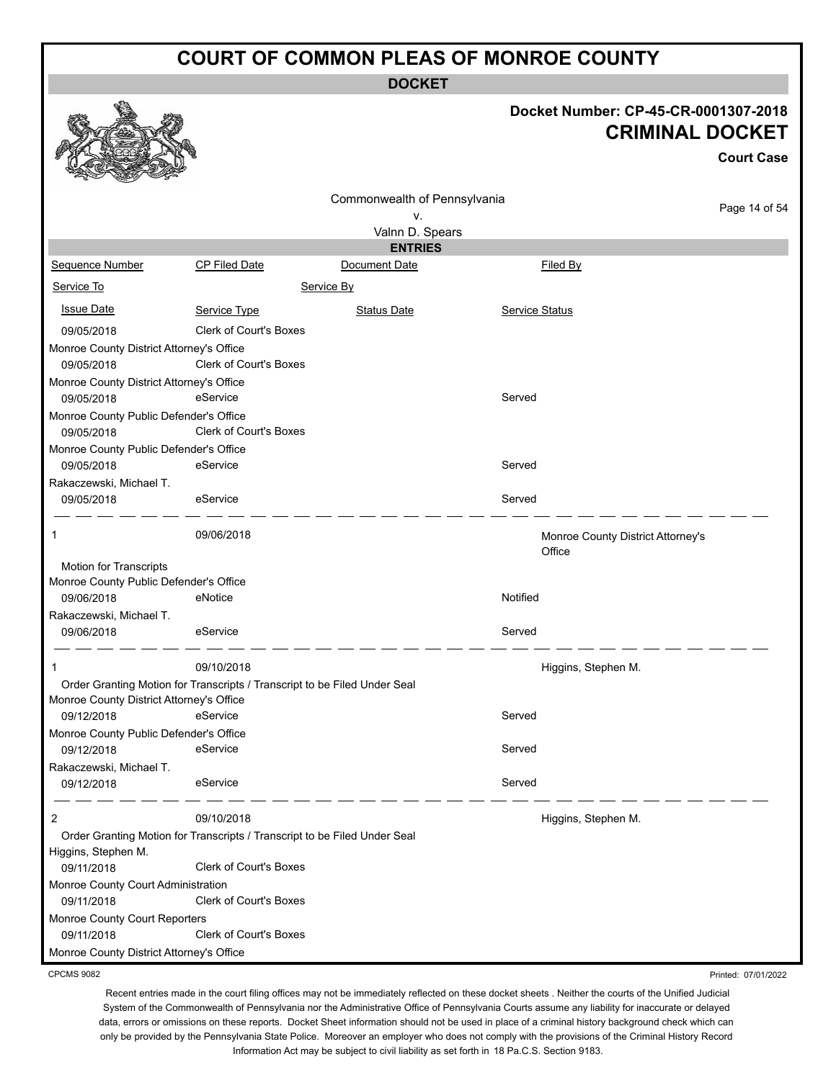**DOCKET**

#### **Docket Number: CP-45-CR-0001307-2018 CRIMINAL DOCKET**

|                                          |                                                                           |                              |          | <b>CRIMINAL DOCKET</b>                      | <b>Court Case</b> |
|------------------------------------------|---------------------------------------------------------------------------|------------------------------|----------|---------------------------------------------|-------------------|
|                                          |                                                                           | Commonwealth of Pennsylvania |          |                                             |                   |
|                                          |                                                                           | ٧.                           |          |                                             | Page 14 of 54     |
|                                          |                                                                           | Valnn D. Spears              |          |                                             |                   |
|                                          |                                                                           | <b>ENTRIES</b>               |          |                                             |                   |
| Sequence Number                          | CP Filed Date                                                             | Document Date                |          | Filed By                                    |                   |
| Service To                               |                                                                           | Service By                   |          |                                             |                   |
| <b>Issue Date</b>                        | Service Type                                                              | <b>Status Date</b>           |          | Service Status                              |                   |
| 09/05/2018                               | <b>Clerk of Court's Boxes</b>                                             |                              |          |                                             |                   |
| Monroe County District Attorney's Office |                                                                           |                              |          |                                             |                   |
| 09/05/2018                               | Clerk of Court's Boxes                                                    |                              |          |                                             |                   |
| Monroe County District Attorney's Office |                                                                           |                              |          |                                             |                   |
| 09/05/2018                               | eService                                                                  |                              | Served   |                                             |                   |
| Monroe County Public Defender's Office   |                                                                           |                              |          |                                             |                   |
| 09/05/2018                               | Clerk of Court's Boxes                                                    |                              |          |                                             |                   |
| Monroe County Public Defender's Office   |                                                                           |                              |          |                                             |                   |
| 09/05/2018                               | eService                                                                  |                              | Served   |                                             |                   |
| Rakaczewski, Michael T.                  |                                                                           |                              |          |                                             |                   |
| 09/05/2018                               | eService                                                                  |                              | Served   |                                             |                   |
| 1                                        | 09/06/2018                                                                |                              |          | Monroe County District Attorney's<br>Office |                   |
| Motion for Transcripts                   |                                                                           |                              |          |                                             |                   |
| Monroe County Public Defender's Office   |                                                                           |                              |          |                                             |                   |
| 09/06/2018                               | eNotice                                                                   |                              | Notified |                                             |                   |
| Rakaczewski, Michael T.                  |                                                                           |                              |          |                                             |                   |
| 09/06/2018                               | eService                                                                  |                              | Served   |                                             |                   |
| 1                                        | 09/10/2018                                                                |                              |          | Higgins, Stephen M.                         |                   |
|                                          | Order Granting Motion for Transcripts / Transcript to be Filed Under Seal |                              |          |                                             |                   |
| Monroe County District Attorney's Office |                                                                           |                              |          |                                             |                   |
| 09/12/2018                               | eService                                                                  |                              | Served   |                                             |                   |
| Monroe County Public Defender's Office   |                                                                           |                              |          |                                             |                   |
| 09/12/2018                               | eService                                                                  |                              | Served   |                                             |                   |
| Rakaczewski, Michael T.                  |                                                                           |                              |          |                                             |                   |
| 09/12/2018                               | eService                                                                  |                              | Served   |                                             |                   |
| 2                                        | 09/10/2018                                                                |                              |          | Higgins, Stephen M.                         |                   |
| Higgins, Stephen M.                      | Order Granting Motion for Transcripts / Transcript to be Filed Under Seal |                              |          |                                             |                   |
| 09/11/2018                               | <b>Clerk of Court's Boxes</b>                                             |                              |          |                                             |                   |
| Monroe County Court Administration       |                                                                           |                              |          |                                             |                   |
| 09/11/2018                               | <b>Clerk of Court's Boxes</b>                                             |                              |          |                                             |                   |
| Monroe County Court Reporters            |                                                                           |                              |          |                                             |                   |
| 09/11/2018                               | Clerk of Court's Boxes                                                    |                              |          |                                             |                   |
| Monroe County District Attorney's Office |                                                                           |                              |          |                                             |                   |

CPCMS 9082

**a A** a

Recent entries made in the court filing offices may not be immediately reflected on these docket sheets . Neither the courts of the Unified Judicial System of the Commonwealth of Pennsylvania nor the Administrative Office of Pennsylvania Courts assume any liability for inaccurate or delayed data, errors or omissions on these reports. Docket Sheet information should not be used in place of a criminal history background check which can only be provided by the Pennsylvania State Police. Moreover an employer who does not comply with the provisions of the Criminal History Record Information Act may be subject to civil liability as set forth in 18 Pa.C.S. Section 9183.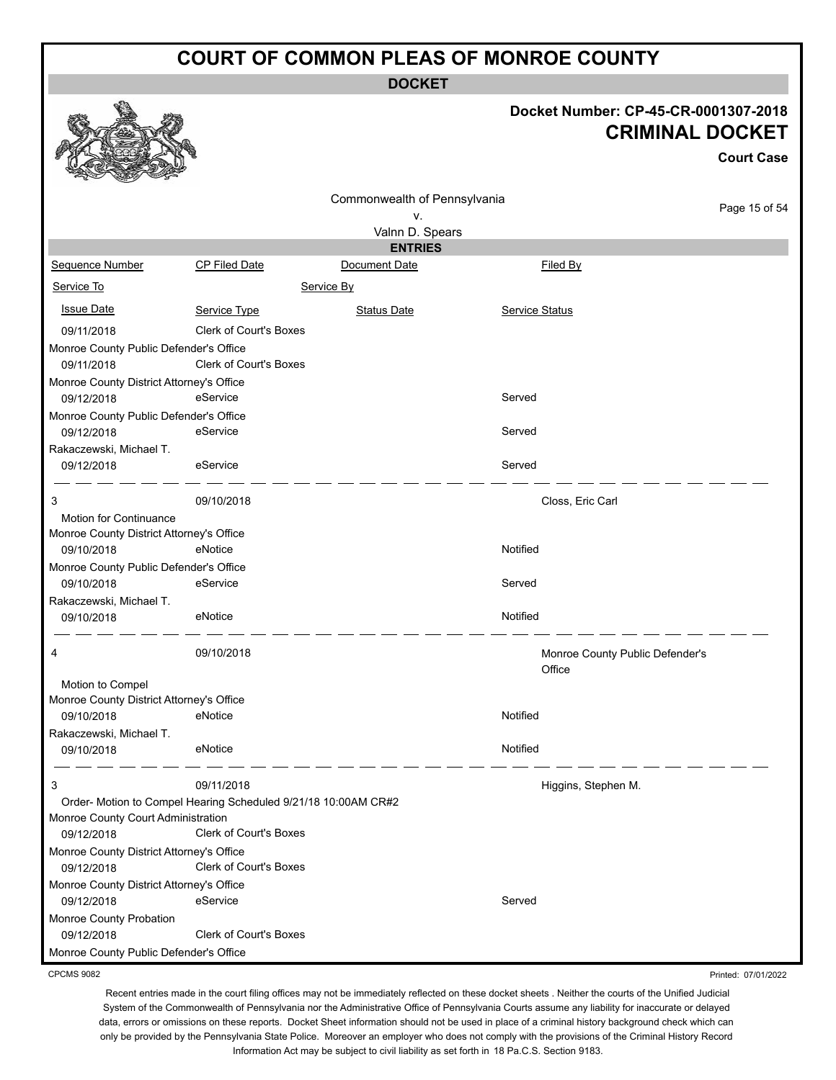**DOCKET**

## **Docket Number: CP-45-CR-0001307-2018**

|                                          |                                                                |                              |                       | <b>CRIMINAL DOCKET</b><br><b>Court Case</b> |
|------------------------------------------|----------------------------------------------------------------|------------------------------|-----------------------|---------------------------------------------|
|                                          |                                                                | Commonwealth of Pennsylvania |                       |                                             |
|                                          |                                                                | v.                           |                       | Page 15 of 54                               |
|                                          |                                                                | Valnn D. Spears              |                       |                                             |
|                                          |                                                                | <b>ENTRIES</b>               |                       |                                             |
| Sequence Number                          | <b>CP Filed Date</b>                                           | Document Date                | Filed By              |                                             |
| Service To                               |                                                                | Service By                   |                       |                                             |
| <b>Issue Date</b>                        | Service Type                                                   | <b>Status Date</b>           | <b>Service Status</b> |                                             |
| 09/11/2018                               | <b>Clerk of Court's Boxes</b>                                  |                              |                       |                                             |
| Monroe County Public Defender's Office   |                                                                |                              |                       |                                             |
| 09/11/2018                               | <b>Clerk of Court's Boxes</b>                                  |                              |                       |                                             |
| Monroe County District Attorney's Office |                                                                |                              |                       |                                             |
| 09/12/2018                               | eService                                                       |                              | Served                |                                             |
| Monroe County Public Defender's Office   |                                                                |                              |                       |                                             |
| 09/12/2018                               | eService                                                       |                              | Served                |                                             |
| Rakaczewski, Michael T.<br>09/12/2018    | eService                                                       |                              | Served                |                                             |
|                                          |                                                                |                              |                       |                                             |
| 3                                        | 09/10/2018                                                     |                              | Closs, Eric Carl      |                                             |
| Motion for Continuance                   |                                                                |                              |                       |                                             |
| Monroe County District Attorney's Office |                                                                |                              |                       |                                             |
| 09/10/2018                               | eNotice                                                        |                              | Notified              |                                             |
| Monroe County Public Defender's Office   |                                                                |                              |                       |                                             |
| 09/10/2018                               | eService                                                       |                              | Served                |                                             |
| Rakaczewski, Michael T.                  |                                                                |                              |                       |                                             |
| 09/10/2018                               | eNotice                                                        |                              | Notified              |                                             |
| 4                                        | 09/10/2018                                                     |                              | Office                | Monroe County Public Defender's             |
| Motion to Compel                         |                                                                |                              |                       |                                             |
| Monroe County District Attorney's Office |                                                                |                              | Notified              |                                             |
| 09/10/2018                               | eNotice                                                        |                              |                       |                                             |
| Rakaczewski, Michael T.<br>09/10/2018    | eNotice                                                        |                              | Notified              |                                             |
|                                          |                                                                |                              |                       |                                             |
| 3                                        | 09/11/2018                                                     |                              |                       | Higgins, Stephen M.                         |
|                                          | Order- Motion to Compel Hearing Scheduled 9/21/18 10:00AM CR#2 |                              |                       |                                             |
| Monroe County Court Administration       |                                                                |                              |                       |                                             |
| 09/12/2018                               | Clerk of Court's Boxes                                         |                              |                       |                                             |
| Monroe County District Attorney's Office |                                                                |                              |                       |                                             |
| 09/12/2018                               | Clerk of Court's Boxes                                         |                              |                       |                                             |
| Monroe County District Attorney's Office | eService                                                       |                              | Served                |                                             |
| 09/12/2018                               |                                                                |                              |                       |                                             |
| Monroe County Probation<br>09/12/2018    | Clerk of Court's Boxes                                         |                              |                       |                                             |
| Monroe County Public Defender's Office   |                                                                |                              |                       |                                             |
|                                          |                                                                |                              |                       |                                             |

CPCMS 9082

 $\mathbb{Z}$ 

Recent entries made in the court filing offices may not be immediately reflected on these docket sheets . Neither the courts of the Unified Judicial System of the Commonwealth of Pennsylvania nor the Administrative Office of Pennsylvania Courts assume any liability for inaccurate or delayed data, errors or omissions on these reports. Docket Sheet information should not be used in place of a criminal history background check which can only be provided by the Pennsylvania State Police. Moreover an employer who does not comply with the provisions of the Criminal History Record Information Act may be subject to civil liability as set forth in 18 Pa.C.S. Section 9183.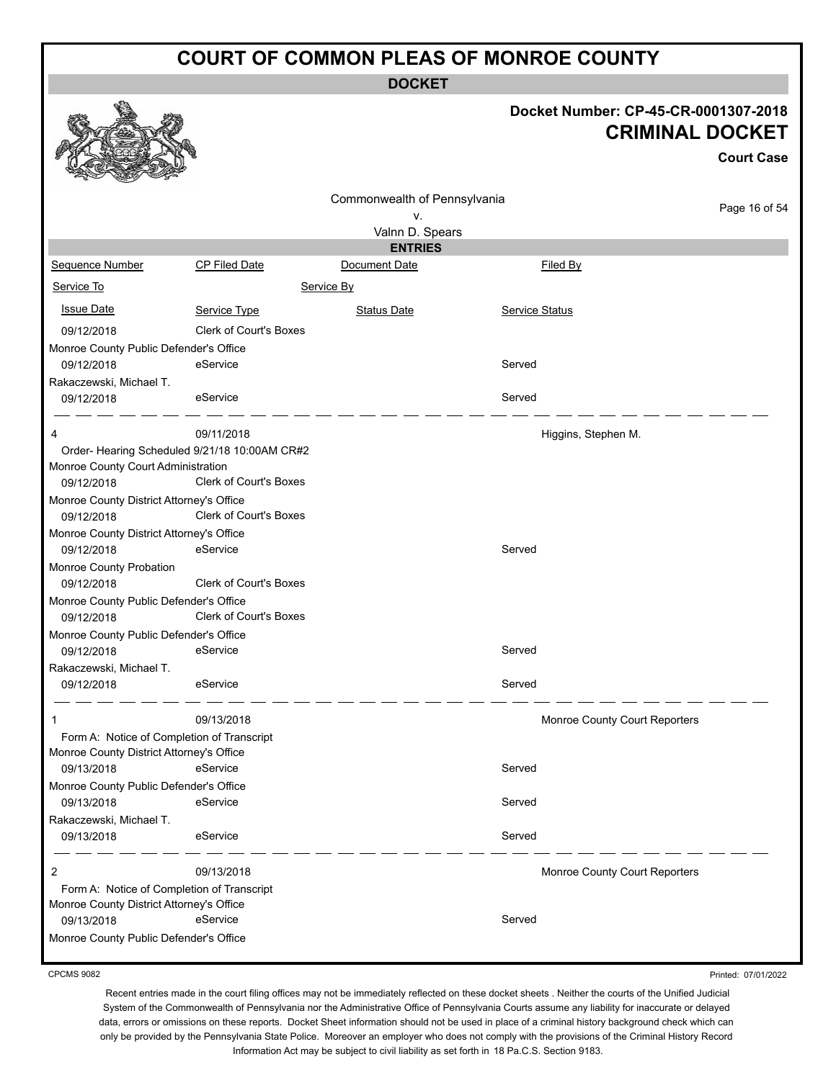**DOCKET**

# **Docket Number: CP-45-CR-0001307-2018**

|                                            |                                               |                              |                       | <b>CRIMINAL DOCKET</b><br><b>Court Case</b> |
|--------------------------------------------|-----------------------------------------------|------------------------------|-----------------------|---------------------------------------------|
|                                            |                                               | Commonwealth of Pennsylvania |                       |                                             |
|                                            |                                               | ٧.                           |                       | Page 16 of 54                               |
|                                            |                                               | Valnn D. Spears              |                       |                                             |
|                                            |                                               | <b>ENTRIES</b>               |                       |                                             |
| Sequence Number                            | CP Filed Date                                 | Document Date                | Filed By              |                                             |
| Service To                                 |                                               | Service By                   |                       |                                             |
| <b>Issue Date</b>                          | Service Type                                  | <b>Status Date</b>           | <b>Service Status</b> |                                             |
| 09/12/2018                                 | <b>Clerk of Court's Boxes</b>                 |                              |                       |                                             |
| Monroe County Public Defender's Office     |                                               |                              |                       |                                             |
| 09/12/2018                                 | eService                                      |                              | Served                |                                             |
| Rakaczewski, Michael T.                    |                                               |                              |                       |                                             |
| 09/12/2018                                 | eService                                      |                              | Served                |                                             |
| 4                                          | 09/11/2018                                    |                              |                       | Higgins, Stephen M.                         |
|                                            | Order- Hearing Scheduled 9/21/18 10:00AM CR#2 |                              |                       |                                             |
| Monroe County Court Administration         |                                               |                              |                       |                                             |
| 09/12/2018                                 | Clerk of Court's Boxes                        |                              |                       |                                             |
| Monroe County District Attorney's Office   |                                               |                              |                       |                                             |
| 09/12/2018                                 | Clerk of Court's Boxes                        |                              |                       |                                             |
| Monroe County District Attorney's Office   |                                               |                              |                       |                                             |
| 09/12/2018                                 | eService                                      |                              | Served                |                                             |
| Monroe County Probation                    |                                               |                              |                       |                                             |
| 09/12/2018                                 | Clerk of Court's Boxes                        |                              |                       |                                             |
| Monroe County Public Defender's Office     |                                               |                              |                       |                                             |
| 09/12/2018                                 | <b>Clerk of Court's Boxes</b>                 |                              |                       |                                             |
| Monroe County Public Defender's Office     |                                               |                              |                       |                                             |
| 09/12/2018                                 | eService                                      |                              | Served                |                                             |
| Rakaczewski, Michael T.                    |                                               |                              |                       |                                             |
| 09/12/2018                                 | eService                                      |                              | Served                |                                             |
| 1                                          | 09/13/2018                                    |                              |                       | Monroe County Court Reporters               |
| Form A: Notice of Completion of Transcript |                                               |                              |                       |                                             |
| Monroe County District Attorney's Office   |                                               |                              |                       |                                             |
| 09/13/2018                                 | eService                                      |                              | Served                |                                             |
| Monroe County Public Defender's Office     |                                               |                              |                       |                                             |
| 09/13/2018                                 | eService                                      |                              | Served                |                                             |
| Rakaczewski, Michael T.                    |                                               |                              |                       |                                             |
| 09/13/2018                                 | eService                                      |                              | Served                |                                             |
| 2                                          | 09/13/2018                                    |                              |                       | Monroe County Court Reporters               |
| Form A: Notice of Completion of Transcript |                                               |                              |                       |                                             |
| Monroe County District Attorney's Office   |                                               |                              |                       |                                             |
| 09/13/2018                                 | eService                                      |                              | Served                |                                             |
| Monroe County Public Defender's Office     |                                               |                              |                       |                                             |

CPCMS 9082

 $\mathbb{R}$ 

أسماء

Printed: 07/01/2022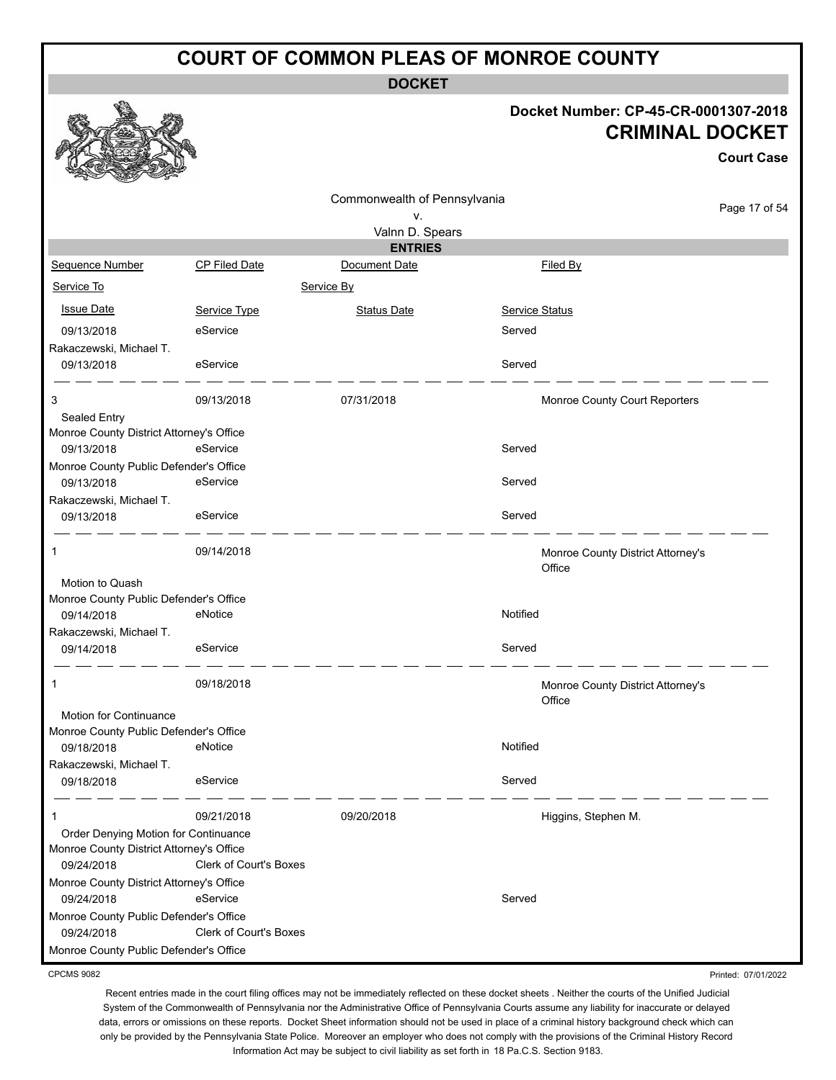**DOCKET**

#### **Docket Number: CP-45-CR-0001307-2018 CRIMINAL DOCKET**

**Court Case**

|                                                           |                        | Commonwealth of Pennsylvania |                                             |               |
|-----------------------------------------------------------|------------------------|------------------------------|---------------------------------------------|---------------|
|                                                           |                        | ۷.                           |                                             | Page 17 of 54 |
|                                                           |                        | Valnn D. Spears              |                                             |               |
|                                                           |                        | <b>ENTRIES</b>               |                                             |               |
| Sequence Number                                           | <b>CP Filed Date</b>   | Document Date                | Filed By                                    |               |
| Service To                                                |                        | Service By                   |                                             |               |
| <b>Issue Date</b>                                         | Service Type           | <b>Status Date</b>           | <b>Service Status</b>                       |               |
| 09/13/2018                                                | eService               |                              | Served                                      |               |
| Rakaczewski, Michael T.                                   |                        |                              |                                             |               |
| 09/13/2018                                                | eService               |                              | Served                                      |               |
| 3                                                         | 09/13/2018             | 07/31/2018                   | Monroe County Court Reporters               |               |
| Sealed Entry                                              |                        |                              |                                             |               |
| Monroe County District Attorney's Office                  |                        |                              |                                             |               |
| 09/13/2018                                                | eService               |                              | Served                                      |               |
| Monroe County Public Defender's Office                    |                        |                              |                                             |               |
| 09/13/2018                                                | eService               |                              | Served                                      |               |
| Rakaczewski, Michael T.                                   |                        |                              |                                             |               |
| 09/13/2018                                                | eService               |                              | Served                                      |               |
| 1                                                         | 09/14/2018             |                              | Monroe County District Attorney's<br>Office |               |
| Motion to Quash<br>Monroe County Public Defender's Office |                        |                              |                                             |               |
| 09/14/2018                                                | eNotice                |                              | Notified                                    |               |
| Rakaczewski, Michael T.                                   |                        |                              |                                             |               |
| 09/14/2018                                                | eService               |                              | Served                                      |               |
| $\mathbf{1}$                                              | 09/18/2018             |                              | Monroe County District Attorney's<br>Office |               |
| Motion for Continuance                                    |                        |                              |                                             |               |
| Monroe County Public Defender's Office                    |                        |                              |                                             |               |
| 09/18/2018                                                | eNotice                |                              | Notified                                    |               |
| Rakaczewski, Michael T.                                   |                        |                              |                                             |               |
| 09/18/2018                                                | eService               |                              | Served                                      |               |
| 1                                                         | 09/21/2018             | 09/20/2018                   | Higgins, Stephen M.                         |               |
| Order Denying Motion for Continuance                      |                        |                              |                                             |               |
| Monroe County District Attorney's Office                  |                        |                              |                                             |               |
| 09/24/2018                                                | Clerk of Court's Boxes |                              |                                             |               |
| Monroe County District Attorney's Office                  |                        |                              |                                             |               |
| 09/24/2018                                                | eService               |                              | Served                                      |               |
| Monroe County Public Defender's Office                    |                        |                              |                                             |               |
| 09/24/2018                                                | Clerk of Court's Boxes |                              |                                             |               |
| Monroe County Public Defender's Office                    |                        |                              |                                             |               |

CPCMS 9082

Recent entries made in the court filing offices may not be immediately reflected on these docket sheets . Neither the courts of the Unified Judicial System of the Commonwealth of Pennsylvania nor the Administrative Office of Pennsylvania Courts assume any liability for inaccurate or delayed data, errors or omissions on these reports. Docket Sheet information should not be used in place of a criminal history background check which can only be provided by the Pennsylvania State Police. Moreover an employer who does not comply with the provisions of the Criminal History Record Information Act may be subject to civil liability as set forth in 18 Pa.C.S. Section 9183.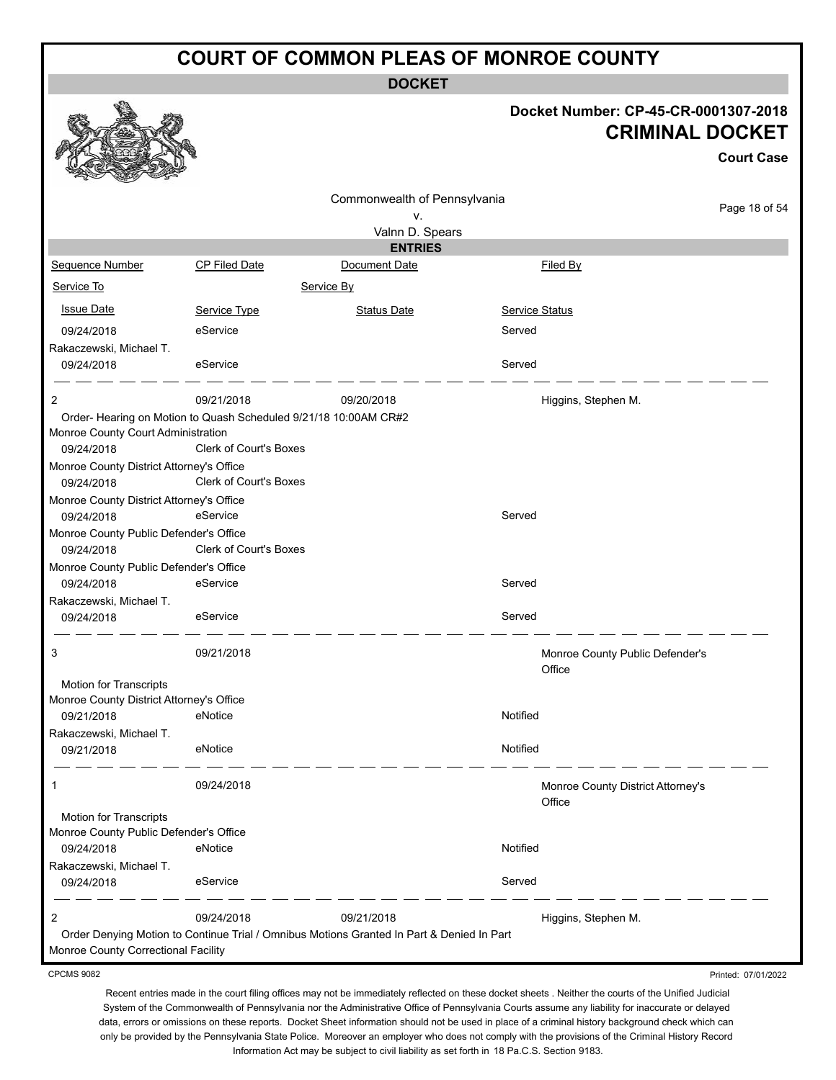**DOCKET**

#### **Docket Number: CP-45-CR-0001307-2018 CRIMINAL DOCKET**

|                                                        |                                                                                           |                                    |                                             | <b>Court Case</b> |
|--------------------------------------------------------|-------------------------------------------------------------------------------------------|------------------------------------|---------------------------------------------|-------------------|
|                                                        |                                                                                           | Commonwealth of Pennsylvania<br>۷. |                                             | Page 18 of 54     |
|                                                        |                                                                                           | Valnn D. Spears                    |                                             |                   |
|                                                        |                                                                                           | <b>ENTRIES</b>                     |                                             |                   |
| Sequence Number                                        | <b>CP Filed Date</b>                                                                      | Document Date                      | Filed By                                    |                   |
| Service To                                             |                                                                                           | Service By                         |                                             |                   |
| <b>Issue Date</b>                                      | Service Type                                                                              | <b>Status Date</b>                 | Service Status                              |                   |
| 09/24/2018                                             | eService                                                                                  |                                    | Served                                      |                   |
| Rakaczewski, Michael T.                                |                                                                                           |                                    |                                             |                   |
| 09/24/2018                                             | eService                                                                                  |                                    | Served                                      |                   |
| $\overline{c}$                                         | 09/21/2018                                                                                | 09/20/2018                         | Higgins, Stephen M.                         |                   |
|                                                        | Order- Hearing on Motion to Quash Scheduled 9/21/18 10:00AM CR#2                          |                                    |                                             |                   |
| Monroe County Court Administration                     |                                                                                           |                                    |                                             |                   |
| 09/24/2018                                             | <b>Clerk of Court's Boxes</b>                                                             |                                    |                                             |                   |
| Monroe County District Attorney's Office<br>09/24/2018 | <b>Clerk of Court's Boxes</b>                                                             |                                    |                                             |                   |
| Monroe County District Attorney's Office               |                                                                                           |                                    |                                             |                   |
| 09/24/2018                                             | eService                                                                                  |                                    | Served                                      |                   |
| Monroe County Public Defender's Office                 |                                                                                           |                                    |                                             |                   |
| 09/24/2018                                             | <b>Clerk of Court's Boxes</b>                                                             |                                    |                                             |                   |
| Monroe County Public Defender's Office                 |                                                                                           |                                    |                                             |                   |
| 09/24/2018                                             | eService                                                                                  |                                    | Served                                      |                   |
| Rakaczewski, Michael T.                                |                                                                                           |                                    |                                             |                   |
| 09/24/2018                                             | eService                                                                                  |                                    | Served                                      |                   |
| 3                                                      | 09/21/2018                                                                                |                                    | Monroe County Public Defender's<br>Office   |                   |
| Motion for Transcripts                                 |                                                                                           |                                    |                                             |                   |
| Monroe County District Attorney's Office               |                                                                                           |                                    |                                             |                   |
| 09/21/2018                                             | eNotice                                                                                   |                                    | Notified                                    |                   |
| Rakaczewski, Michael T.                                |                                                                                           |                                    |                                             |                   |
| 09/21/2018                                             | eNotice                                                                                   |                                    | Notified                                    |                   |
| 1                                                      | 09/24/2018                                                                                |                                    | Monroe County District Attorney's<br>Office |                   |
| Motion for Transcripts                                 |                                                                                           |                                    |                                             |                   |
| Monroe County Public Defender's Office                 |                                                                                           |                                    |                                             |                   |
| 09/24/2018                                             | eNotice                                                                                   |                                    | Notified                                    |                   |
| Rakaczewski, Michael T.                                |                                                                                           |                                    |                                             |                   |
| 09/24/2018                                             | eService                                                                                  |                                    | Served                                      |                   |
| 2                                                      | 09/24/2018                                                                                | 09/21/2018                         | Higgins, Stephen M.                         |                   |
|                                                        | Order Denying Motion to Continue Trial / Omnibus Motions Granted In Part & Denied In Part |                                    |                                             |                   |
| Monroe County Correctional Facility                    |                                                                                           |                                    |                                             |                   |

CPCMS 9082

Printed: 07/01/2022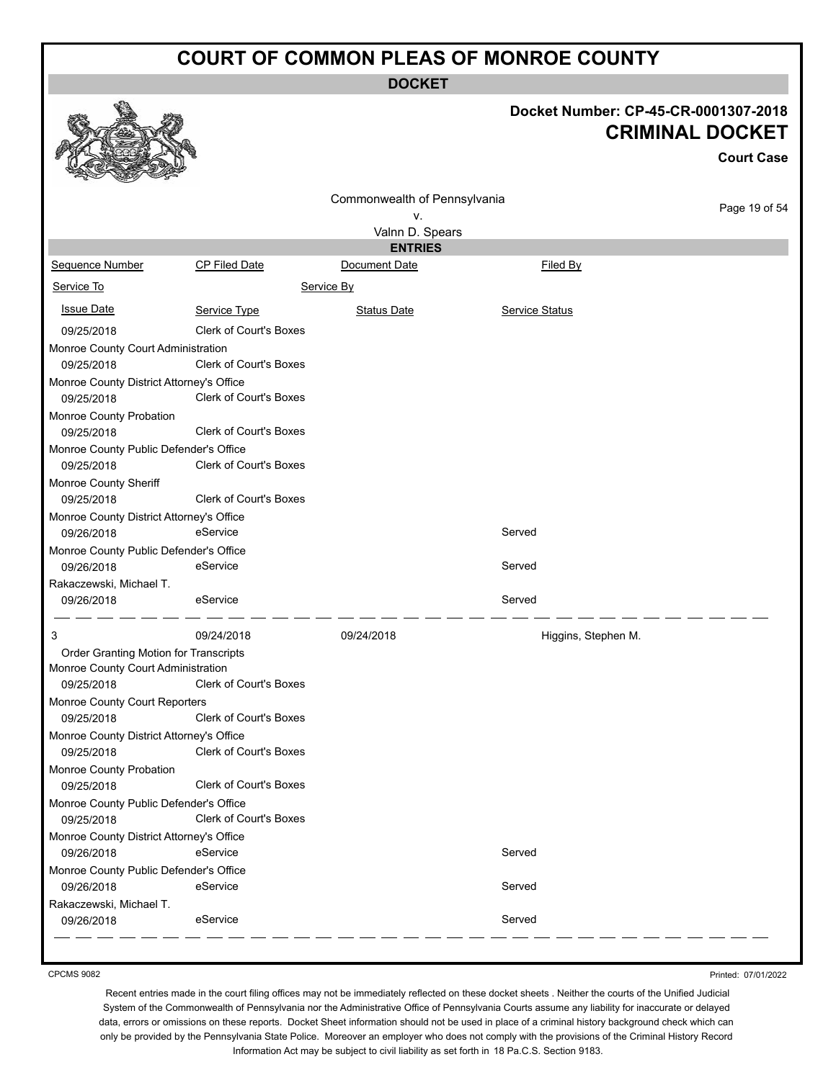**DOCKET**

**Docket Number: CP-45-CR-0001307-2018**

**CRIMINAL DOCKET**

**Court Case**

#### 18 Commonwealth of Pennsylvania Page 19 of 54 v. Valnn D. Spears **ENTRIES** Sequence Number CP Filed Date Document Date **Document Date** Filed By Service To Service By **Issue Date Service Type** Service Type Status Date Service Status Date Service Status Service Status **Service Status** 09/25/2018 Clerk of Court's Boxes Monroe County Court Administration 09/25/2018 Clerk of Court's Boxes Monroe County District Attorney's Office 09/25/2018 Clerk of Court's Boxes Monroe County Probation 09/25/2018 Clerk of Court's Boxes Monroe County Public Defender's Office 09/25/2018 Clerk of Court's Boxes Monroe County Sheriff 09/25/2018 Clerk of Court's Boxes Monroe County District Attorney's Office 09/26/2018 eService Served Monroe County Public Defender's Office 09/26/2018 eService Served Rakaczewski, Michael T. 09/26/2018 eService eService states and served 3 09/24/2018 09/24/2018 Higgins, Stephen M. Order Granting Motion for Transcripts Monroe County Court Administration 09/25/2018 Clerk of Court's Boxes Monroe County Court Reporters 09/25/2018 Clerk of Court's Boxes Monroe County District Attorney's Office 09/25/2018 Clerk of Court's Boxes Monroe County Probation 09/25/2018 Clerk of Court's Boxes Monroe County Public Defender's Office 09/25/2018 Clerk of Court's Boxes Monroe County District Attorney's Office 09/26/2018 eService Served Monroe County Public Defender's Office 09/26/2018 eService Served Rakaczewski, Michael T. 09/26/2018 eService Served

CPCMS 9082

Printed: 07/01/2022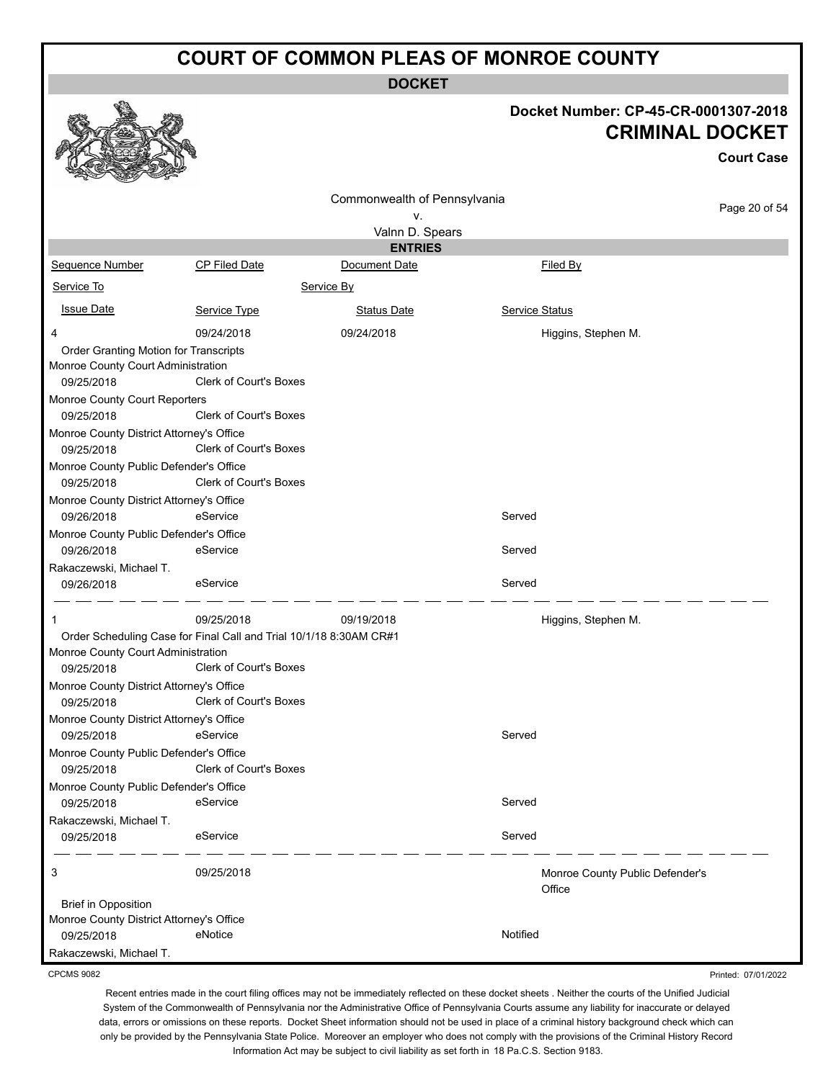**DOCKET**

#### **Docket Number: CP-45-CR-0001307-2018 CRIMINAL DOCKET**

|                                                                                                                        |                               |                              |                |                                           | <b>Court Case</b> |
|------------------------------------------------------------------------------------------------------------------------|-------------------------------|------------------------------|----------------|-------------------------------------------|-------------------|
|                                                                                                                        |                               | Commonwealth of Pennsylvania |                |                                           |                   |
|                                                                                                                        |                               | ۷.                           |                |                                           | Page 20 of 54     |
|                                                                                                                        |                               | Valnn D. Spears              |                |                                           |                   |
|                                                                                                                        |                               | <b>ENTRIES</b>               |                |                                           |                   |
| Sequence Number                                                                                                        | <b>CP Filed Date</b>          | Document Date                |                | Filed By                                  |                   |
| Service To                                                                                                             |                               | Service By                   |                |                                           |                   |
| <b>Issue Date</b>                                                                                                      | Service Type                  | <b>Status Date</b>           | Service Status |                                           |                   |
| 4                                                                                                                      | 09/24/2018                    | 09/24/2018                   |                | Higgins, Stephen M.                       |                   |
| Order Granting Motion for Transcripts                                                                                  |                               |                              |                |                                           |                   |
| Monroe County Court Administration                                                                                     |                               |                              |                |                                           |                   |
| 09/25/2018                                                                                                             | <b>Clerk of Court's Boxes</b> |                              |                |                                           |                   |
| Monroe County Court Reporters<br>09/25/2018                                                                            | <b>Clerk of Court's Boxes</b> |                              |                |                                           |                   |
| Monroe County District Attorney's Office<br>09/25/2018                                                                 | <b>Clerk of Court's Boxes</b> |                              |                |                                           |                   |
| Monroe County Public Defender's Office<br>09/25/2018                                                                   | <b>Clerk of Court's Boxes</b> |                              |                |                                           |                   |
| Monroe County District Attorney's Office<br>09/26/2018                                                                 | eService                      |                              | Served         |                                           |                   |
| Monroe County Public Defender's Office<br>09/26/2018                                                                   | eService                      |                              | Served         |                                           |                   |
| Rakaczewski, Michael T.<br>09/26/2018                                                                                  | eService                      |                              | Served         |                                           |                   |
| 1                                                                                                                      | 09/25/2018                    | 09/19/2018                   |                | Higgins, Stephen M.                       |                   |
| Order Scheduling Case for Final Call and Trial 10/1/18 8:30AM CR#1<br>Monroe County Court Administration<br>09/25/2018 | <b>Clerk of Court's Boxes</b> |                              |                |                                           |                   |
| Monroe County District Attorney's Office<br>09/25/2018                                                                 | Clerk of Court's Boxes        |                              |                |                                           |                   |
| Monroe County District Attorney's Office                                                                               |                               |                              |                |                                           |                   |
| 09/25/2018                                                                                                             | eService                      |                              | Served         |                                           |                   |
| Monroe County Public Defender's Office                                                                                 |                               |                              |                |                                           |                   |
| 09/25/2018                                                                                                             | <b>Clerk of Court's Boxes</b> |                              |                |                                           |                   |
| Monroe County Public Defender's Office                                                                                 |                               |                              |                |                                           |                   |
| 09/25/2018                                                                                                             | eService                      |                              | Served         |                                           |                   |
| Rakaczewski, Michael T.<br>09/25/2018                                                                                  | eService                      |                              | Served         |                                           |                   |
| 3                                                                                                                      | 09/25/2018                    |                              |                | Monroe County Public Defender's<br>Office |                   |
| <b>Brief in Opposition</b>                                                                                             |                               |                              |                |                                           |                   |
| Monroe County District Attorney's Office<br>09/25/2018                                                                 | eNotice                       |                              | Notified       |                                           |                   |
| Rakaczewski, Michael T.                                                                                                |                               |                              |                |                                           |                   |

CPCMS 9082

Printed: 07/01/2022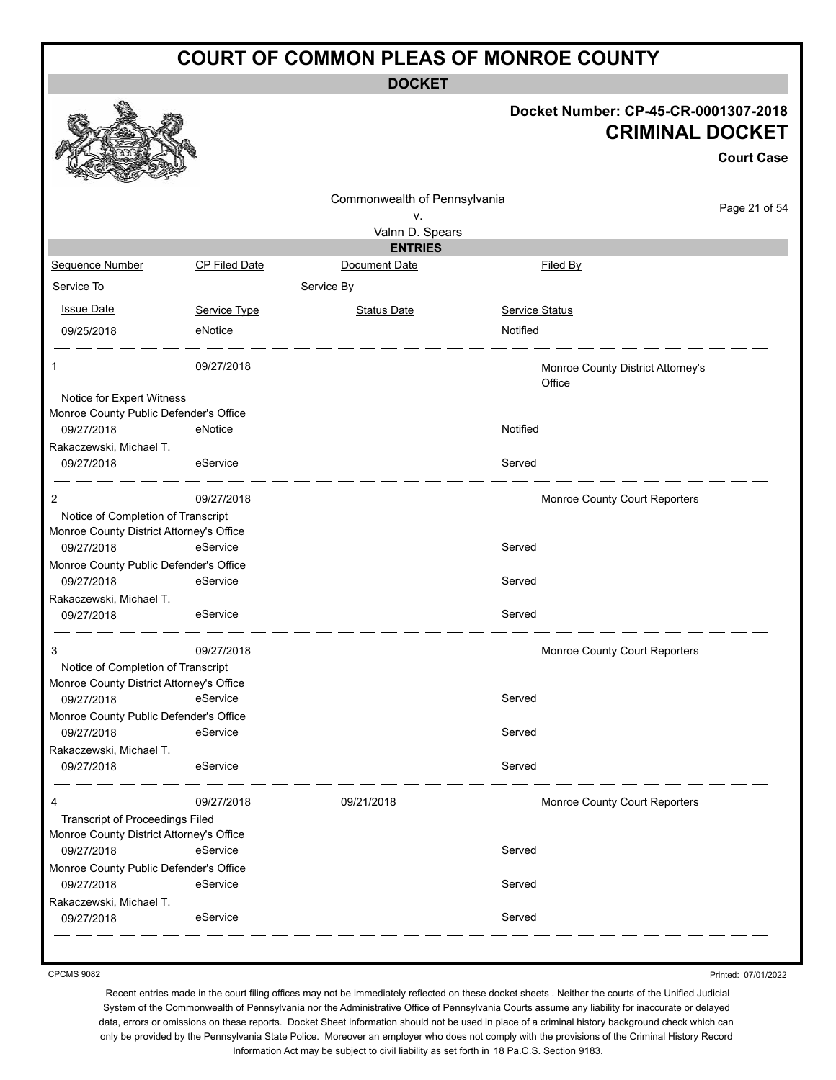**DOCKET**

#### **Docket Number: CP-45-CR-0001307-2018 CRIMINAL DOCKET**

**Court Case**

|                                                      |               |                              |                                             | Gourt Gase    |
|------------------------------------------------------|---------------|------------------------------|---------------------------------------------|---------------|
|                                                      |               | Commonwealth of Pennsylvania |                                             |               |
|                                                      |               | ۷.                           |                                             | Page 21 of 54 |
|                                                      |               | Valnn D. Spears              |                                             |               |
|                                                      |               | <b>ENTRIES</b>               |                                             |               |
| Sequence Number                                      | CP Filed Date | Document Date                | Filed By                                    |               |
| Service To                                           |               | Service By                   |                                             |               |
| <b>Issue Date</b>                                    | Service Type  | <b>Status Date</b>           | <b>Service Status</b>                       |               |
| 09/25/2018                                           | eNotice       |                              | Notified                                    |               |
| 1                                                    | 09/27/2018    |                              | Monroe County District Attorney's<br>Office |               |
| Notice for Expert Witness                            |               |                              |                                             |               |
| Monroe County Public Defender's Office               |               |                              |                                             |               |
| 09/27/2018                                           | eNotice       |                              | Notified                                    |               |
| Rakaczewski, Michael T.<br>09/27/2018                | eService      |                              | Served                                      |               |
| 2                                                    | 09/27/2018    |                              | Monroe County Court Reporters               |               |
| Notice of Completion of Transcript                   |               |                              |                                             |               |
| Monroe County District Attorney's Office             |               |                              |                                             |               |
| 09/27/2018                                           | eService      |                              | Served                                      |               |
| Monroe County Public Defender's Office<br>09/27/2018 | eService      |                              | Served                                      |               |
| Rakaczewski, Michael T.<br>09/27/2018                | eService      |                              | Served                                      |               |
| 3                                                    | 09/27/2018    |                              | Monroe County Court Reporters               |               |
| Notice of Completion of Transcript                   |               |                              |                                             |               |
| Monroe County District Attorney's Office             |               |                              |                                             |               |
| 09/27/2018                                           | eService      |                              | Served                                      |               |
| Monroe County Public Defender's Office               | eService      |                              |                                             |               |
| 09/27/2018                                           |               |                              | Served                                      |               |
| Rakaczewski, Michael T.<br>09/27/2018                | eService      |                              | Served                                      |               |
| 4                                                    | 09/27/2018    | 09/21/2018                   | Monroe County Court Reporters               |               |
| <b>Transcript of Proceedings Filed</b>               |               |                              |                                             |               |
| Monroe County District Attorney's Office             |               |                              |                                             |               |
| 09/27/2018                                           | eService      |                              | Served                                      |               |
| Monroe County Public Defender's Office               |               |                              |                                             |               |
| 09/27/2018                                           | eService      |                              | Served                                      |               |
| Rakaczewski, Michael T.<br>09/27/2018                | eService      |                              | Served                                      |               |

CPCMS 9082

Printed: 07/01/2022

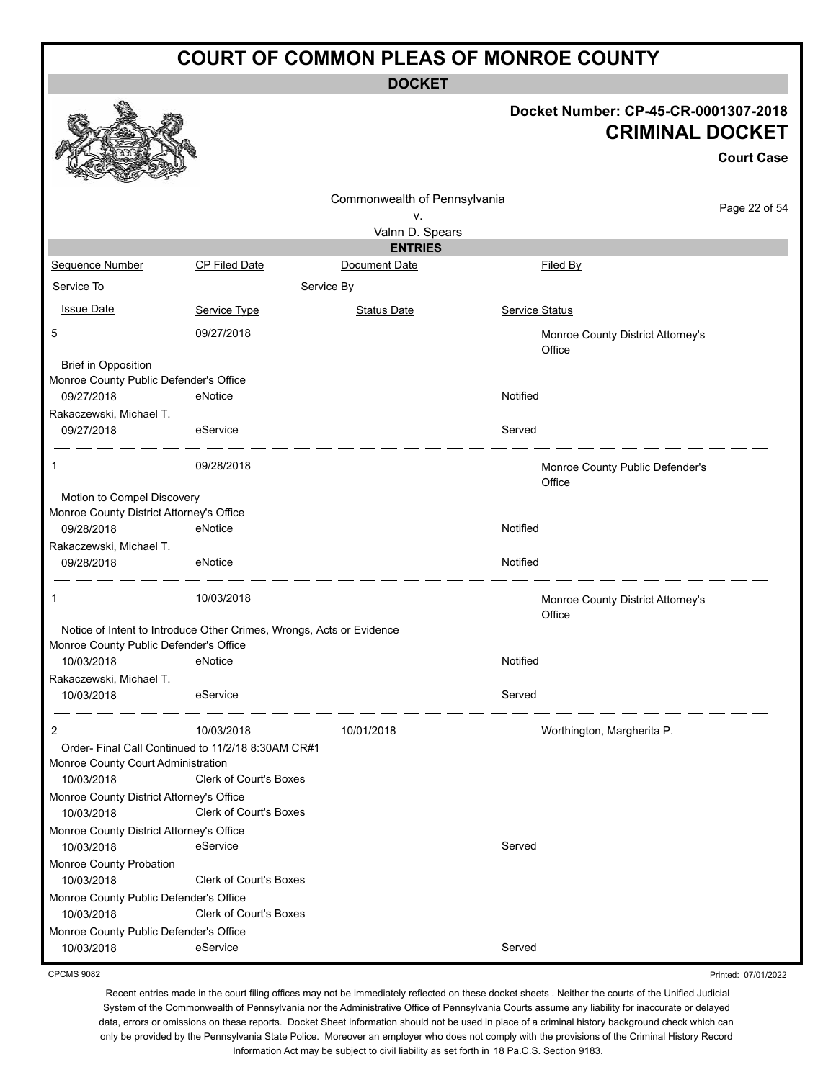**DOCKET**

#### **Docket Number: CP-45-CR-0001307-2018 CRIMINAL DOCKET**

**Court Case**

|                                                        |                                                                      | Commonwealth of Pennsylvania |                                             |               |
|--------------------------------------------------------|----------------------------------------------------------------------|------------------------------|---------------------------------------------|---------------|
|                                                        |                                                                      | ٧.                           |                                             | Page 22 of 54 |
|                                                        |                                                                      | Valnn D. Spears              |                                             |               |
|                                                        |                                                                      | <b>ENTRIES</b>               |                                             |               |
| Sequence Number                                        | <b>CP Filed Date</b>                                                 | Document Date                | Filed By                                    |               |
| Service To                                             |                                                                      | Service By                   |                                             |               |
| <b>Issue Date</b>                                      | Service Type                                                         | <b>Status Date</b>           | Service Status                              |               |
| 5                                                      | 09/27/2018                                                           |                              | Monroe County District Attorney's<br>Office |               |
| <b>Brief in Opposition</b>                             |                                                                      |                              |                                             |               |
| Monroe County Public Defender's Office                 |                                                                      |                              | Notified                                    |               |
| 09/27/2018                                             | eNotice                                                              |                              |                                             |               |
| Rakaczewski, Michael T.<br>09/27/2018                  | eService                                                             |                              | Served                                      |               |
| 1                                                      | 09/28/2018                                                           |                              | Monroe County Public Defender's<br>Office   |               |
| Motion to Compel Discovery                             |                                                                      |                              |                                             |               |
| Monroe County District Attorney's Office<br>09/28/2018 | eNotice                                                              |                              | Notified                                    |               |
| Rakaczewski, Michael T.                                |                                                                      |                              |                                             |               |
| 09/28/2018                                             | eNotice                                                              |                              | Notified                                    |               |
| 1                                                      | 10/03/2018                                                           |                              | Monroe County District Attorney's<br>Office |               |
|                                                        | Notice of Intent to Introduce Other Crimes, Wrongs, Acts or Evidence |                              |                                             |               |
| Monroe County Public Defender's Office                 |                                                                      |                              |                                             |               |
| 10/03/2018                                             | eNotice                                                              |                              | Notified                                    |               |
| Rakaczewski, Michael T.                                |                                                                      |                              |                                             |               |
| 10/03/2018                                             | eService                                                             |                              | Served                                      |               |
| 2                                                      | 10/03/2018                                                           | 10/01/2018                   | Worthington, Margherita P.                  |               |
|                                                        | Order- Final Call Continued to 11/2/18 8:30AM CR#1                   |                              |                                             |               |
| Monroe County Court Administration                     | Clerk of Court's Boxes                                               |                              |                                             |               |
| 10/03/2018<br>Monroe County District Attorney's Office |                                                                      |                              |                                             |               |
| 10/03/2018                                             | Clerk of Court's Boxes                                               |                              |                                             |               |
| Monroe County District Attorney's Office               |                                                                      |                              |                                             |               |
| 10/03/2018                                             | eService                                                             |                              | Served                                      |               |
| Monroe County Probation                                |                                                                      |                              |                                             |               |
| 10/03/2018                                             | <b>Clerk of Court's Boxes</b>                                        |                              |                                             |               |
| Monroe County Public Defender's Office                 |                                                                      |                              |                                             |               |
| 10/03/2018                                             | Clerk of Court's Boxes                                               |                              |                                             |               |
| Monroe County Public Defender's Office                 |                                                                      |                              |                                             |               |
| 10/03/2018                                             | eService                                                             |                              | Served                                      |               |

CPCMS 9082

Recent entries made in the court filing offices may not be immediately reflected on these docket sheets . Neither the courts of the Unified Judicial System of the Commonwealth of Pennsylvania nor the Administrative Office of Pennsylvania Courts assume any liability for inaccurate or delayed data, errors or omissions on these reports. Docket Sheet information should not be used in place of a criminal history background check which can only be provided by the Pennsylvania State Police. Moreover an employer who does not comply with the provisions of the Criminal History Record Information Act may be subject to civil liability as set forth in 18 Pa.C.S. Section 9183.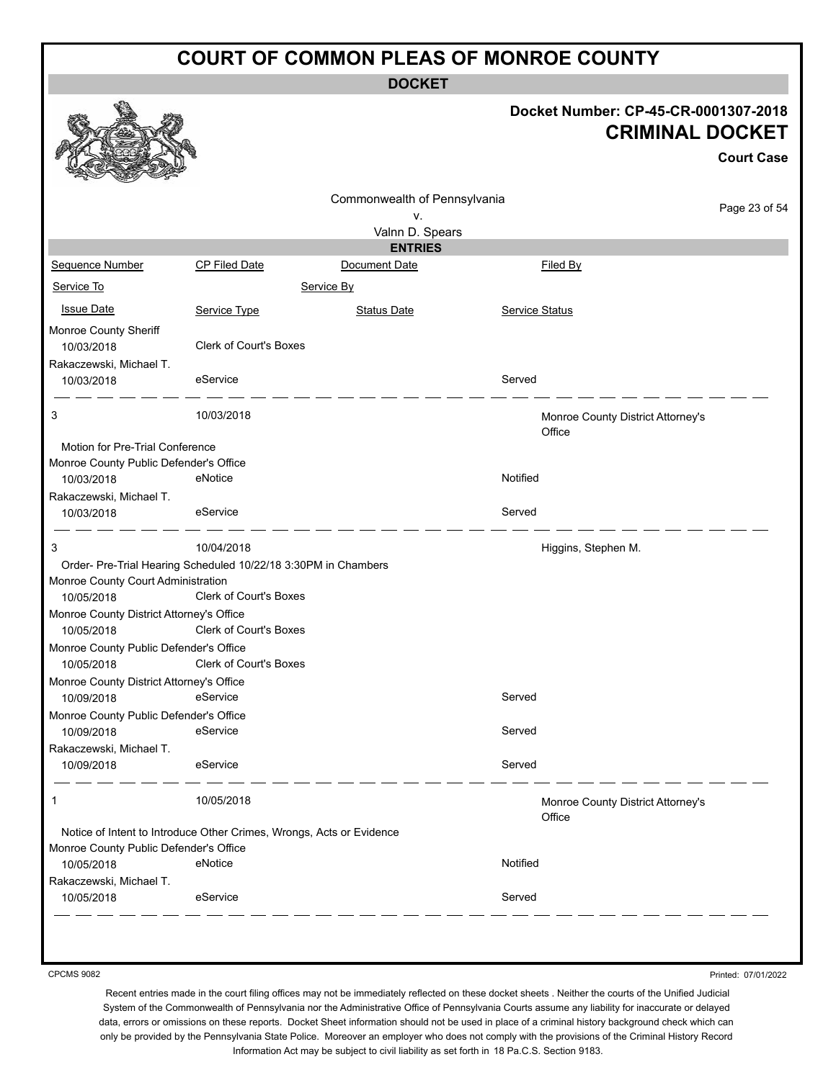**DOCKET**

#### **Docket Number: CP-45-CR-0001307-2018 CRIMINAL DOCKET**

|                                                                                                      |                               |                              |                |                                             | <b>Court Case</b> |
|------------------------------------------------------------------------------------------------------|-------------------------------|------------------------------|----------------|---------------------------------------------|-------------------|
|                                                                                                      |                               | Commonwealth of Pennsylvania |                |                                             |                   |
|                                                                                                      |                               | ν.                           |                |                                             | Page 23 of 54     |
|                                                                                                      |                               | Valnn D. Spears              |                |                                             |                   |
|                                                                                                      |                               | <b>ENTRIES</b>               |                |                                             |                   |
| Sequence Number                                                                                      | CP Filed Date                 | Document Date                |                | Filed By                                    |                   |
| Service To                                                                                           |                               | Service By                   |                |                                             |                   |
| <b>Issue Date</b>                                                                                    | Service Type                  | <b>Status Date</b>           | Service Status |                                             |                   |
| Monroe County Sheriff<br>10/03/2018                                                                  | <b>Clerk of Court's Boxes</b> |                              |                |                                             |                   |
| Rakaczewski, Michael T.<br>10/03/2018                                                                | eService                      |                              | Served         |                                             |                   |
| 3                                                                                                    | 10/03/2018                    |                              |                | Monroe County District Attorney's<br>Office |                   |
| Motion for Pre-Trial Conference<br>Monroe County Public Defender's Office<br>10/03/2018              | eNotice                       |                              | Notified       |                                             |                   |
| Rakaczewski, Michael T.<br>10/03/2018                                                                | eService                      |                              | Served         |                                             |                   |
| 3                                                                                                    | 10/04/2018                    |                              |                | Higgins, Stephen M.                         |                   |
| Order- Pre-Trial Hearing Scheduled 10/22/18 3:30PM in Chambers<br>Monroe County Court Administration |                               |                              |                |                                             |                   |
| 10/05/2018                                                                                           | <b>Clerk of Court's Boxes</b> |                              |                |                                             |                   |
| Monroe County District Attorney's Office<br>10/05/2018                                               | <b>Clerk of Court's Boxes</b> |                              |                |                                             |                   |
| Monroe County Public Defender's Office<br>10/05/2018                                                 | <b>Clerk of Court's Boxes</b> |                              |                |                                             |                   |
| Monroe County District Attorney's Office                                                             |                               |                              |                |                                             |                   |
| 10/09/2018                                                                                           | eService                      |                              | Served         |                                             |                   |
| Monroe County Public Defender's Office<br>10/09/2018                                                 | eService                      |                              | Served         |                                             |                   |
| Rakaczewski, Michael T.                                                                              |                               |                              |                |                                             |                   |
| 10/09/2018                                                                                           | eService                      |                              | Served         |                                             |                   |
| 1                                                                                                    | 10/05/2018                    |                              |                | Monroe County District Attorney's<br>Office |                   |
| Notice of Intent to Introduce Other Crimes, Wrongs, Acts or Evidence                                 |                               |                              |                |                                             |                   |
| Monroe County Public Defender's Office                                                               |                               |                              |                |                                             |                   |
| 10/05/2018                                                                                           | eNotice                       |                              | Notified       |                                             |                   |
| Rakaczewski, Michael T.<br>10/05/2018                                                                | eService                      |                              | Served         |                                             |                   |
|                                                                                                      |                               |                              |                |                                             |                   |

CPCMS 9082

Printed: 07/01/2022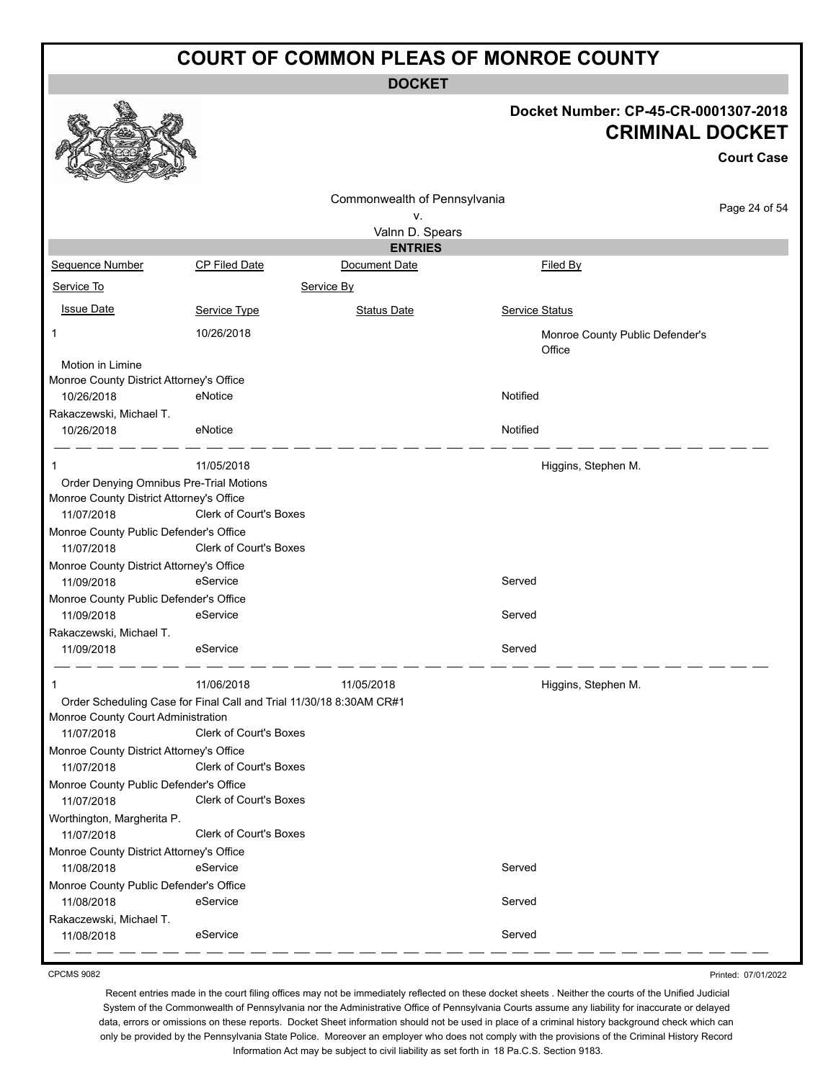**DOCKET**

#### **Docket Number: CP-45-CR-0001307-2018 CRIMINAL DOCKET**

**Court Case**

|                                          |                                                                     |                              |                                           | UUUIL UASE    |  |
|------------------------------------------|---------------------------------------------------------------------|------------------------------|-------------------------------------------|---------------|--|
|                                          |                                                                     | Commonwealth of Pennsylvania |                                           |               |  |
|                                          |                                                                     | v.                           |                                           | Page 24 of 54 |  |
|                                          |                                                                     | Valnn D. Spears              |                                           |               |  |
|                                          |                                                                     | <b>ENTRIES</b>               |                                           |               |  |
| <b>Sequence Number</b>                   | <b>CP Filed Date</b>                                                | Document Date                | Filed By                                  |               |  |
| Service To                               |                                                                     | Service By                   |                                           |               |  |
| <b>Issue Date</b>                        | Service Type                                                        | <b>Status Date</b>           | Service Status                            |               |  |
| 1                                        | 10/26/2018                                                          |                              | Monroe County Public Defender's<br>Office |               |  |
| Motion in Limine                         |                                                                     |                              |                                           |               |  |
| Monroe County District Attorney's Office |                                                                     |                              |                                           |               |  |
| 10/26/2018                               | eNotice                                                             |                              | Notified                                  |               |  |
| Rakaczewski, Michael T.                  |                                                                     |                              |                                           |               |  |
| 10/26/2018                               | eNotice                                                             |                              | Notified                                  |               |  |
|                                          | 11/05/2018                                                          |                              | Higgins, Stephen M.                       |               |  |
| Order Denying Omnibus Pre-Trial Motions  |                                                                     |                              |                                           |               |  |
| Monroe County District Attorney's Office |                                                                     |                              |                                           |               |  |
| 11/07/2018                               | Clerk of Court's Boxes                                              |                              |                                           |               |  |
| Monroe County Public Defender's Office   |                                                                     |                              |                                           |               |  |
| 11/07/2018                               | <b>Clerk of Court's Boxes</b>                                       |                              |                                           |               |  |
| Monroe County District Attorney's Office |                                                                     |                              |                                           |               |  |
| 11/09/2018                               | eService                                                            |                              | Served                                    |               |  |
| Monroe County Public Defender's Office   |                                                                     |                              |                                           |               |  |
| 11/09/2018                               | eService                                                            |                              | Served                                    |               |  |
| Rakaczewski, Michael T.                  |                                                                     |                              |                                           |               |  |
| 11/09/2018                               | eService                                                            |                              | Served                                    |               |  |
|                                          |                                                                     |                              |                                           |               |  |
| 1                                        | 11/06/2018                                                          | 11/05/2018                   | Higgins, Stephen M.                       |               |  |
|                                          | Order Scheduling Case for Final Call and Trial 11/30/18 8:30AM CR#1 |                              |                                           |               |  |
| Monroe County Court Administration       |                                                                     |                              |                                           |               |  |
| 11/07/2018                               | Clerk of Court's Boxes                                              |                              |                                           |               |  |
| Monroe County District Attorney's Office |                                                                     |                              |                                           |               |  |
| 11/07/2018                               | Clerk of Court's Boxes                                              |                              |                                           |               |  |
| Monroe County Public Defender's Office   |                                                                     |                              |                                           |               |  |
| 11/07/2018                               | Clerk of Court's Boxes                                              |                              |                                           |               |  |
| Worthington, Margherita P.               |                                                                     |                              |                                           |               |  |
| 11/07/2018                               | Clerk of Court's Boxes                                              |                              |                                           |               |  |
| Monroe County District Attorney's Office |                                                                     |                              |                                           |               |  |
| 11/08/2018                               | eService                                                            |                              | Served                                    |               |  |
| Monroe County Public Defender's Office   |                                                                     |                              |                                           |               |  |
| 11/08/2018                               | eService                                                            |                              | Served                                    |               |  |
| Rakaczewski, Michael T.                  |                                                                     |                              |                                           |               |  |
| 11/08/2018                               | eService                                                            |                              | Served                                    |               |  |

CPCMS 9082

Printed: 07/01/2022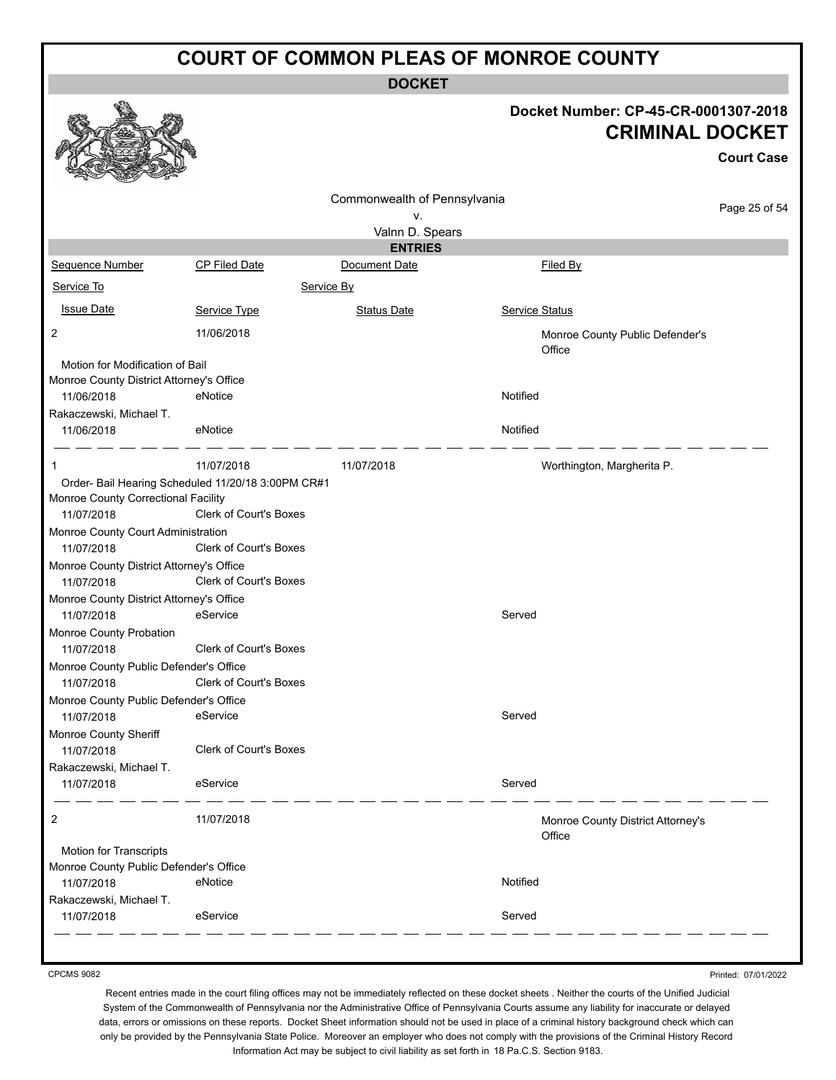**DOCKET**

#### **Docket Number: CP-45-CR-0001307-2018 CRIMINAL DOCKET**

|                                                        |                                                                              |                                    |                                             | <b>Court Case</b> |
|--------------------------------------------------------|------------------------------------------------------------------------------|------------------------------------|---------------------------------------------|-------------------|
|                                                        |                                                                              | Commonwealth of Pennsylvania<br>v. |                                             | Page 25 of 54     |
|                                                        |                                                                              | Valnn D. Spears                    |                                             |                   |
|                                                        |                                                                              | <b>ENTRIES</b>                     |                                             |                   |
| Sequence Number                                        | <b>CP Filed Date</b>                                                         | Document Date                      | Filed By                                    |                   |
| Service To                                             | Service By                                                                   |                                    |                                             |                   |
| <b>Issue Date</b>                                      | Service Type                                                                 | <b>Status Date</b>                 | Service Status                              |                   |
| 2                                                      | 11/06/2018                                                                   |                                    | Monroe County Public Defender's<br>Office   |                   |
| Motion for Modification of Bail                        |                                                                              |                                    |                                             |                   |
| Monroe County District Attorney's Office               |                                                                              |                                    |                                             |                   |
| 11/06/2018                                             | eNotice                                                                      |                                    | Notified                                    |                   |
| Rakaczewski, Michael T.<br>11/06/2018                  | eNotice                                                                      |                                    | Notified                                    |                   |
| 1                                                      | 11/07/2018                                                                   | 11/07/2018                         | Worthington, Margherita P.                  |                   |
| Monroe County Correctional Facility<br>11/07/2018      | Order- Bail Hearing Scheduled 11/20/18 3:00PM CR#1<br>Clerk of Court's Boxes |                                    |                                             |                   |
| Monroe County Court Administration                     |                                                                              |                                    |                                             |                   |
| 11/07/2018                                             | <b>Clerk of Court's Boxes</b>                                                |                                    |                                             |                   |
| Monroe County District Attorney's Office<br>11/07/2018 | Clerk of Court's Boxes                                                       |                                    |                                             |                   |
| Monroe County District Attorney's Office<br>11/07/2018 | eService                                                                     |                                    | Served                                      |                   |
| Monroe County Probation<br>11/07/2018                  | Clerk of Court's Boxes                                                       |                                    |                                             |                   |
| Monroe County Public Defender's Office<br>11/07/2018   | Clerk of Court's Boxes                                                       |                                    |                                             |                   |
| Monroe County Public Defender's Office                 |                                                                              |                                    |                                             |                   |
| 11/07/2018                                             | eService                                                                     |                                    | Served                                      |                   |
| Monroe County Sheriff<br>11/07/2018                    | <b>Clerk of Court's Boxes</b>                                                |                                    |                                             |                   |
| Rakaczewski, Michael T.                                |                                                                              |                                    |                                             |                   |
| 11/07/2018                                             | eService                                                                     |                                    | Served                                      |                   |
| 2                                                      | 11/07/2018                                                                   |                                    | Monroe County District Attorney's<br>Office |                   |
| Motion for Transcripts                                 |                                                                              |                                    |                                             |                   |
| Monroe County Public Defender's Office                 |                                                                              |                                    |                                             |                   |
| 11/07/2018                                             | eNotice                                                                      |                                    | Notified                                    |                   |
| Rakaczewski, Michael T.<br>11/07/2018                  | eService                                                                     |                                    | Served                                      |                   |

CPCMS 9082

Printed: 07/01/2022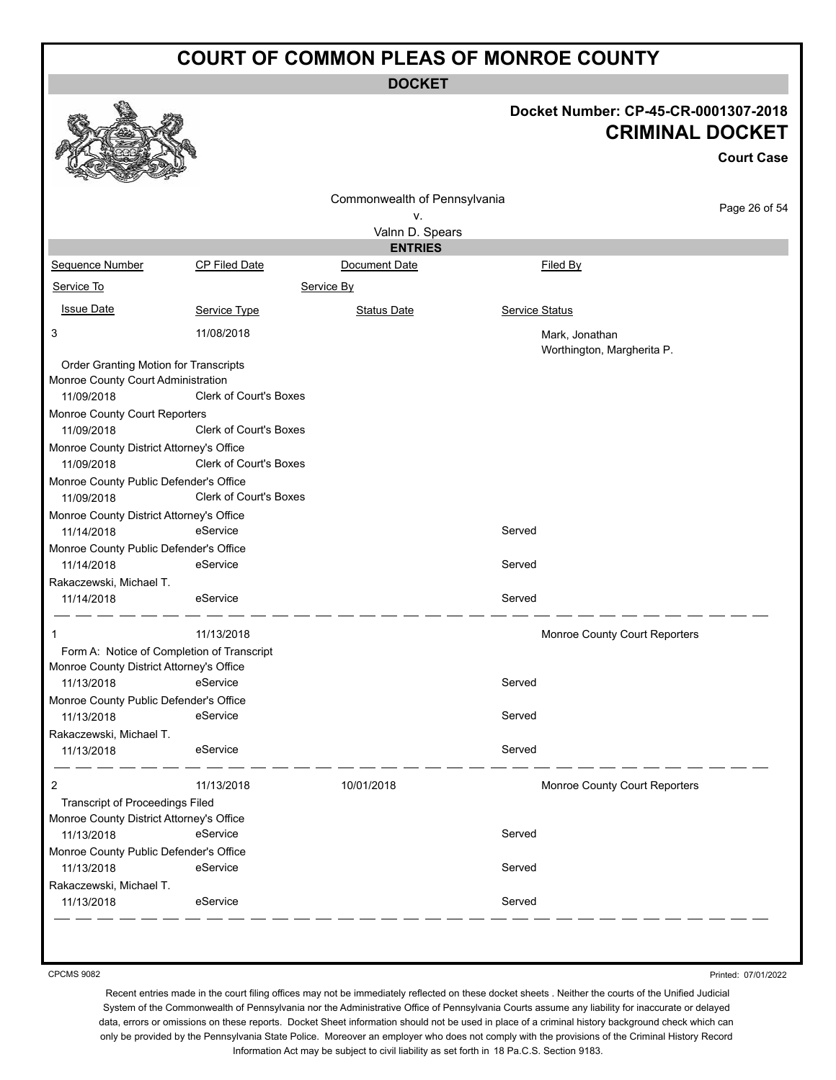**DOCKET**

#### **Docket Number: CP-45-CR-0001307-2018 CRIMINAL DOCKET**

**Court Case**

|                                             |                               | Commonwealth of Pennsylvania |                               |               |
|---------------------------------------------|-------------------------------|------------------------------|-------------------------------|---------------|
|                                             |                               | ٧.                           |                               | Page 26 of 54 |
|                                             |                               | Valnn D. Spears              |                               |               |
|                                             |                               | <b>ENTRIES</b>               |                               |               |
| Sequence Number                             | CP Filed Date                 | Document Date                | Filed By                      |               |
| Service To                                  |                               | Service By                   |                               |               |
| <b>Issue Date</b>                           | Service Type                  | <b>Status Date</b>           | Service Status                |               |
| 3                                           | 11/08/2018                    |                              | Mark, Jonathan                |               |
|                                             |                               |                              | Worthington, Margherita P.    |               |
| Order Granting Motion for Transcripts       |                               |                              |                               |               |
| Monroe County Court Administration          | <b>Clerk of Court's Boxes</b> |                              |                               |               |
| 11/09/2018                                  |                               |                              |                               |               |
| Monroe County Court Reporters<br>11/09/2018 | <b>Clerk of Court's Boxes</b> |                              |                               |               |
| Monroe County District Attorney's Office    |                               |                              |                               |               |
| 11/09/2018                                  | <b>Clerk of Court's Boxes</b> |                              |                               |               |
| Monroe County Public Defender's Office      |                               |                              |                               |               |
| 11/09/2018                                  | <b>Clerk of Court's Boxes</b> |                              |                               |               |
| Monroe County District Attorney's Office    |                               |                              |                               |               |
| 11/14/2018                                  | eService                      |                              | Served                        |               |
| Monroe County Public Defender's Office      |                               |                              |                               |               |
| 11/14/2018                                  | eService                      |                              | Served                        |               |
| Rakaczewski, Michael T.                     |                               |                              |                               |               |
| 11/14/2018                                  | eService                      |                              | Served                        |               |
|                                             | 11/13/2018                    |                              | Monroe County Court Reporters |               |
| Form A: Notice of Completion of Transcript  |                               |                              |                               |               |
| Monroe County District Attorney's Office    |                               |                              |                               |               |
| 11/13/2018                                  | eService                      |                              | Served                        |               |
| Monroe County Public Defender's Office      |                               |                              |                               |               |
| 11/13/2018                                  | eService                      |                              | Served                        |               |
| Rakaczewski, Michael T.                     |                               |                              |                               |               |
| 11/13/2018                                  | eService                      |                              | Served                        |               |
| 2                                           | 11/13/2018                    | 10/01/2018                   | Monroe County Court Reporters |               |
| <b>Transcript of Proceedings Filed</b>      |                               |                              |                               |               |
| Monroe County District Attorney's Office    |                               |                              |                               |               |
| 11/13/2018                                  | eService                      |                              | Served                        |               |
| Monroe County Public Defender's Office      |                               |                              |                               |               |
| 11/13/2018                                  | eService                      |                              | Served                        |               |
| Rakaczewski, Michael T.                     |                               |                              |                               |               |
| 11/13/2018                                  | eService                      |                              | Served                        |               |
|                                             |                               |                              |                               |               |

CPCMS 9082

Printed: 07/01/2022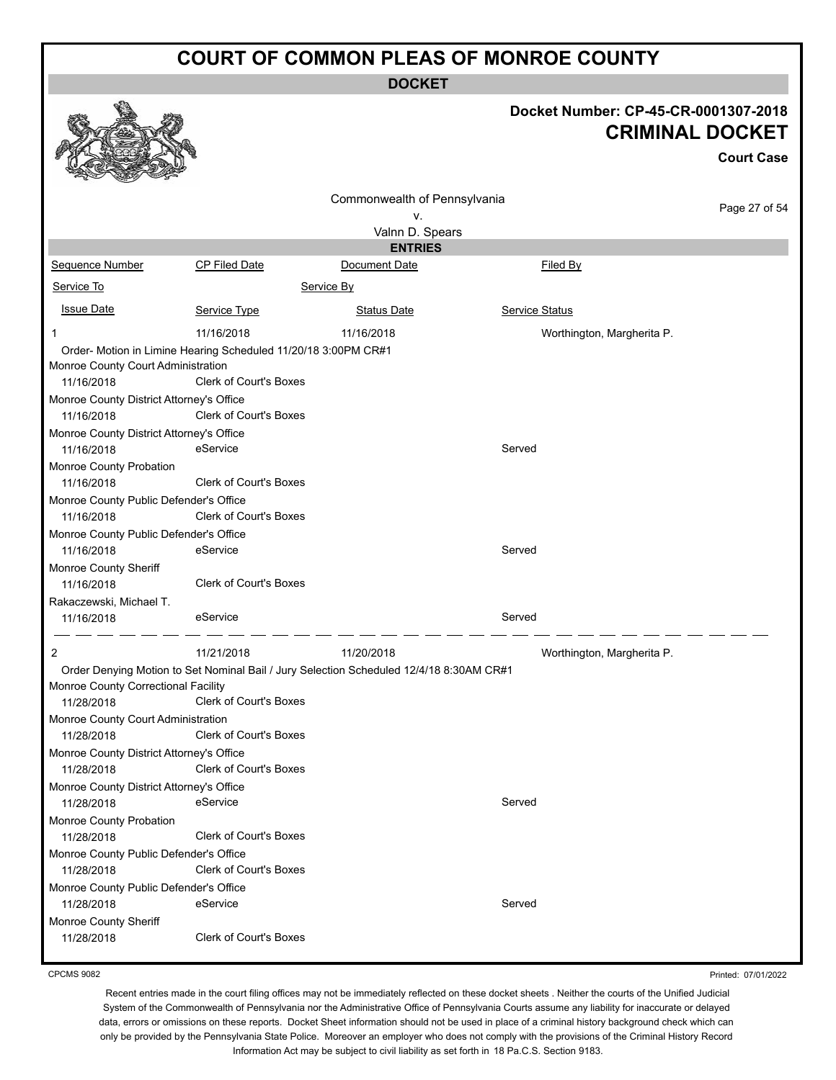**DOCKET**

# **Docket Number: CP-45-CR-0001307-2018**

|                                                        |                                                                                         |                              |                | <b>CRIMINAL DOCKET</b><br><b>Court Case</b> |  |
|--------------------------------------------------------|-----------------------------------------------------------------------------------------|------------------------------|----------------|---------------------------------------------|--|
|                                                        |                                                                                         | Commonwealth of Pennsylvania |                |                                             |  |
|                                                        |                                                                                         | v.                           |                | Page 27 of 54                               |  |
|                                                        |                                                                                         | Valnn D. Spears              |                |                                             |  |
|                                                        |                                                                                         | <b>ENTRIES</b>               |                |                                             |  |
| Sequence Number                                        | <b>CP Filed Date</b>                                                                    | Document Date                | Filed By       |                                             |  |
| Service To                                             |                                                                                         | Service By                   |                |                                             |  |
| <b>Issue Date</b>                                      | Service Type                                                                            | <b>Status Date</b>           | Service Status |                                             |  |
| 1                                                      | 11/16/2018                                                                              | 11/16/2018                   |                | Worthington, Margherita P.                  |  |
| Monroe County Court Administration                     | Order- Motion in Limine Hearing Scheduled 11/20/18 3:00PM CR#1                          |                              |                |                                             |  |
| 11/16/2018                                             | <b>Clerk of Court's Boxes</b>                                                           |                              |                |                                             |  |
| Monroe County District Attorney's Office               |                                                                                         |                              |                |                                             |  |
| 11/16/2018                                             | Clerk of Court's Boxes                                                                  |                              |                |                                             |  |
| Monroe County District Attorney's Office<br>11/16/2018 | eService                                                                                |                              | Served         |                                             |  |
| Monroe County Probation<br>11/16/2018                  | Clerk of Court's Boxes                                                                  |                              |                |                                             |  |
| Monroe County Public Defender's Office<br>11/16/2018   | Clerk of Court's Boxes                                                                  |                              |                |                                             |  |
| Monroe County Public Defender's Office<br>11/16/2018   | eService                                                                                |                              | Served         |                                             |  |
| Monroe County Sheriff<br>11/16/2018                    | Clerk of Court's Boxes                                                                  |                              |                |                                             |  |
| Rakaczewski, Michael T.                                |                                                                                         |                              |                |                                             |  |
| 11/16/2018                                             | eService                                                                                |                              | Served         |                                             |  |
| 2                                                      | 11/21/2018                                                                              | 11/20/2018                   |                | Worthington, Margherita P.                  |  |
|                                                        | Order Denying Motion to Set Nominal Bail / Jury Selection Scheduled 12/4/18 8:30AM CR#1 |                              |                |                                             |  |
| Monroe County Correctional Facility<br>11/28/2018      | <b>Clerk of Court's Boxes</b>                                                           |                              |                |                                             |  |
| Monroe County Court Administration<br>11/28/2018       | Clerk of Court's Boxes                                                                  |                              |                |                                             |  |
| Monroe County District Attorney's Office<br>11/28/2018 | <b>Clerk of Court's Boxes</b>                                                           |                              |                |                                             |  |
| Monroe County District Attorney's Office               |                                                                                         |                              |                |                                             |  |
| 11/28/2018                                             | eService                                                                                |                              | Served         |                                             |  |
| Monroe County Probation                                |                                                                                         |                              |                |                                             |  |
| 11/28/2018                                             | <b>Clerk of Court's Boxes</b>                                                           |                              |                |                                             |  |
| Monroe County Public Defender's Office                 |                                                                                         |                              |                |                                             |  |
| 11/28/2018                                             | <b>Clerk of Court's Boxes</b>                                                           |                              |                |                                             |  |
| Monroe County Public Defender's Office                 |                                                                                         |                              |                |                                             |  |
| 11/28/2018                                             | eService                                                                                |                              | Served         |                                             |  |
| Monroe County Sheriff                                  |                                                                                         |                              |                |                                             |  |
| 11/28/2018                                             | Clerk of Court's Boxes                                                                  |                              |                |                                             |  |

CPCMS 9082

 $\mathcal{P}$ 

**Address** 

Printed: 07/01/2022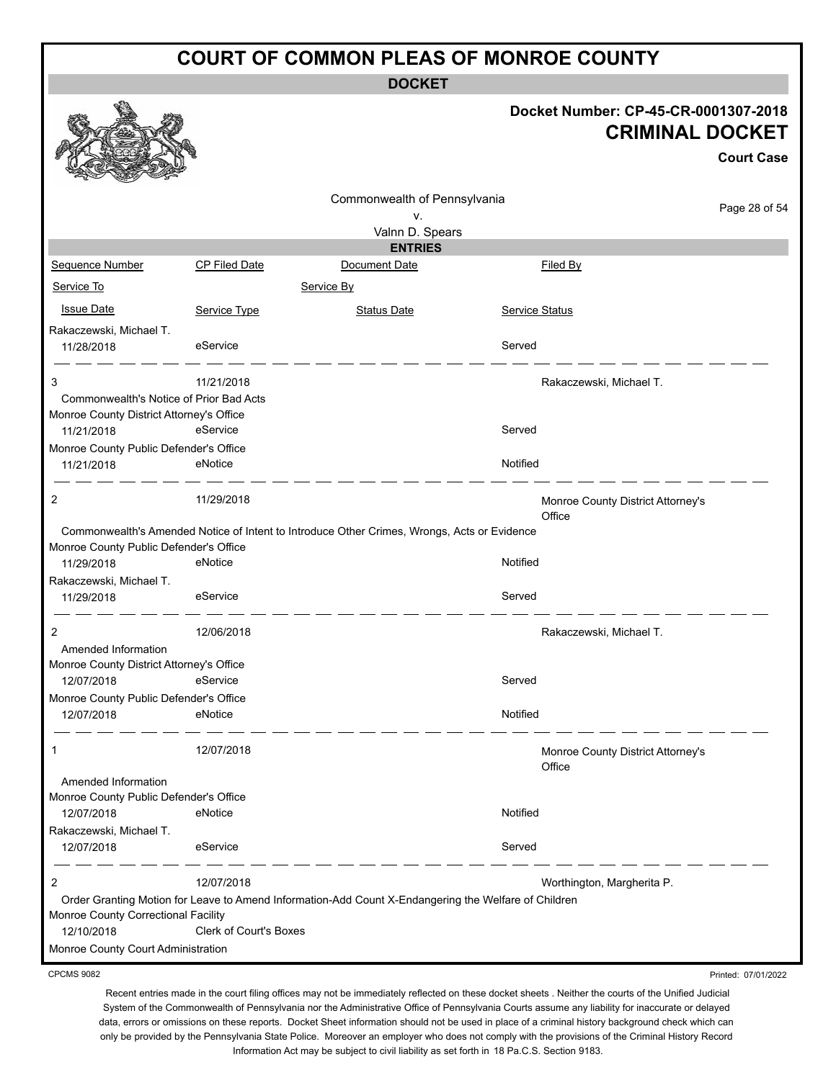**DOCKET**

#### **Docket Number: CP-45-CR-0001307-2018 CRIMINAL DOCKET**

Printed: 07/01/2022

|                                          |                               |                                                                                                      |                |                                             | <b>Court Case</b> |
|------------------------------------------|-------------------------------|------------------------------------------------------------------------------------------------------|----------------|---------------------------------------------|-------------------|
|                                          |                               | Commonwealth of Pennsylvania                                                                         |                |                                             |                   |
|                                          |                               | ۷.                                                                                                   |                |                                             | Page 28 of 54     |
|                                          |                               | Valnn D. Spears                                                                                      |                |                                             |                   |
|                                          |                               | <b>ENTRIES</b>                                                                                       |                |                                             |                   |
| <b>Sequence Number</b>                   | <b>CP Filed Date</b>          | Document Date                                                                                        |                | Filed By                                    |                   |
| Service To                               |                               | Service By                                                                                           |                |                                             |                   |
| <b>Issue Date</b>                        | Service Type                  | <b>Status Date</b>                                                                                   | Service Status |                                             |                   |
| Rakaczewski, Michael T.<br>11/28/2018    | eService                      |                                                                                                      | Served         |                                             |                   |
| 3                                        | 11/21/2018                    |                                                                                                      |                | Rakaczewski, Michael T.                     |                   |
| Commonwealth's Notice of Prior Bad Acts  |                               |                                                                                                      |                |                                             |                   |
| Monroe County District Attorney's Office |                               |                                                                                                      |                |                                             |                   |
| 11/21/2018                               | eService                      |                                                                                                      | Served         |                                             |                   |
| Monroe County Public Defender's Office   |                               |                                                                                                      |                |                                             |                   |
| 11/21/2018                               | eNotice                       |                                                                                                      | Notified       |                                             |                   |
| 2                                        | 11/29/2018                    |                                                                                                      |                | Monroe County District Attorney's<br>Office |                   |
| Monroe County Public Defender's Office   |                               | Commonwealth's Amended Notice of Intent to Introduce Other Crimes, Wrongs, Acts or Evidence          |                |                                             |                   |
| 11/29/2018                               | eNotice                       |                                                                                                      | Notified       |                                             |                   |
| Rakaczewski, Michael T.                  |                               |                                                                                                      |                |                                             |                   |
| 11/29/2018                               | eService                      |                                                                                                      | Served         |                                             |                   |
| 2                                        | 12/06/2018                    |                                                                                                      |                | Rakaczewski, Michael T.                     |                   |
| Amended Information                      |                               |                                                                                                      |                |                                             |                   |
| Monroe County District Attorney's Office |                               |                                                                                                      |                |                                             |                   |
| 12/07/2018                               | eService                      |                                                                                                      | Served         |                                             |                   |
| Monroe County Public Defender's Office   |                               |                                                                                                      |                |                                             |                   |
| 12/07/2018                               | eNotice                       |                                                                                                      | Notified       |                                             |                   |
|                                          | 12/07/2018                    |                                                                                                      |                | Monroe County District Attorney's<br>Office |                   |
| Amended Information                      |                               |                                                                                                      |                |                                             |                   |
| Monroe County Public Defender's Office   |                               |                                                                                                      |                |                                             |                   |
| 12/07/2018                               | eNotice                       |                                                                                                      | Notified       |                                             |                   |
| Rakaczewski, Michael T.                  |                               |                                                                                                      |                |                                             |                   |
| 12/07/2018                               | eService                      |                                                                                                      | Served         |                                             |                   |
| 2                                        | 12/07/2018                    |                                                                                                      |                | Worthington, Margherita P.                  |                   |
|                                          |                               | Order Granting Motion for Leave to Amend Information-Add Count X-Endangering the Welfare of Children |                |                                             |                   |
| Monroe County Correctional Facility      |                               |                                                                                                      |                |                                             |                   |
| 12/10/2018                               | <b>Clerk of Court's Boxes</b> |                                                                                                      |                |                                             |                   |
| Monroe County Court Administration       |                               |                                                                                                      |                |                                             |                   |

CPCMS 9082

 $\mathcal{R}_{\mathcal{A}}$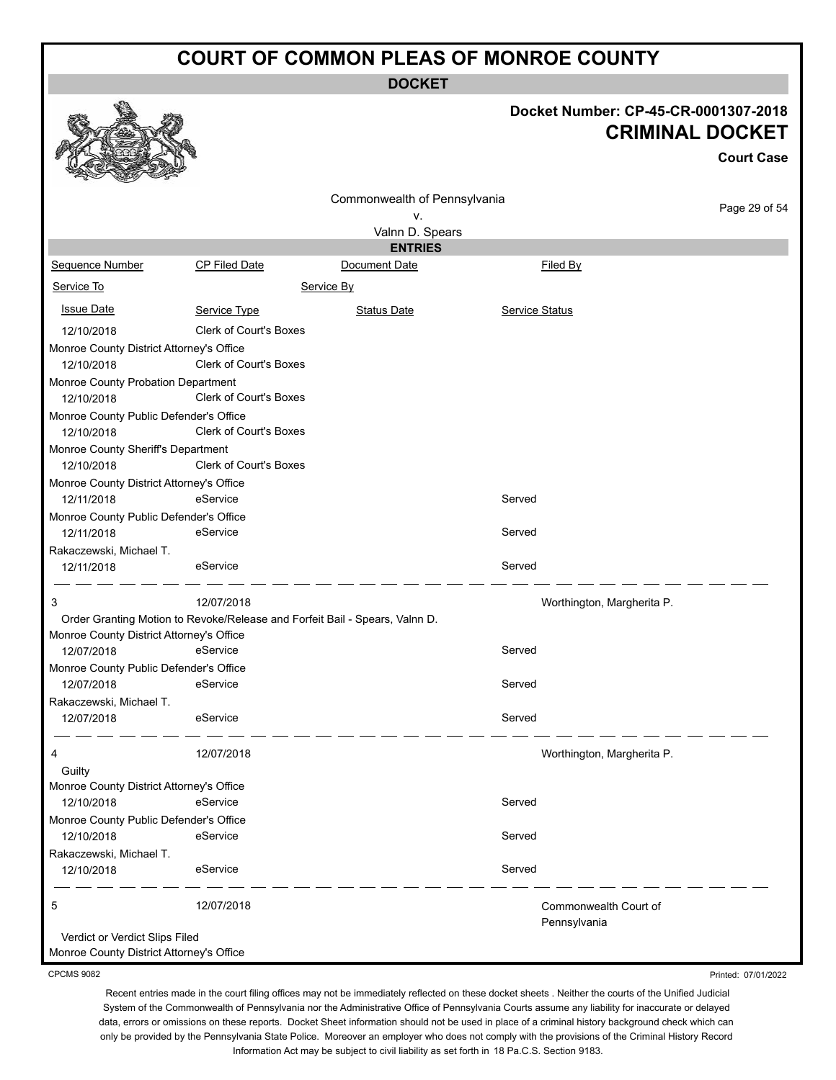**DOCKET**

# **Docket Number: CP-45-CR-0001307-2018**

|                                                        |                                                                             |                                   |                            | Docket Number: CP-45-CR-0001307-2018        |
|--------------------------------------------------------|-----------------------------------------------------------------------------|-----------------------------------|----------------------------|---------------------------------------------|
|                                                        |                                                                             |                                   |                            | <b>CRIMINAL DOCKET</b><br><b>Court Case</b> |
|                                                        |                                                                             |                                   |                            |                                             |
|                                                        |                                                                             | Commonwealth of Pennsylvania      |                            | Page 29 of 54                               |
|                                                        |                                                                             | v.                                |                            |                                             |
|                                                        |                                                                             | Valnn D. Spears<br><b>ENTRIES</b> |                            |                                             |
| Sequence Number                                        | <b>CP Filed Date</b>                                                        | Document Date                     | Filed By                   |                                             |
| Service To                                             |                                                                             | Service By                        |                            |                                             |
| <b>Issue Date</b>                                      | Service Type                                                                | <b>Status Date</b>                | <b>Service Status</b>      |                                             |
|                                                        | <b>Clerk of Court's Boxes</b>                                               |                                   |                            |                                             |
| 12/10/2018                                             |                                                                             |                                   |                            |                                             |
| Monroe County District Attorney's Office<br>12/10/2018 | <b>Clerk of Court's Boxes</b>                                               |                                   |                            |                                             |
| Monroe County Probation Department                     |                                                                             |                                   |                            |                                             |
| 12/10/2018                                             | <b>Clerk of Court's Boxes</b>                                               |                                   |                            |                                             |
| Monroe County Public Defender's Office                 |                                                                             |                                   |                            |                                             |
| 12/10/2018                                             | <b>Clerk of Court's Boxes</b>                                               |                                   |                            |                                             |
|                                                        |                                                                             |                                   |                            |                                             |
| Monroe County Sheriff's Department<br>12/10/2018       | <b>Clerk of Court's Boxes</b>                                               |                                   |                            |                                             |
|                                                        |                                                                             |                                   |                            |                                             |
| Monroe County District Attorney's Office<br>12/11/2018 | eService                                                                    |                                   | Served                     |                                             |
|                                                        |                                                                             |                                   |                            |                                             |
| Monroe County Public Defender's Office<br>12/11/2018   | eService                                                                    |                                   | Served                     |                                             |
|                                                        |                                                                             |                                   |                            |                                             |
| Rakaczewski, Michael T.                                | eService                                                                    |                                   | Served                     |                                             |
| 12/11/2018                                             |                                                                             |                                   |                            |                                             |
| 3                                                      | 12/07/2018                                                                  |                                   | Worthington, Margherita P. |                                             |
|                                                        | Order Granting Motion to Revoke/Release and Forfeit Bail - Spears, Valnn D. |                                   |                            |                                             |
| Monroe County District Attorney's Office               |                                                                             |                                   |                            |                                             |
| 12/07/2018                                             | eService                                                                    |                                   | Served                     |                                             |
| Monroe County Public Defender's Office                 |                                                                             |                                   |                            |                                             |
| 12/07/2018                                             | eService                                                                    |                                   | Served                     |                                             |
| Rakaczewski, Michael T.                                |                                                                             |                                   |                            |                                             |
| 12/07/2018                                             | eService                                                                    |                                   | Served                     |                                             |
| 4                                                      | 12/07/2018                                                                  |                                   | Worthington, Margherita P. |                                             |
| Guilty                                                 |                                                                             |                                   |                            |                                             |
| Monroe County District Attorney's Office               |                                                                             |                                   |                            |                                             |
| 12/10/2018                                             | eService                                                                    |                                   | Served                     |                                             |
| Monroe County Public Defender's Office                 |                                                                             |                                   |                            |                                             |
| 12/10/2018                                             | eService                                                                    |                                   | Served                     |                                             |
| Rakaczewski, Michael T.                                |                                                                             |                                   |                            |                                             |
| 12/10/2018                                             | eService                                                                    |                                   | Served                     |                                             |
| 5                                                      | 12/07/2018                                                                  |                                   | Commonwealth Court of      |                                             |
|                                                        |                                                                             |                                   | Pennsylvania               |                                             |
| Verdict or Verdict Slips Filed                         |                                                                             |                                   |                            |                                             |

Monroe County District Attorney's Office

 $\mathbf{A}$ 

CPCMS 9082

Printed: 07/01/2022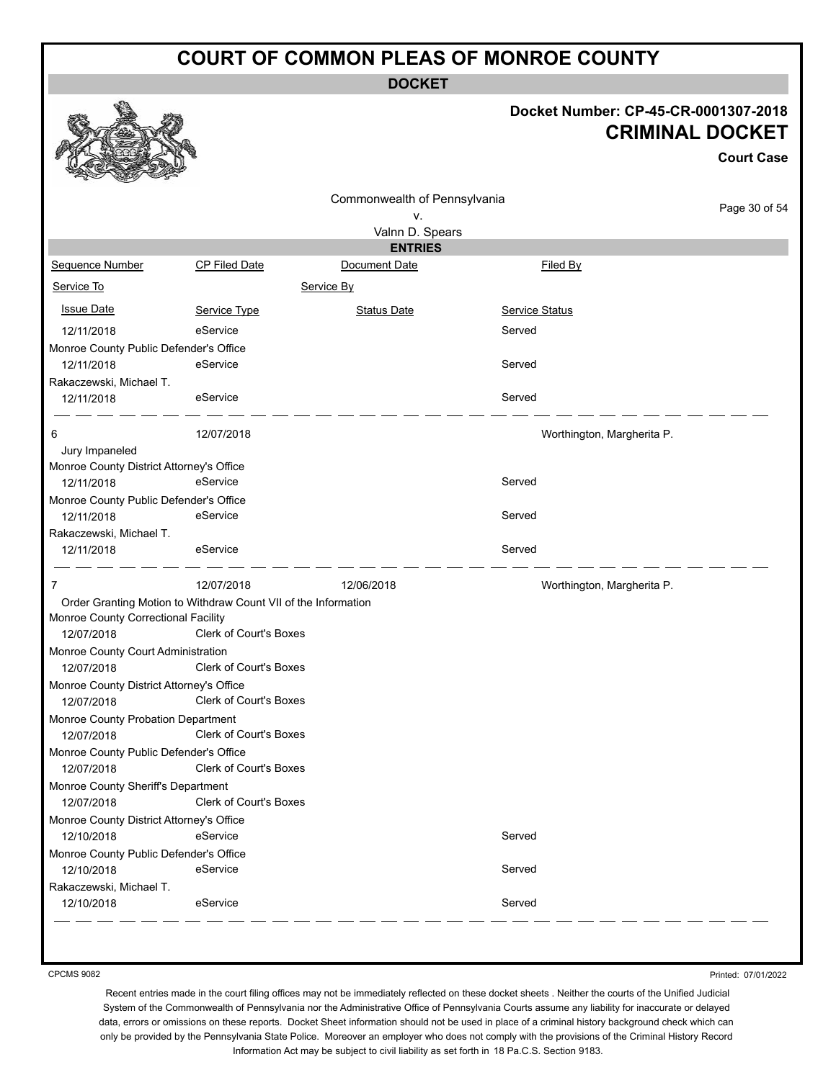**DOCKET**

#### **Docket Number: CP-45-CR-0001307-2018 CRIMINAL DOCKET**

**Court Case**

Page 30 of 54

|                                          |                                                                | Commonwealth of Pennsylvania |                            |
|------------------------------------------|----------------------------------------------------------------|------------------------------|----------------------------|
|                                          |                                                                | v.                           |                            |
|                                          |                                                                | Valnn D. Spears              |                            |
|                                          |                                                                | <b>ENTRIES</b>               |                            |
| <b>Sequence Number</b>                   | <b>CP Filed Date</b>                                           | Document Date                | Filed By                   |
| Service To                               |                                                                | Service By                   |                            |
| <b>Issue Date</b>                        | Service Type                                                   | <b>Status Date</b>           | <b>Service Status</b>      |
| 12/11/2018                               | eService                                                       |                              | Served                     |
| Monroe County Public Defender's Office   |                                                                |                              |                            |
| 12/11/2018                               | eService                                                       |                              | Served                     |
| Rakaczewski, Michael T.                  |                                                                |                              |                            |
| 12/11/2018                               | eService                                                       |                              | Served                     |
| 6                                        | 12/07/2018                                                     |                              | Worthington, Margherita P. |
| Jury Impaneled                           |                                                                |                              |                            |
| Monroe County District Attorney's Office |                                                                |                              |                            |
| 12/11/2018                               | eService                                                       |                              | Served                     |
| Monroe County Public Defender's Office   |                                                                |                              |                            |
| 12/11/2018                               | eService                                                       |                              | Served                     |
| Rakaczewski, Michael T.                  |                                                                |                              |                            |
| 12/11/2018                               | eService                                                       |                              | Served                     |
| 7                                        | 12/07/2018                                                     | 12/06/2018                   | Worthington, Margherita P. |
|                                          | Order Granting Motion to Withdraw Count VII of the Information |                              |                            |
| Monroe County Correctional Facility      |                                                                |                              |                            |
| 12/07/2018                               | <b>Clerk of Court's Boxes</b>                                  |                              |                            |
| Monroe County Court Administration       |                                                                |                              |                            |
| 12/07/2018                               | Clerk of Court's Boxes                                         |                              |                            |
| Monroe County District Attorney's Office |                                                                |                              |                            |
| 12/07/2018                               | Clerk of Court's Boxes                                         |                              |                            |
| Monroe County Probation Department       |                                                                |                              |                            |
| 12/07/2018                               | <b>Clerk of Court's Boxes</b>                                  |                              |                            |
| Monroe County Public Defender's Office   |                                                                |                              |                            |
| 12/07/2018                               | <b>Clerk of Court's Boxes</b>                                  |                              |                            |
| Monroe County Sheriff's Department       |                                                                |                              |                            |
| 12/07/2018                               | Clerk of Court's Boxes                                         |                              |                            |

7 12/07/2018 12/06/2018 Worthington, Margherita P. Monroe County District Attorney's Office 12/10/2018 eService entertainment of the Served Monroe County Public Defender's Office 12/10/2018 eService eService Served Rakaczewski, Michael T. 12/10/2018 eService Served

CPCMS 9082

Printed: 07/01/2022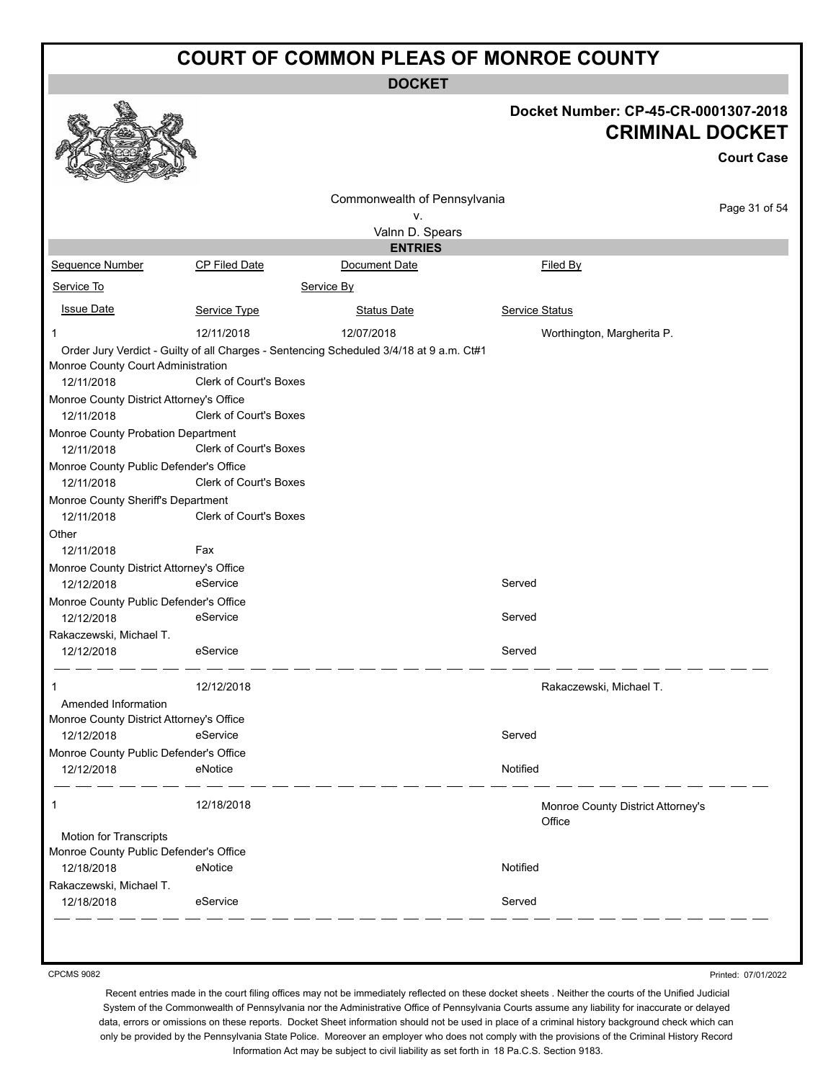**DOCKET**

|                                                      |                               |                                                                                         | Docket Number: CP-45-CR-0001307-2018<br><b>CRIMINAL DOCKET</b><br><b>Court Case</b> |
|------------------------------------------------------|-------------------------------|-----------------------------------------------------------------------------------------|-------------------------------------------------------------------------------------|
|                                                      |                               | Commonwealth of Pennsylvania                                                            | Page 31 of 54                                                                       |
|                                                      |                               | v.                                                                                      |                                                                                     |
|                                                      |                               | Valnn D. Spears                                                                         |                                                                                     |
|                                                      |                               | <b>ENTRIES</b><br>Document Date                                                         |                                                                                     |
| Sequence Number                                      | CP Filed Date                 |                                                                                         | Filed By                                                                            |
| Service To                                           |                               | Service By                                                                              |                                                                                     |
| <b>Issue Date</b>                                    | Service Type                  | <b>Status Date</b>                                                                      | <b>Service Status</b>                                                               |
| 1                                                    | 12/11/2018                    | 12/07/2018                                                                              | Worthington, Margherita P.                                                          |
|                                                      |                               | Order Jury Verdict - Guilty of all Charges - Sentencing Scheduled 3/4/18 at 9 a.m. Ct#1 |                                                                                     |
| Monroe County Court Administration                   |                               |                                                                                         |                                                                                     |
| 12/11/2018                                           | <b>Clerk of Court's Boxes</b> |                                                                                         |                                                                                     |
| Monroe County District Attorney's Office             |                               |                                                                                         |                                                                                     |
| 12/11/2018                                           | <b>Clerk of Court's Boxes</b> |                                                                                         |                                                                                     |
| Monroe County Probation Department                   |                               |                                                                                         |                                                                                     |
| 12/11/2018                                           | Clerk of Court's Boxes        |                                                                                         |                                                                                     |
| Monroe County Public Defender's Office<br>12/11/2018 | Clerk of Court's Boxes        |                                                                                         |                                                                                     |
| Monroe County Sheriff's Department<br>12/11/2018     | <b>Clerk of Court's Boxes</b> |                                                                                         |                                                                                     |
| Other<br>12/11/2018                                  | Fax                           |                                                                                         |                                                                                     |
| Monroe County District Attorney's Office             |                               |                                                                                         |                                                                                     |
| 12/12/2018                                           | eService                      |                                                                                         | Served                                                                              |
| Monroe County Public Defender's Office               |                               |                                                                                         |                                                                                     |
| 12/12/2018                                           | eService                      |                                                                                         | Served                                                                              |
| Rakaczewski, Michael T.                              |                               |                                                                                         |                                                                                     |
| 12/12/2018                                           | eService                      |                                                                                         | Served                                                                              |
|                                                      | 12/12/2018                    |                                                                                         | Rakaczewski, Michael T.                                                             |
| Amended Information                                  |                               |                                                                                         |                                                                                     |
| Monroe County District Attorney's Office             |                               |                                                                                         |                                                                                     |
| 12/12/2018                                           | eService                      |                                                                                         | Served                                                                              |
| Monroe County Public Defender's Office               |                               |                                                                                         |                                                                                     |
| 12/12/2018                                           | eNotice                       |                                                                                         | Notified                                                                            |
| 1                                                    | 12/18/2018                    |                                                                                         | Monroe County District Attorney's<br>Office                                         |
| <b>Motion for Transcripts</b>                        |                               |                                                                                         |                                                                                     |
| Monroe County Public Defender's Office               |                               |                                                                                         |                                                                                     |
| 12/18/2018                                           | eNotice                       |                                                                                         | Notified                                                                            |
| Rakaczewski, Michael T.<br>12/18/2018                | eService                      |                                                                                         | Served                                                                              |
|                                                      |                               |                                                                                         |                                                                                     |

CPCMS 9082

Printed: 07/01/2022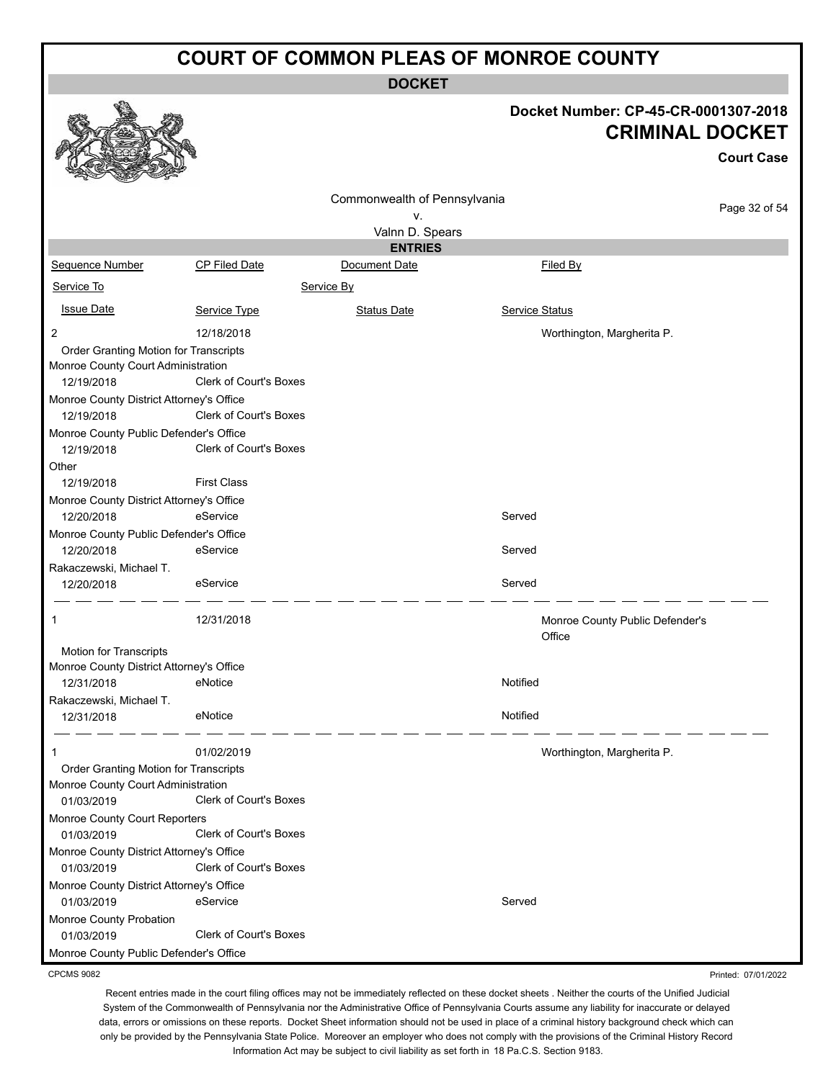**DOCKET**

#### **Docket Number: CP-45-CR-0001307-2018 CRIMINAL DOCKET**

Printed: 07/01/2022

|                                                                             |                               |                              |                                           | UNIIIIIIIAL DUUNE I |
|-----------------------------------------------------------------------------|-------------------------------|------------------------------|-------------------------------------------|---------------------|
|                                                                             |                               |                              |                                           | <b>Court Case</b>   |
|                                                                             |                               | Commonwealth of Pennsylvania |                                           |                     |
|                                                                             |                               | ٧.                           |                                           | Page 32 of 54       |
|                                                                             |                               | Valnn D. Spears              |                                           |                     |
|                                                                             |                               | <b>ENTRIES</b>               |                                           |                     |
| Sequence Number                                                             | CP Filed Date                 | Document Date                | Filed By                                  |                     |
| Service To                                                                  |                               | Service By                   |                                           |                     |
| <b>Issue Date</b>                                                           | Service Type                  | <b>Status Date</b>           | Service Status                            |                     |
| $\overline{2}$                                                              | 12/18/2018                    |                              | Worthington, Margherita P.                |                     |
| Order Granting Motion for Transcripts<br>Monroe County Court Administration |                               |                              |                                           |                     |
| 12/19/2018                                                                  | <b>Clerk of Court's Boxes</b> |                              |                                           |                     |
| Monroe County District Attorney's Office                                    |                               |                              |                                           |                     |
| 12/19/2018                                                                  | Clerk of Court's Boxes        |                              |                                           |                     |
| Monroe County Public Defender's Office<br>12/19/2018                        | Clerk of Court's Boxes        |                              |                                           |                     |
| Other                                                                       |                               |                              |                                           |                     |
| 12/19/2018                                                                  | <b>First Class</b>            |                              |                                           |                     |
| Monroe County District Attorney's Office                                    |                               |                              |                                           |                     |
| 12/20/2018                                                                  | eService                      |                              | Served                                    |                     |
| Monroe County Public Defender's Office                                      |                               |                              |                                           |                     |
| 12/20/2018                                                                  | eService                      |                              | Served                                    |                     |
| Rakaczewski, Michael T.                                                     |                               |                              |                                           |                     |
| 12/20/2018                                                                  | eService                      |                              | Served                                    |                     |
| 1                                                                           | 12/31/2018                    |                              | Monroe County Public Defender's<br>Office |                     |
| Motion for Transcripts                                                      |                               |                              |                                           |                     |
| Monroe County District Attorney's Office                                    |                               |                              |                                           |                     |
| 12/31/2018                                                                  | eNotice                       |                              | Notified                                  |                     |
| Rakaczewski, Michael T.<br>12/31/2018                                       | eNotice                       |                              | Notified                                  |                     |
| 1                                                                           | 01/02/2019                    |                              | Worthington, Margherita P.                |                     |
| Order Granting Motion for Transcripts                                       |                               |                              |                                           |                     |
| Monroe County Court Administration                                          |                               |                              |                                           |                     |
| 01/03/2019                                                                  | Clerk of Court's Boxes        |                              |                                           |                     |
| Monroe County Court Reporters                                               |                               |                              |                                           |                     |
| 01/03/2019                                                                  | Clerk of Court's Boxes        |                              |                                           |                     |
| Monroe County District Attorney's Office<br>01/03/2019                      | Clerk of Court's Boxes        |                              |                                           |                     |
|                                                                             |                               |                              |                                           |                     |
| Monroe County District Attorney's Office<br>01/03/2019                      | eService                      |                              | Served                                    |                     |
| Monroe County Probation                                                     |                               |                              |                                           |                     |
| 01/03/2019                                                                  | Clerk of Court's Boxes        |                              |                                           |                     |
| Monroe County Public Defender's Office                                      |                               |                              |                                           |                     |

CPCMS 9082

**RAA**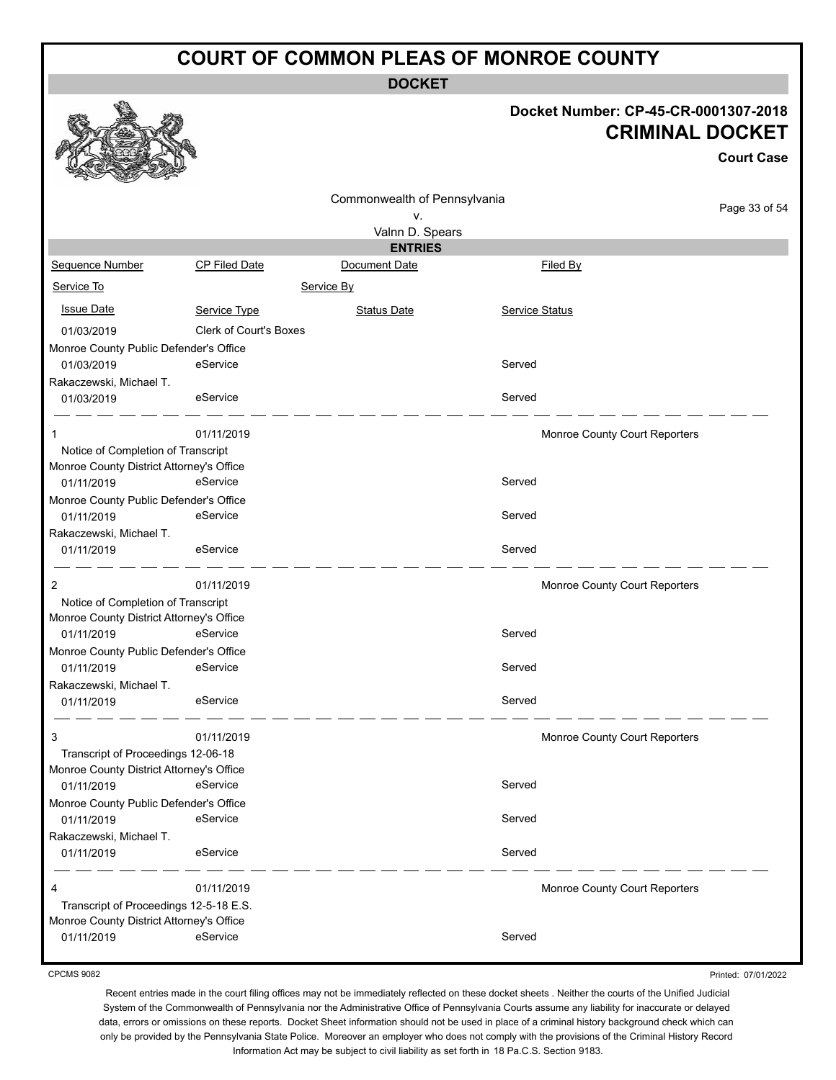**DOCKET**

# **Docket Number: CP-45-CR-0001307-2018**

|                                                      |                               |                                 |                | <b>CRIMINAL DOCKET</b>        |
|------------------------------------------------------|-------------------------------|---------------------------------|----------------|-------------------------------|
|                                                      |                               |                                 |                | <b>Court Case</b>             |
|                                                      |                               | Commonwealth of Pennsylvania    |                | Page 33 of 54                 |
|                                                      |                               | ۷.                              |                |                               |
|                                                      |                               | Valnn D. Spears                 |                |                               |
| Sequence Number                                      | CP Filed Date                 | <b>ENTRIES</b><br>Document Date | Filed By       |                               |
|                                                      |                               |                                 |                |                               |
| Service To                                           |                               | Service By                      |                |                               |
| <b>Issue Date</b>                                    | Service Type                  | <b>Status Date</b>              | Service Status |                               |
| 01/03/2019                                           | <b>Clerk of Court's Boxes</b> |                                 |                |                               |
| Monroe County Public Defender's Office               |                               |                                 |                |                               |
| 01/03/2019                                           | eService                      |                                 | Served         |                               |
| Rakaczewski, Michael T.                              |                               |                                 |                |                               |
| 01/03/2019                                           | eService                      |                                 | Served         |                               |
| 1                                                    | 01/11/2019                    |                                 |                | Monroe County Court Reporters |
| Notice of Completion of Transcript                   |                               |                                 |                |                               |
| Monroe County District Attorney's Office             |                               |                                 |                |                               |
| 01/11/2019                                           | eService                      |                                 | Served         |                               |
| Monroe County Public Defender's Office               |                               |                                 |                |                               |
| 01/11/2019                                           | eService                      |                                 | Served         |                               |
| Rakaczewski, Michael T.<br>01/11/2019                | eService                      |                                 | Served         |                               |
|                                                      |                               |                                 |                |                               |
| 2                                                    | 01/11/2019                    |                                 |                | Monroe County Court Reporters |
| Notice of Completion of Transcript                   |                               |                                 |                |                               |
| Monroe County District Attorney's Office             |                               |                                 |                |                               |
| 01/11/2019                                           | eService                      |                                 | Served         |                               |
| Monroe County Public Defender's Office<br>01/11/2019 | eService                      |                                 | Served         |                               |
| Rakaczewski, Michael T.                              |                               |                                 |                |                               |
| 01/11/2019                                           | eService                      |                                 | Served         |                               |
|                                                      |                               |                                 |                |                               |
| 3                                                    | 01/11/2019                    |                                 |                | Monroe County Court Reporters |
| Transcript of Proceedings 12-06-18                   |                               |                                 |                |                               |
| Monroe County District Attorney's Office             |                               |                                 |                |                               |
| 01/11/2019                                           | eService                      |                                 | Served         |                               |
| Monroe County Public Defender's Office               | eService                      |                                 | Served         |                               |
| 01/11/2019<br>Rakaczewski, Michael T.                |                               |                                 |                |                               |
| 01/11/2019                                           | eService                      |                                 | Served         |                               |
|                                                      |                               |                                 |                |                               |
| 4                                                    | 01/11/2019                    |                                 |                | Monroe County Court Reporters |
| Transcript of Proceedings 12-5-18 E.S.               |                               |                                 |                |                               |
| Monroe County District Attorney's Office             |                               |                                 |                |                               |
| 01/11/2019                                           | eService                      |                                 | Served         |                               |

CPCMS 9082

 $\mathbb{R}$ 

أسماء

Printed: 07/01/2022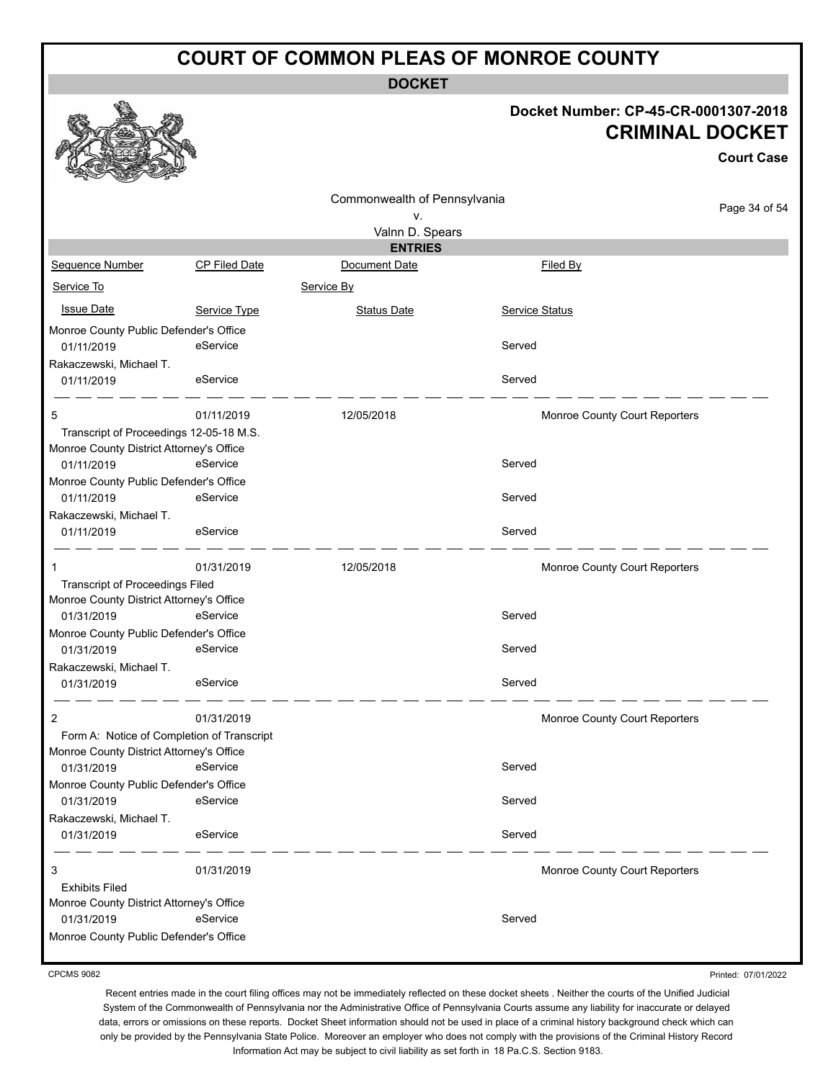**DOCKET**

#### **Docket Number: CP-45-CR-0001307-2018 CRIMINAL DOCKET**

|                                            |               |                                    |                | <b>Court Case</b>             |
|--------------------------------------------|---------------|------------------------------------|----------------|-------------------------------|
|                                            |               | Commonwealth of Pennsylvania<br>ν. |                | Page 34 of 54                 |
|                                            |               | Valnn D. Spears                    |                |                               |
|                                            |               | <b>ENTRIES</b>                     |                |                               |
| Sequence Number                            | CP Filed Date | Document Date                      | Filed By       |                               |
| Service To                                 |               | Service By                         |                |                               |
| <b>Issue Date</b>                          | Service Type  | <b>Status Date</b>                 | Service Status |                               |
| Monroe County Public Defender's Office     |               |                                    |                |                               |
| 01/11/2019                                 | eService      |                                    | Served         |                               |
| Rakaczewski, Michael T.                    |               |                                    |                |                               |
| 01/11/2019                                 | eService      |                                    | Served         |                               |
| 5                                          | 01/11/2019    | 12/05/2018                         |                | Monroe County Court Reporters |
| Transcript of Proceedings 12-05-18 M.S.    |               |                                    |                |                               |
| Monroe County District Attorney's Office   |               |                                    |                |                               |
| 01/11/2019                                 | eService      |                                    | Served         |                               |
| Monroe County Public Defender's Office     |               |                                    |                |                               |
| 01/11/2019                                 | eService      |                                    | Served         |                               |
| Rakaczewski, Michael T.                    |               |                                    |                |                               |
| 01/11/2019                                 | eService      |                                    | Served         |                               |
| 1                                          | 01/31/2019    | 12/05/2018                         |                | Monroe County Court Reporters |
| <b>Transcript of Proceedings Filed</b>     |               |                                    |                |                               |
| Monroe County District Attorney's Office   |               |                                    |                |                               |
| 01/31/2019                                 | eService      |                                    | Served         |                               |
| Monroe County Public Defender's Office     |               |                                    |                |                               |
| 01/31/2019                                 | eService      |                                    | Served         |                               |
| Rakaczewski, Michael T.                    | eService      |                                    | Served         |                               |
| 01/31/2019                                 |               |                                    |                |                               |
| 2                                          | 01/31/2019    |                                    |                | Monroe County Court Reporters |
| Form A: Notice of Completion of Transcript |               |                                    |                |                               |
| Monroe County District Attorney's Office   |               |                                    |                |                               |
| 01/31/2019                                 | eService      |                                    | Served         |                               |
| Monroe County Public Defender's Office     |               |                                    |                |                               |
| 01/31/2019                                 | eService      |                                    | Served         |                               |
| Rakaczewski, Michael T.<br>01/31/2019      | eService      |                                    | Served         |                               |
|                                            |               |                                    |                |                               |
| 3                                          | 01/31/2019    |                                    |                | Monroe County Court Reporters |
| <b>Exhibits Filed</b>                      |               |                                    |                |                               |
| Monroe County District Attorney's Office   |               |                                    |                |                               |
| 01/31/2019                                 | eService      |                                    | Served         |                               |
| Monroe County Public Defender's Office     |               |                                    |                |                               |

CPCMS 9082

Printed: 07/01/2022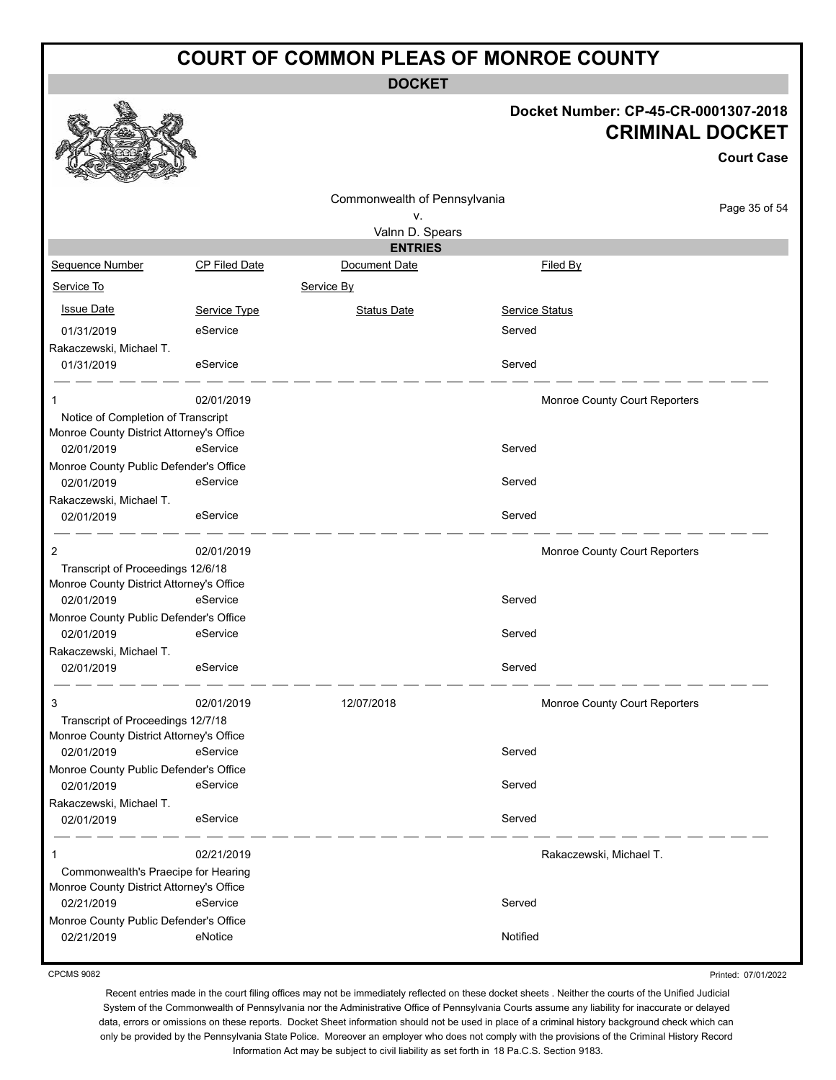**DOCKET**

#### **Docket Number: CP-45-CR-0001307-2018 RIMINAL DOCKET**

**Court Case**

|                                                                                              |                      |                                    | CRIMINAL                      |
|----------------------------------------------------------------------------------------------|----------------------|------------------------------------|-------------------------------|
|                                                                                              |                      | Commonwealth of Pennsylvania<br>۷. |                               |
|                                                                                              |                      | Valnn D. Spears                    |                               |
|                                                                                              |                      | <b>ENTRIES</b>                     |                               |
| Sequence Number                                                                              | <b>CP Filed Date</b> | Document Date                      | Filed By                      |
| Service To                                                                                   |                      | Service By                         |                               |
| <b>Issue Date</b>                                                                            | Service Type         | <b>Status Date</b>                 | <b>Service Status</b>         |
| 01/31/2019                                                                                   | eService             |                                    | Served                        |
| Rakaczewski, Michael T.<br>01/31/2019                                                        | eService             |                                    | Served                        |
| 1                                                                                            | 02/01/2019           |                                    | Monroe County Court Reporters |
| Notice of Completion of Transcript<br>Monroe County District Attorney's Office<br>02/01/2019 | eService             |                                    | Served                        |
| Monroe County Public Defender's Office<br>02/01/2019                                         | eService             |                                    | Served                        |
| Rakaczewski, Michael T.<br>02/01/2019                                                        | eService             |                                    | Served                        |
| 2<br>Transcript of Proceedings 12/6/18                                                       | 02/01/2019           |                                    | Monroe County Court Reporters |
| Monroe County District Attorney's Office<br>02/01/2019                                       | eService             |                                    | Served                        |
| Monroe County Public Defender's Office                                                       |                      |                                    |                               |
| 02/01/2019                                                                                   | eService             |                                    | Served                        |
| Rakaczewski, Michael T.<br>02/01/2019                                                        | eService             |                                    | Served                        |
| 3                                                                                            | 02/01/2019           | 12/07/2018                         | Monroe County Court Reporters |
| Transcript of Proceedings 12/7/18<br>Monroe County District Attorney's Office<br>02/01/2019  | eService             |                                    | Served                        |
| Monroe County Public Defender's Office<br>02/01/2019                                         | eService             |                                    | Served                        |
| Rakaczewski, Michael T.<br>02/01/2019                                                        | eService             |                                    | Served                        |

1 02/21/2019 Rakaczewski, Michael T. Commonwealth's Praecipe for Hearing Monroe County District Attorney's Office 02/21/2019 eService Served Monroe County Public Defender's Office 02/21/2019 eNotice environmental environmental environmental environmental environmental environmental environmental environmental environmental environmental environmental environmental environmental environmental environ

Printed: 07/01/2022

Recent entries made in the court filing offices may not be immediately reflected on these docket sheets . Neither the courts of the Unified Judicial System of the Commonwealth of Pennsylvania nor the Administrative Office of Pennsylvania Courts assume any liability for inaccurate or delayed data, errors or omissions on these reports. Docket Sheet information should not be used in place of a criminal history background check which can only be provided by the Pennsylvania State Police. Moreover an employer who does not comply with the provisions of the Criminal History Record Information Act may be subject to civil liability as set forth in 18 Pa.C.S. Section 9183.



CPCMS 9082

Page 35 of 54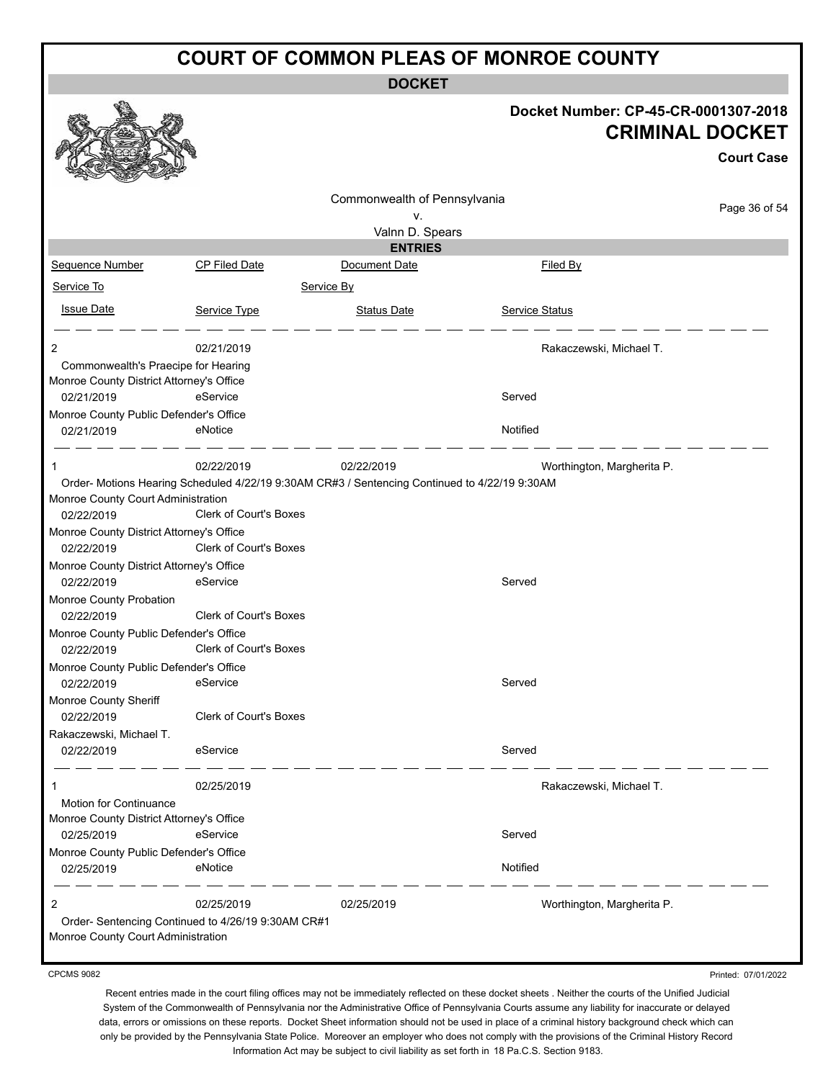**DOCKET**

| Commonwealth of Pennsylvania<br>۷.<br>Valnn D. Spears<br><b>ENTRIES</b><br>Sequence Number<br><b>CP Filed Date</b><br>Document Date<br>Filed By<br>Service To<br>Service By<br><b>Issue Date</b><br>Service Status<br>Service Type<br><b>Status Date</b><br>2<br>02/21/2019<br>Rakaczewski, Michael T.<br>Commonwealth's Praecipe for Hearing<br>Monroe County District Attorney's Office<br>eService<br>Served<br>02/21/2019<br>Monroe County Public Defender's Office<br>Notified<br>eNotice<br>02/21/2019<br>02/22/2019<br>02/22/2019<br>Worthington, Margherita P.<br>1<br>Order-Motions Hearing Scheduled 4/22/19 9:30AM CR#3 / Sentencing Continued to 4/22/19 9:30AM<br>Monroe County Court Administration<br><b>Clerk of Court's Boxes</b><br>02/22/2019<br>Monroe County District Attorney's Office<br><b>Clerk of Court's Boxes</b><br>02/22/2019<br>Monroe County District Attorney's Office<br>eService<br>Served<br>02/22/2019<br>Monroe County Probation<br>Clerk of Court's Boxes<br>02/22/2019<br>Monroe County Public Defender's Office<br>Clerk of Court's Boxes<br>02/22/2019<br>Monroe County Public Defender's Office<br>eService<br>Served<br>02/22/2019<br>Monroe County Sheriff<br><b>Clerk of Court's Boxes</b><br>02/22/2019<br>Rakaczewski, Michael T. | Docket Number: CP-45-CR-0001307-2018<br><b>CRIMINAL DOCKET</b><br><b>Court Case</b> |  |  |
|-----------------------------------------------------------------------------------------------------------------------------------------------------------------------------------------------------------------------------------------------------------------------------------------------------------------------------------------------------------------------------------------------------------------------------------------------------------------------------------------------------------------------------------------------------------------------------------------------------------------------------------------------------------------------------------------------------------------------------------------------------------------------------------------------------------------------------------------------------------------------------------------------------------------------------------------------------------------------------------------------------------------------------------------------------------------------------------------------------------------------------------------------------------------------------------------------------------------------------------------------------------------------------------|-------------------------------------------------------------------------------------|--|--|
|                                                                                                                                                                                                                                                                                                                                                                                                                                                                                                                                                                                                                                                                                                                                                                                                                                                                                                                                                                                                                                                                                                                                                                                                                                                                                   | Page 36 of 54                                                                       |  |  |
|                                                                                                                                                                                                                                                                                                                                                                                                                                                                                                                                                                                                                                                                                                                                                                                                                                                                                                                                                                                                                                                                                                                                                                                                                                                                                   |                                                                                     |  |  |
|                                                                                                                                                                                                                                                                                                                                                                                                                                                                                                                                                                                                                                                                                                                                                                                                                                                                                                                                                                                                                                                                                                                                                                                                                                                                                   |                                                                                     |  |  |
|                                                                                                                                                                                                                                                                                                                                                                                                                                                                                                                                                                                                                                                                                                                                                                                                                                                                                                                                                                                                                                                                                                                                                                                                                                                                                   |                                                                                     |  |  |
|                                                                                                                                                                                                                                                                                                                                                                                                                                                                                                                                                                                                                                                                                                                                                                                                                                                                                                                                                                                                                                                                                                                                                                                                                                                                                   |                                                                                     |  |  |
|                                                                                                                                                                                                                                                                                                                                                                                                                                                                                                                                                                                                                                                                                                                                                                                                                                                                                                                                                                                                                                                                                                                                                                                                                                                                                   |                                                                                     |  |  |
|                                                                                                                                                                                                                                                                                                                                                                                                                                                                                                                                                                                                                                                                                                                                                                                                                                                                                                                                                                                                                                                                                                                                                                                                                                                                                   |                                                                                     |  |  |
|                                                                                                                                                                                                                                                                                                                                                                                                                                                                                                                                                                                                                                                                                                                                                                                                                                                                                                                                                                                                                                                                                                                                                                                                                                                                                   |                                                                                     |  |  |
|                                                                                                                                                                                                                                                                                                                                                                                                                                                                                                                                                                                                                                                                                                                                                                                                                                                                                                                                                                                                                                                                                                                                                                                                                                                                                   |                                                                                     |  |  |
|                                                                                                                                                                                                                                                                                                                                                                                                                                                                                                                                                                                                                                                                                                                                                                                                                                                                                                                                                                                                                                                                                                                                                                                                                                                                                   |                                                                                     |  |  |
|                                                                                                                                                                                                                                                                                                                                                                                                                                                                                                                                                                                                                                                                                                                                                                                                                                                                                                                                                                                                                                                                                                                                                                                                                                                                                   |                                                                                     |  |  |
|                                                                                                                                                                                                                                                                                                                                                                                                                                                                                                                                                                                                                                                                                                                                                                                                                                                                                                                                                                                                                                                                                                                                                                                                                                                                                   |                                                                                     |  |  |
|                                                                                                                                                                                                                                                                                                                                                                                                                                                                                                                                                                                                                                                                                                                                                                                                                                                                                                                                                                                                                                                                                                                                                                                                                                                                                   |                                                                                     |  |  |
|                                                                                                                                                                                                                                                                                                                                                                                                                                                                                                                                                                                                                                                                                                                                                                                                                                                                                                                                                                                                                                                                                                                                                                                                                                                                                   |                                                                                     |  |  |
|                                                                                                                                                                                                                                                                                                                                                                                                                                                                                                                                                                                                                                                                                                                                                                                                                                                                                                                                                                                                                                                                                                                                                                                                                                                                                   |                                                                                     |  |  |
|                                                                                                                                                                                                                                                                                                                                                                                                                                                                                                                                                                                                                                                                                                                                                                                                                                                                                                                                                                                                                                                                                                                                                                                                                                                                                   |                                                                                     |  |  |
|                                                                                                                                                                                                                                                                                                                                                                                                                                                                                                                                                                                                                                                                                                                                                                                                                                                                                                                                                                                                                                                                                                                                                                                                                                                                                   |                                                                                     |  |  |
|                                                                                                                                                                                                                                                                                                                                                                                                                                                                                                                                                                                                                                                                                                                                                                                                                                                                                                                                                                                                                                                                                                                                                                                                                                                                                   |                                                                                     |  |  |
|                                                                                                                                                                                                                                                                                                                                                                                                                                                                                                                                                                                                                                                                                                                                                                                                                                                                                                                                                                                                                                                                                                                                                                                                                                                                                   |                                                                                     |  |  |
|                                                                                                                                                                                                                                                                                                                                                                                                                                                                                                                                                                                                                                                                                                                                                                                                                                                                                                                                                                                                                                                                                                                                                                                                                                                                                   |                                                                                     |  |  |
|                                                                                                                                                                                                                                                                                                                                                                                                                                                                                                                                                                                                                                                                                                                                                                                                                                                                                                                                                                                                                                                                                                                                                                                                                                                                                   |                                                                                     |  |  |
|                                                                                                                                                                                                                                                                                                                                                                                                                                                                                                                                                                                                                                                                                                                                                                                                                                                                                                                                                                                                                                                                                                                                                                                                                                                                                   |                                                                                     |  |  |
| Served<br>eService<br>02/22/2019                                                                                                                                                                                                                                                                                                                                                                                                                                                                                                                                                                                                                                                                                                                                                                                                                                                                                                                                                                                                                                                                                                                                                                                                                                                  |                                                                                     |  |  |
| 02/25/2019<br>Rakaczewski, Michael T.<br>1                                                                                                                                                                                                                                                                                                                                                                                                                                                                                                                                                                                                                                                                                                                                                                                                                                                                                                                                                                                                                                                                                                                                                                                                                                        |                                                                                     |  |  |
| <b>Motion for Continuance</b>                                                                                                                                                                                                                                                                                                                                                                                                                                                                                                                                                                                                                                                                                                                                                                                                                                                                                                                                                                                                                                                                                                                                                                                                                                                     |                                                                                     |  |  |
| Monroe County District Attorney's Office<br>Served<br>eService                                                                                                                                                                                                                                                                                                                                                                                                                                                                                                                                                                                                                                                                                                                                                                                                                                                                                                                                                                                                                                                                                                                                                                                                                    |                                                                                     |  |  |
| 02/25/2019<br>Monroe County Public Defender's Office                                                                                                                                                                                                                                                                                                                                                                                                                                                                                                                                                                                                                                                                                                                                                                                                                                                                                                                                                                                                                                                                                                                                                                                                                              |                                                                                     |  |  |
| eNotice<br>Notified<br>02/25/2019                                                                                                                                                                                                                                                                                                                                                                                                                                                                                                                                                                                                                                                                                                                                                                                                                                                                                                                                                                                                                                                                                                                                                                                                                                                 |                                                                                     |  |  |
| 02/25/2019<br>2<br>02/25/2019<br>Worthington, Margherita P.                                                                                                                                                                                                                                                                                                                                                                                                                                                                                                                                                                                                                                                                                                                                                                                                                                                                                                                                                                                                                                                                                                                                                                                                                       |                                                                                     |  |  |
| Order- Sentencing Continued to 4/26/19 9:30AM CR#1<br>Monroe County Court Administration                                                                                                                                                                                                                                                                                                                                                                                                                                                                                                                                                                                                                                                                                                                                                                                                                                                                                                                                                                                                                                                                                                                                                                                          |                                                                                     |  |  |

CPCMS 9082

Printed: 07/01/2022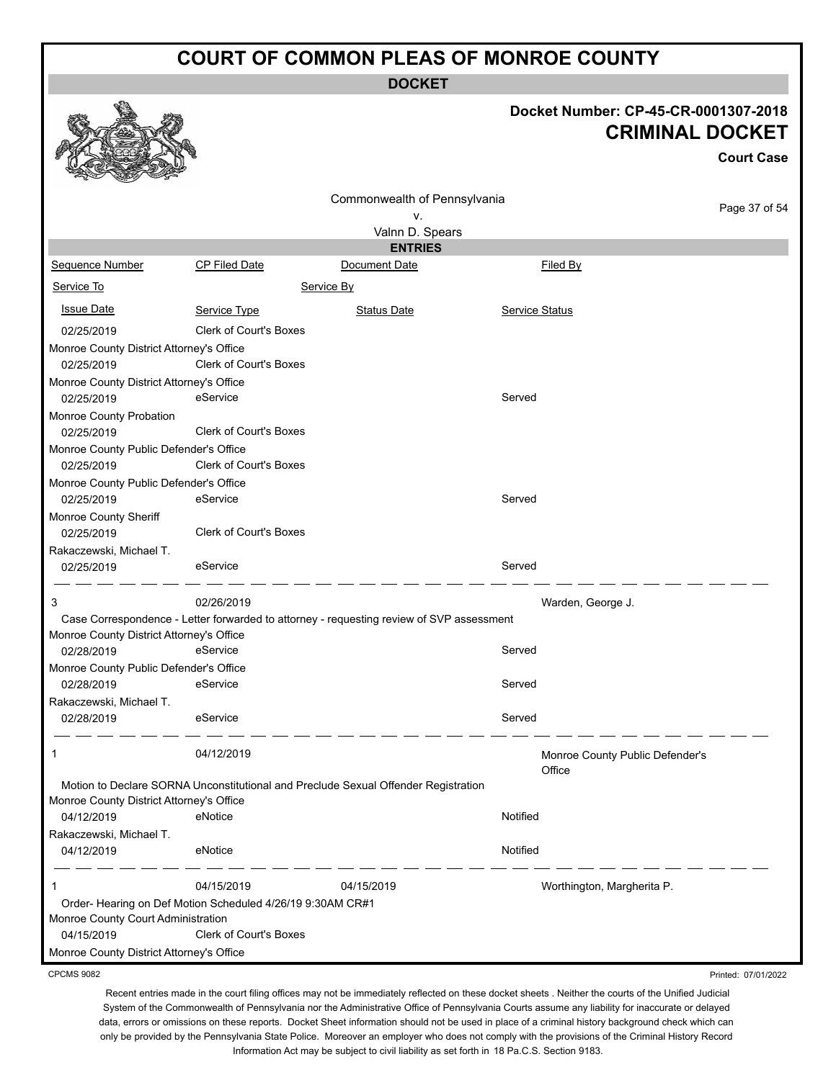**DOCKET**

#### **Docket Number: CP-45-CR-0001307-2018 CRIMINAL DOCKET**

Printed: 07/01/2022

|                                          |                                                                                          |                              | <b>CRIMINAL DOCKET</b>                    |                   |  |
|------------------------------------------|------------------------------------------------------------------------------------------|------------------------------|-------------------------------------------|-------------------|--|
|                                          |                                                                                          |                              |                                           | <b>Court Case</b> |  |
|                                          |                                                                                          | Commonwealth of Pennsylvania |                                           | Page 37 of 54     |  |
|                                          |                                                                                          | ۷.                           |                                           |                   |  |
|                                          |                                                                                          | Valnn D. Spears              |                                           |                   |  |
|                                          |                                                                                          | <b>ENTRIES</b>               |                                           |                   |  |
| Sequence Number                          | <b>CP Filed Date</b>                                                                     | Document Date                | Filed By                                  |                   |  |
| Service To                               |                                                                                          | Service By                   |                                           |                   |  |
| <b>Issue Date</b>                        | Service Type                                                                             | <b>Status Date</b>           | Service Status                            |                   |  |
| 02/25/2019                               | <b>Clerk of Court's Boxes</b>                                                            |                              |                                           |                   |  |
| Monroe County District Attorney's Office |                                                                                          |                              |                                           |                   |  |
| 02/25/2019                               | <b>Clerk of Court's Boxes</b>                                                            |                              |                                           |                   |  |
| Monroe County District Attorney's Office |                                                                                          |                              |                                           |                   |  |
| 02/25/2019                               | eService                                                                                 |                              | Served                                    |                   |  |
| Monroe County Probation                  |                                                                                          |                              |                                           |                   |  |
| 02/25/2019                               | <b>Clerk of Court's Boxes</b>                                                            |                              |                                           |                   |  |
| Monroe County Public Defender's Office   |                                                                                          |                              |                                           |                   |  |
| 02/25/2019                               | <b>Clerk of Court's Boxes</b>                                                            |                              |                                           |                   |  |
| Monroe County Public Defender's Office   |                                                                                          |                              |                                           |                   |  |
| 02/25/2019                               | eService                                                                                 |                              | Served                                    |                   |  |
| Monroe County Sheriff                    |                                                                                          |                              |                                           |                   |  |
| 02/25/2019                               | <b>Clerk of Court's Boxes</b>                                                            |                              |                                           |                   |  |
| Rakaczewski, Michael T.                  |                                                                                          |                              |                                           |                   |  |
| 02/25/2019                               | eService                                                                                 |                              | Served                                    |                   |  |
| 3                                        | 02/26/2019                                                                               |                              | Warden, George J.                         |                   |  |
|                                          | Case Correspondence - Letter forwarded to attorney - requesting review of SVP assessment |                              |                                           |                   |  |
| Monroe County District Attorney's Office |                                                                                          |                              |                                           |                   |  |
| 02/28/2019                               | eService                                                                                 |                              | Served                                    |                   |  |
| Monroe County Public Defender's Office   |                                                                                          |                              |                                           |                   |  |
| 02/28/2019                               | eService                                                                                 |                              | Served                                    |                   |  |
| Rakaczewski, Michael T.                  |                                                                                          |                              |                                           |                   |  |
| 02/28/2019                               | eService                                                                                 |                              | Served                                    |                   |  |
| 1                                        | 04/12/2019                                                                               |                              | Monroe County Public Defender's<br>Office |                   |  |
|                                          | Motion to Declare SORNA Unconstitutional and Preclude Sexual Offender Registration       |                              |                                           |                   |  |
| Monroe County District Attorney's Office |                                                                                          |                              |                                           |                   |  |
| 04/12/2019                               | eNotice                                                                                  |                              | Notified                                  |                   |  |
| Rakaczewski, Michael T.                  |                                                                                          |                              |                                           |                   |  |
| 04/12/2019                               | eNotice                                                                                  |                              | Notified                                  |                   |  |
| 1                                        | 04/15/2019                                                                               | 04/15/2019                   | Worthington, Margherita P.                |                   |  |
|                                          | Order- Hearing on Def Motion Scheduled 4/26/19 9:30AM CR#1                               |                              |                                           |                   |  |
| Monroe County Court Administration       |                                                                                          |                              |                                           |                   |  |
| 04/15/2019                               | <b>Clerk of Court's Boxes</b>                                                            |                              |                                           |                   |  |
| Monroe County District Attorney's Office |                                                                                          |                              |                                           |                   |  |

CPCMS 9082

a An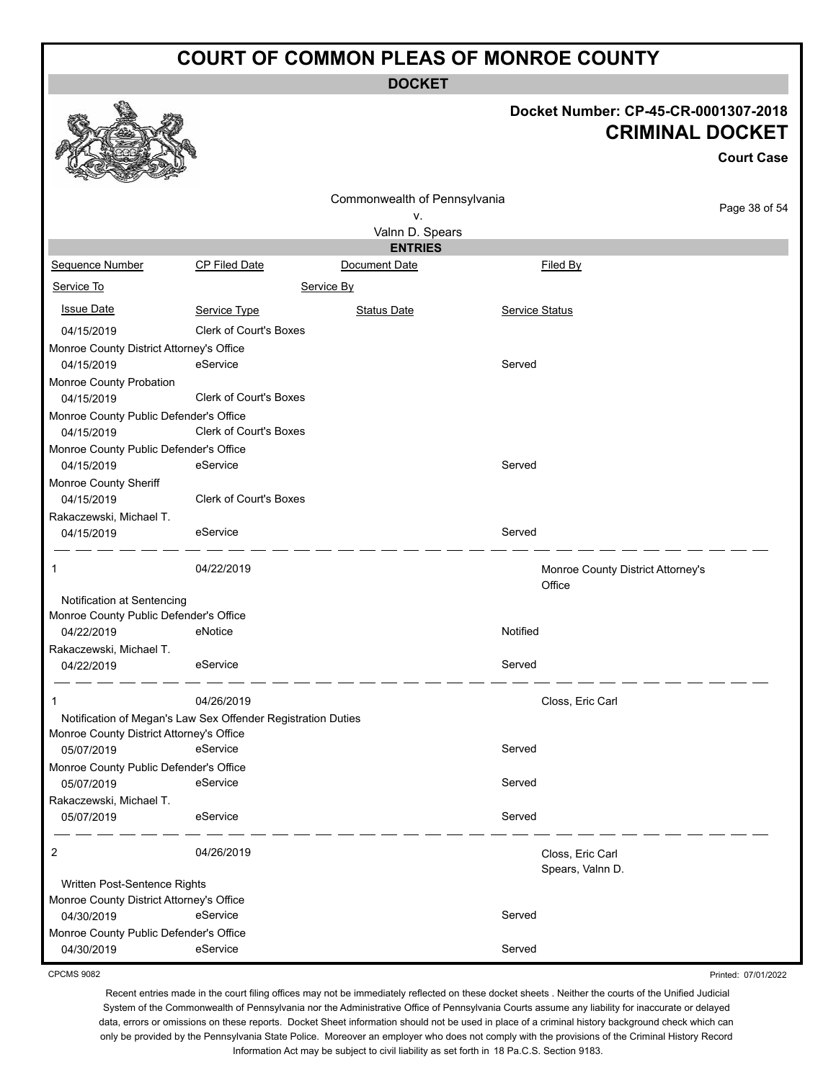**DOCKET**

## **Docket Number: CP-45-CR-0001307-2018**

Printed: 07/01/2022

|                                                        |                                                              |                              |                       | <b>CRIMINAL DOCKET</b>               | <b>Court Case</b> |
|--------------------------------------------------------|--------------------------------------------------------------|------------------------------|-----------------------|--------------------------------------|-------------------|
|                                                        |                                                              | Commonwealth of Pennsylvania |                       |                                      |                   |
|                                                        |                                                              | v.                           |                       |                                      | Page 38 of 54     |
|                                                        |                                                              | Valnn D. Spears              |                       |                                      |                   |
|                                                        |                                                              | <b>ENTRIES</b>               |                       |                                      |                   |
| Sequence Number                                        | CP Filed Date                                                | Document Date                | Filed By              |                                      |                   |
| Service To                                             |                                                              | Service By                   |                       |                                      |                   |
| <b>Issue Date</b>                                      | Service Type                                                 | <b>Status Date</b>           | <b>Service Status</b> |                                      |                   |
| 04/15/2019                                             | <b>Clerk of Court's Boxes</b>                                |                              |                       |                                      |                   |
| Monroe County District Attorney's Office               |                                                              |                              |                       |                                      |                   |
| 04/15/2019                                             | eService                                                     |                              | Served                |                                      |                   |
| Monroe County Probation<br>04/15/2019                  | Clerk of Court's Boxes                                       |                              |                       |                                      |                   |
| Monroe County Public Defender's Office<br>04/15/2019   | Clerk of Court's Boxes                                       |                              |                       |                                      |                   |
| Monroe County Public Defender's Office<br>04/15/2019   | eService                                                     |                              | Served                |                                      |                   |
| Monroe County Sheriff<br>04/15/2019                    | Clerk of Court's Boxes                                       |                              |                       |                                      |                   |
| Rakaczewski, Michael T.<br>04/15/2019                  | eService                                                     |                              | Served                |                                      |                   |
| 1                                                      | 04/22/2019                                                   |                              | Office                | Monroe County District Attorney's    |                   |
| Notification at Sentencing                             |                                                              |                              |                       |                                      |                   |
| Monroe County Public Defender's Office                 |                                                              |                              |                       |                                      |                   |
| 04/22/2019                                             | eNotice                                                      |                              | Notified              |                                      |                   |
| Rakaczewski, Michael T.                                |                                                              |                              |                       |                                      |                   |
| 04/22/2019                                             | eService                                                     |                              | Served                |                                      |                   |
|                                                        | 04/26/2019                                                   |                              |                       | Closs, Eric Carl                     |                   |
|                                                        | Notification of Megan's Law Sex Offender Registration Duties |                              |                       |                                      |                   |
| Monroe County District Attorney's Office<br>05/07/2019 | eService                                                     |                              | Served                |                                      |                   |
| Monroe County Public Defender's Office                 |                                                              |                              |                       |                                      |                   |
| 05/07/2019                                             | eService                                                     |                              | Served                |                                      |                   |
| Rakaczewski, Michael T.<br>05/07/2019                  | eService                                                     |                              | Served                |                                      |                   |
| 2                                                      | 04/26/2019                                                   |                              |                       | Closs, Eric Carl<br>Spears, Valnn D. |                   |
| Written Post-Sentence Rights                           |                                                              |                              |                       |                                      |                   |
| Monroe County District Attorney's Office               |                                                              |                              |                       |                                      |                   |
| 04/30/2019                                             | eService                                                     |                              | Served                |                                      |                   |
| Monroe County Public Defender's Office                 |                                                              |                              |                       |                                      |                   |
| 04/30/2019                                             | eService                                                     |                              | Served                |                                      |                   |

CPCMS 9082

 $\mathbb{Z}$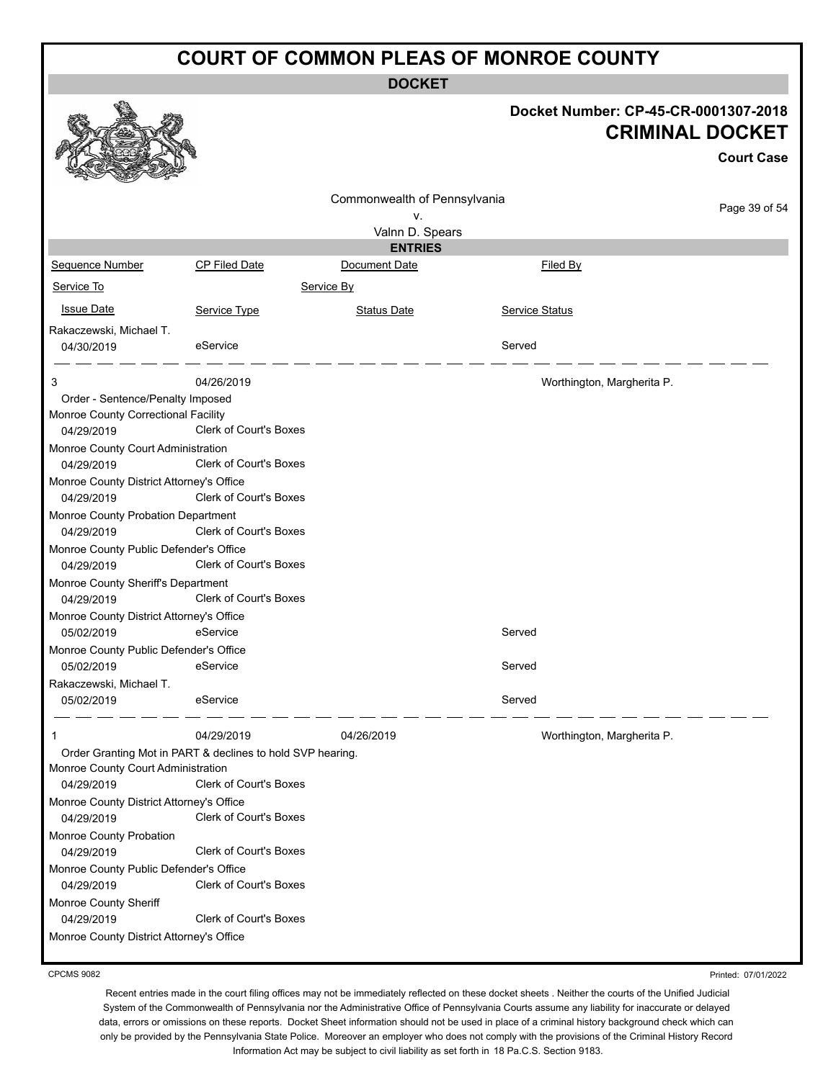**DOCKET**

|                                                            |                               |                              | Docket Number: CP-45-CR-0001307-2018 | <b>CRIMINAL DOCKET</b><br><b>Court Case</b> |
|------------------------------------------------------------|-------------------------------|------------------------------|--------------------------------------|---------------------------------------------|
|                                                            |                               | Commonwealth of Pennsylvania |                                      |                                             |
|                                                            |                               | ٧.                           |                                      | Page 39 of 54                               |
|                                                            |                               | Valnn D. Spears              |                                      |                                             |
|                                                            |                               | <b>ENTRIES</b>               |                                      |                                             |
| Sequence Number                                            | <b>CP Filed Date</b>          | Document Date                | Filed By                             |                                             |
| Service To                                                 |                               | Service By                   |                                      |                                             |
| <b>Issue Date</b>                                          | Service Type                  | <b>Status Date</b>           | Service Status                       |                                             |
| Rakaczewski, Michael T.                                    |                               |                              |                                      |                                             |
| 04/30/2019                                                 | eService                      |                              | Served                               |                                             |
|                                                            |                               |                              |                                      |                                             |
| 3                                                          | 04/26/2019                    |                              | Worthington, Margherita P.           |                                             |
| Order - Sentence/Penalty Imposed                           |                               |                              |                                      |                                             |
| Monroe County Correctional Facility<br>04/29/2019          | Clerk of Court's Boxes        |                              |                                      |                                             |
| Monroe County Court Administration                         |                               |                              |                                      |                                             |
| 04/29/2019                                                 | <b>Clerk of Court's Boxes</b> |                              |                                      |                                             |
| Monroe County District Attorney's Office                   |                               |                              |                                      |                                             |
| 04/29/2019                                                 | Clerk of Court's Boxes        |                              |                                      |                                             |
| Monroe County Probation Department                         |                               |                              |                                      |                                             |
| 04/29/2019                                                 | Clerk of Court's Boxes        |                              |                                      |                                             |
| Monroe County Public Defender's Office                     |                               |                              |                                      |                                             |
| 04/29/2019                                                 | Clerk of Court's Boxes        |                              |                                      |                                             |
| Monroe County Sheriff's Department                         |                               |                              |                                      |                                             |
| 04/29/2019                                                 | Clerk of Court's Boxes        |                              |                                      |                                             |
| Monroe County District Attorney's Office                   | eService                      |                              | Served                               |                                             |
| 05/02/2019<br>Monroe County Public Defender's Office       |                               |                              |                                      |                                             |
| 05/02/2019                                                 | eService                      |                              | Served                               |                                             |
| Rakaczewski, Michael T.                                    |                               |                              |                                      |                                             |
| 05/02/2019                                                 | eService                      |                              | Served                               |                                             |
| -1                                                         | 04/29/2019                    | 04/26/2019                   | Worthington, Margherita P.           |                                             |
| Order Granting Mot in PART & declines to hold SVP hearing. |                               |                              |                                      |                                             |
| Monroe County Court Administration<br>04/29/2019           | <b>Clerk of Court's Boxes</b> |                              |                                      |                                             |
| Monroe County District Attorney's Office                   |                               |                              |                                      |                                             |
| 04/29/2019                                                 | Clerk of Court's Boxes        |                              |                                      |                                             |
| Monroe County Probation<br>04/29/2019                      | <b>Clerk of Court's Boxes</b> |                              |                                      |                                             |
| Monroe County Public Defender's Office                     |                               |                              |                                      |                                             |
| 04/29/2019                                                 | Clerk of Court's Boxes        |                              |                                      |                                             |
| Monroe County Sheriff                                      |                               |                              |                                      |                                             |
| 04/29/2019                                                 | Clerk of Court's Boxes        |                              |                                      |                                             |
| Monroe County District Attorney's Office                   |                               |                              |                                      |                                             |

CPCMS 9082

Printed: 07/01/2022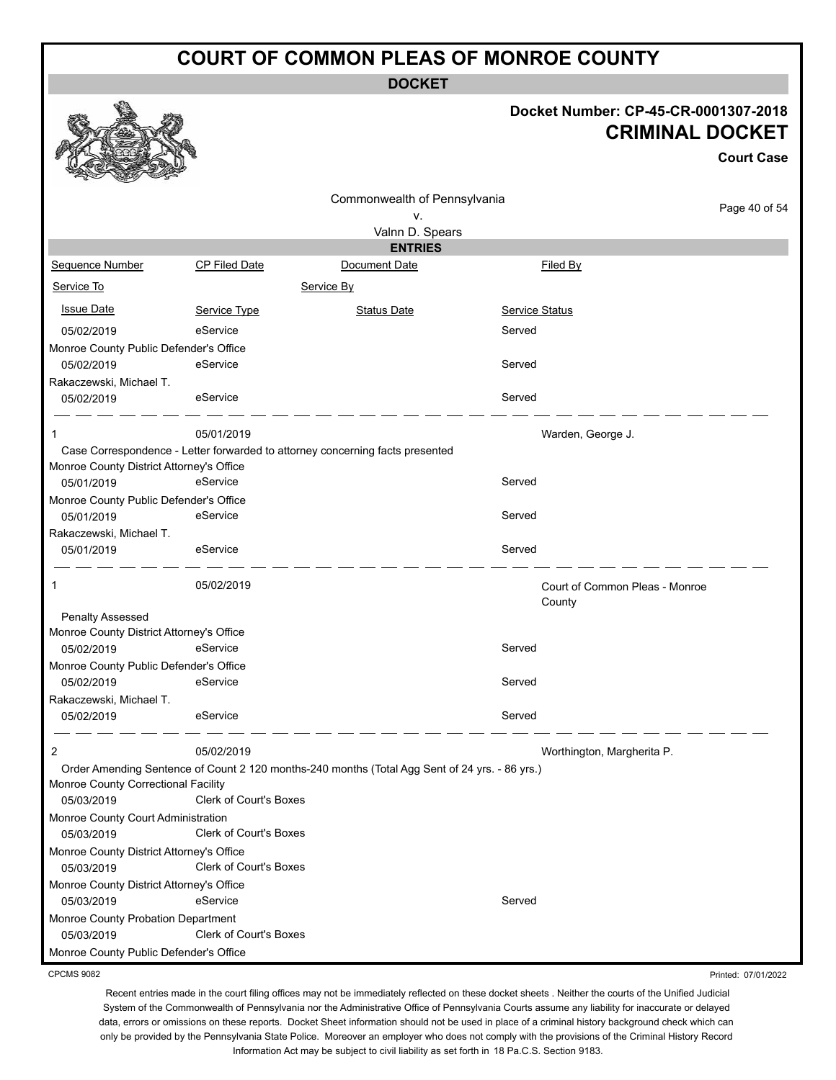**DOCKET**

#### **Docket Number: CP-45-CR-0001307-2018 CRIMINAL DOCKET**

**Court Case**

|                                          |                                                                                                | Commonwealth of Pennsylvania |                                          |               |
|------------------------------------------|------------------------------------------------------------------------------------------------|------------------------------|------------------------------------------|---------------|
|                                          |                                                                                                | ٧.                           |                                          | Page 40 of 54 |
|                                          |                                                                                                | Valnn D. Spears              |                                          |               |
|                                          |                                                                                                | <b>ENTRIES</b>               |                                          |               |
| Sequence Number                          | CP Filed Date                                                                                  | Document Date                | Filed By                                 |               |
| Service To                               |                                                                                                | Service By                   |                                          |               |
| <b>Issue Date</b>                        | Service Type                                                                                   | <b>Status Date</b>           | <b>Service Status</b>                    |               |
| 05/02/2019                               | eService                                                                                       |                              | Served                                   |               |
| Monroe County Public Defender's Office   |                                                                                                |                              |                                          |               |
| 05/02/2019                               | eService                                                                                       |                              | Served                                   |               |
| Rakaczewski, Michael T.                  |                                                                                                |                              |                                          |               |
| 05/02/2019                               | eService                                                                                       |                              | Served                                   |               |
|                                          | 05/01/2019                                                                                     |                              | Warden, George J.                        |               |
|                                          | Case Correspondence - Letter forwarded to attorney concerning facts presented                  |                              |                                          |               |
| Monroe County District Attorney's Office |                                                                                                |                              |                                          |               |
| 05/01/2019                               | eService                                                                                       |                              | Served                                   |               |
| Monroe County Public Defender's Office   |                                                                                                |                              |                                          |               |
| 05/01/2019                               | eService                                                                                       |                              | Served                                   |               |
| Rakaczewski, Michael T.                  |                                                                                                |                              |                                          |               |
| 05/01/2019                               | eService                                                                                       |                              | Served                                   |               |
| 1                                        | 05/02/2019                                                                                     |                              | Court of Common Pleas - Monroe<br>County |               |
| Penalty Assessed                         |                                                                                                |                              |                                          |               |
| Monroe County District Attorney's Office |                                                                                                |                              |                                          |               |
| 05/02/2019                               | eService                                                                                       |                              | Served                                   |               |
| Monroe County Public Defender's Office   |                                                                                                |                              |                                          |               |
| 05/02/2019                               | eService                                                                                       |                              | Served                                   |               |
| Rakaczewski, Michael T.                  |                                                                                                |                              |                                          |               |
| 05/02/2019                               | eService                                                                                       |                              | Served                                   |               |
| 2                                        | 05/02/2019                                                                                     |                              | Worthington, Margherita P.               |               |
|                                          | Order Amending Sentence of Count 2 120 months-240 months (Total Agg Sent of 24 yrs. - 86 yrs.) |                              |                                          |               |
| Monroe County Correctional Facility      |                                                                                                |                              |                                          |               |
| 05/03/2019                               | <b>Clerk of Court's Boxes</b>                                                                  |                              |                                          |               |
| Monroe County Court Administration       |                                                                                                |                              |                                          |               |
| 05/03/2019                               | Clerk of Court's Boxes                                                                         |                              |                                          |               |
| Monroe County District Attorney's Office |                                                                                                |                              |                                          |               |
| 05/03/2019                               | Clerk of Court's Boxes                                                                         |                              |                                          |               |
| Monroe County District Attorney's Office |                                                                                                |                              |                                          |               |
| 05/03/2019                               | eService                                                                                       |                              | Served                                   |               |
| Monroe County Probation Department       |                                                                                                |                              |                                          |               |
| 05/03/2019                               | Clerk of Court's Boxes                                                                         |                              |                                          |               |
| Monroe County Public Defender's Office   |                                                                                                |                              |                                          |               |

CPCMS 9082

Recent entries made in the court filing offices may not be immediately reflected on these docket sheets . Neither the courts of the Unified Judicial System of the Commonwealth of Pennsylvania nor the Administrative Office of Pennsylvania Courts assume any liability for inaccurate or delayed data, errors or omissions on these reports. Docket Sheet information should not be used in place of a criminal history background check which can only be provided by the Pennsylvania State Police. Moreover an employer who does not comply with the provisions of the Criminal History Record Information Act may be subject to civil liability as set forth in 18 Pa.C.S. Section 9183.

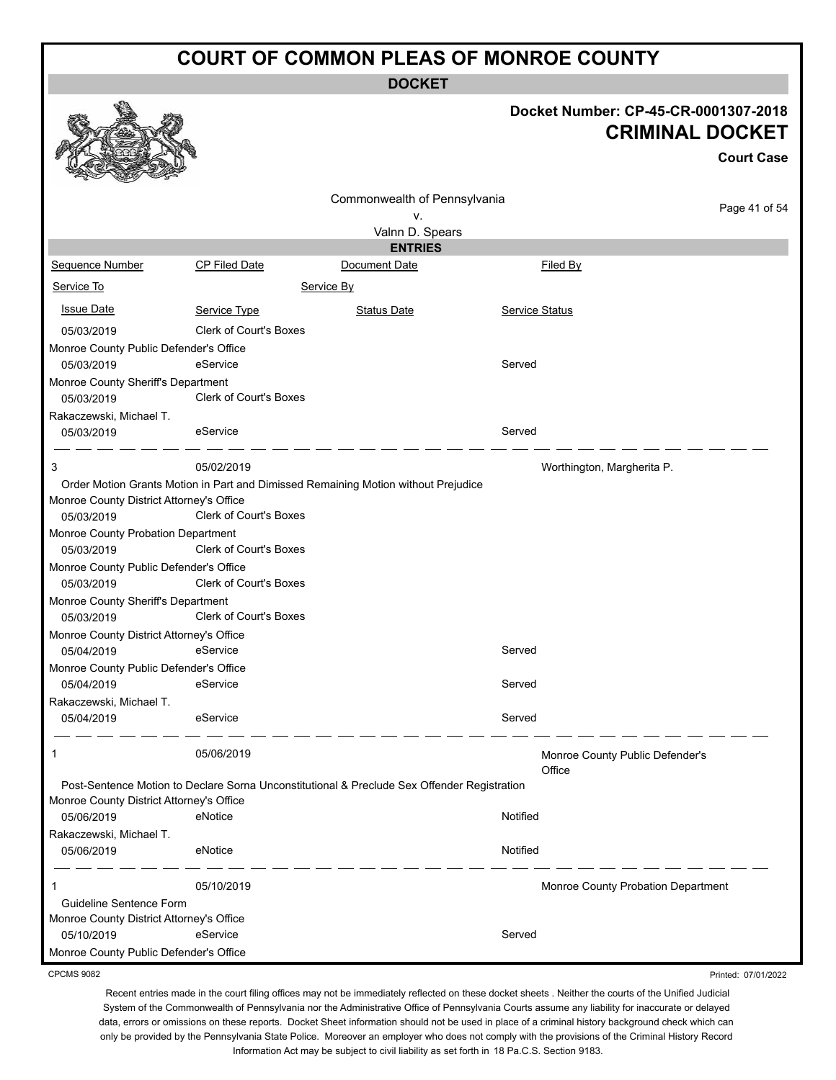**DOCKET**

#### **Docket Number: CP-45-CR-0001307-2018 CRIMINAL DOCKET**

Printed: 07/01/2022

|                                          |                                                                                             |                                   |                            | <b>CRIMINAL DOCKET</b>             |
|------------------------------------------|---------------------------------------------------------------------------------------------|-----------------------------------|----------------------------|------------------------------------|
|                                          |                                                                                             |                                   |                            | <b>Court Case</b>                  |
|                                          |                                                                                             | Commonwealth of Pennsylvania      |                            | Page 41 of 54                      |
|                                          |                                                                                             | ٧.                                |                            |                                    |
|                                          |                                                                                             | Valnn D. Spears<br><b>ENTRIES</b> |                            |                                    |
| Sequence Number                          | <b>CP Filed Date</b>                                                                        | Document Date                     | <b>Filed By</b>            |                                    |
|                                          |                                                                                             |                                   |                            |                                    |
| Service To                               |                                                                                             | Service By                        |                            |                                    |
| <b>Issue Date</b>                        | Service Type                                                                                | <b>Status Date</b>                | Service Status             |                                    |
| 05/03/2019                               | <b>Clerk of Court's Boxes</b>                                                               |                                   |                            |                                    |
| Monroe County Public Defender's Office   |                                                                                             |                                   |                            |                                    |
| 05/03/2019                               | eService                                                                                    |                                   | Served                     |                                    |
| Monroe County Sheriff's Department       |                                                                                             |                                   |                            |                                    |
| 05/03/2019                               | Clerk of Court's Boxes                                                                      |                                   |                            |                                    |
| Rakaczewski, Michael T.                  |                                                                                             |                                   |                            |                                    |
| 05/03/2019                               | eService                                                                                    |                                   | Served                     |                                    |
| 3                                        | 05/02/2019                                                                                  |                                   | Worthington, Margherita P. |                                    |
|                                          | Order Motion Grants Motion in Part and Dimissed Remaining Motion without Prejudice          |                                   |                            |                                    |
| Monroe County District Attorney's Office |                                                                                             |                                   |                            |                                    |
| 05/03/2019                               | Clerk of Court's Boxes                                                                      |                                   |                            |                                    |
| Monroe County Probation Department       |                                                                                             |                                   |                            |                                    |
| 05/03/2019                               | <b>Clerk of Court's Boxes</b>                                                               |                                   |                            |                                    |
| Monroe County Public Defender's Office   |                                                                                             |                                   |                            |                                    |
| 05/03/2019                               | Clerk of Court's Boxes                                                                      |                                   |                            |                                    |
| Monroe County Sheriff's Department       |                                                                                             |                                   |                            |                                    |
| 05/03/2019                               | <b>Clerk of Court's Boxes</b>                                                               |                                   |                            |                                    |
| Monroe County District Attorney's Office |                                                                                             |                                   |                            |                                    |
| 05/04/2019                               | eService                                                                                    |                                   | Served                     |                                    |
| Monroe County Public Defender's Office   |                                                                                             |                                   |                            |                                    |
| 05/04/2019                               | eService                                                                                    |                                   | Served                     |                                    |
| Rakaczewski, Michael T.                  |                                                                                             |                                   |                            |                                    |
| 05/04/2019                               | eService                                                                                    |                                   | Served                     |                                    |
| 1                                        | 05/06/2019                                                                                  |                                   | Office                     | Monroe County Public Defender's    |
|                                          | Post-Sentence Motion to Declare Sorna Unconstitutional & Preclude Sex Offender Registration |                                   |                            |                                    |
| Monroe County District Attorney's Office |                                                                                             |                                   |                            |                                    |
| 05/06/2019                               | eNotice                                                                                     |                                   | Notified                   |                                    |
| Rakaczewski, Michael T.                  |                                                                                             |                                   |                            |                                    |
| 05/06/2019                               | eNotice                                                                                     |                                   | Notified                   |                                    |
|                                          | 05/10/2019                                                                                  |                                   |                            | Monroe County Probation Department |
| Guideline Sentence Form                  |                                                                                             |                                   |                            |                                    |
| Monroe County District Attorney's Office |                                                                                             |                                   |                            |                                    |
| 05/10/2019                               | eService                                                                                    |                                   | Served                     |                                    |
| Monroe County Public Defender's Office   |                                                                                             |                                   |                            |                                    |

CPCMS 9082

a An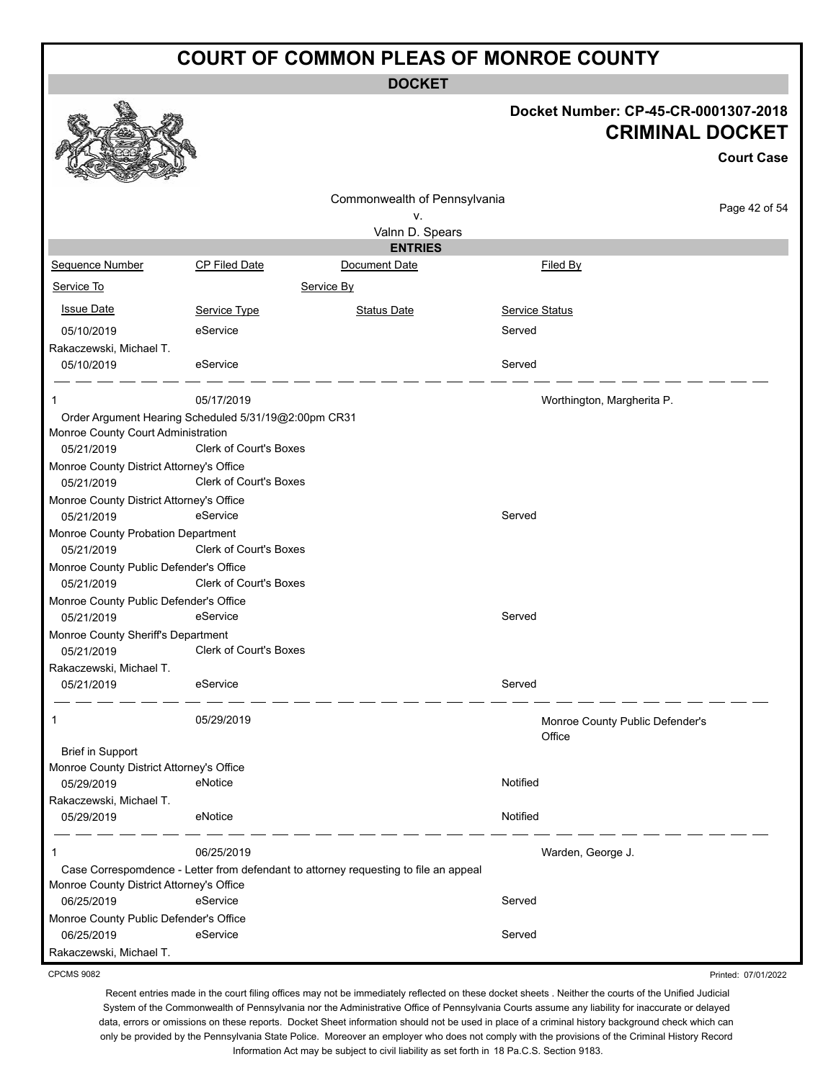**DOCKET**

|                                          |                                                      |                                                                                      |                                           | Docket Number: CP-45-CR-0001307-2018<br><b>CRIMINAL DOCKET</b><br><b>Court Case</b> |
|------------------------------------------|------------------------------------------------------|--------------------------------------------------------------------------------------|-------------------------------------------|-------------------------------------------------------------------------------------|
|                                          |                                                      |                                                                                      |                                           |                                                                                     |
|                                          |                                                      | Commonwealth of Pennsylvania                                                         |                                           | Page 42 of 54                                                                       |
|                                          |                                                      | ٧.                                                                                   |                                           |                                                                                     |
|                                          |                                                      | Valnn D. Spears<br><b>ENTRIES</b>                                                    |                                           |                                                                                     |
| <b>Sequence Number</b>                   | CP Filed Date                                        | Document Date                                                                        | Filed By                                  |                                                                                     |
|                                          |                                                      |                                                                                      |                                           |                                                                                     |
| Service To                               |                                                      | Service By                                                                           |                                           |                                                                                     |
| <b>Issue Date</b>                        | Service Type                                         | <b>Status Date</b>                                                                   | Service Status                            |                                                                                     |
| 05/10/2019                               | eService                                             |                                                                                      | Served                                    |                                                                                     |
| Rakaczewski, Michael T.                  |                                                      |                                                                                      |                                           |                                                                                     |
| 05/10/2019                               | eService                                             |                                                                                      | Served                                    |                                                                                     |
| 1                                        | 05/17/2019                                           |                                                                                      | Worthington, Margherita P.                |                                                                                     |
|                                          | Order Argument Hearing Scheduled 5/31/19@2:00pm CR31 |                                                                                      |                                           |                                                                                     |
| Monroe County Court Administration       |                                                      |                                                                                      |                                           |                                                                                     |
| 05/21/2019                               | <b>Clerk of Court's Boxes</b>                        |                                                                                      |                                           |                                                                                     |
| Monroe County District Attorney's Office |                                                      |                                                                                      |                                           |                                                                                     |
| 05/21/2019                               | Clerk of Court's Boxes                               |                                                                                      |                                           |                                                                                     |
| Monroe County District Attorney's Office |                                                      |                                                                                      |                                           |                                                                                     |
| 05/21/2019                               | eService                                             |                                                                                      | Served                                    |                                                                                     |
| Monroe County Probation Department       |                                                      |                                                                                      |                                           |                                                                                     |
| 05/21/2019                               | <b>Clerk of Court's Boxes</b>                        |                                                                                      |                                           |                                                                                     |
| Monroe County Public Defender's Office   |                                                      |                                                                                      |                                           |                                                                                     |
| 05/21/2019                               | Clerk of Court's Boxes                               |                                                                                      |                                           |                                                                                     |
| Monroe County Public Defender's Office   |                                                      |                                                                                      |                                           |                                                                                     |
| 05/21/2019                               | eService                                             |                                                                                      | Served                                    |                                                                                     |
| Monroe County Sheriff's Department       |                                                      |                                                                                      |                                           |                                                                                     |
| 05/21/2019                               | <b>Clerk of Court's Boxes</b>                        |                                                                                      |                                           |                                                                                     |
| Rakaczewski, Michael T.                  |                                                      |                                                                                      |                                           |                                                                                     |
| 05/21/2019                               | eService                                             |                                                                                      | Served                                    |                                                                                     |
|                                          |                                                      |                                                                                      |                                           |                                                                                     |
| 1                                        | 05/29/2019                                           |                                                                                      | Monroe County Public Defender's<br>Office |                                                                                     |
| <b>Brief in Support</b>                  |                                                      |                                                                                      |                                           |                                                                                     |
| Monroe County District Attorney's Office |                                                      |                                                                                      |                                           |                                                                                     |
| 05/29/2019                               | eNotice                                              |                                                                                      | Notified                                  |                                                                                     |
| Rakaczewski, Michael T.                  |                                                      |                                                                                      |                                           |                                                                                     |
| 05/29/2019                               | eNotice                                              |                                                                                      | Notified                                  |                                                                                     |
| 1                                        | 06/25/2019                                           |                                                                                      | Warden, George J.                         |                                                                                     |
|                                          |                                                      | Case Correspomdence - Letter from defendant to attorney requesting to file an appeal |                                           |                                                                                     |
| Monroe County District Attorney's Office |                                                      |                                                                                      |                                           |                                                                                     |
| 06/25/2019                               | eService                                             |                                                                                      | Served                                    |                                                                                     |
| Monroe County Public Defender's Office   |                                                      |                                                                                      |                                           |                                                                                     |
| 06/25/2019                               | eService                                             |                                                                                      | Served                                    |                                                                                     |
| Rakaczewski, Michael T.                  |                                                      |                                                                                      |                                           |                                                                                     |
| CPCMS 9082                               |                                                      |                                                                                      |                                           | Drintod: 07/04/2022                                                                 |

**CPCM** 

Printed: 07/01/2022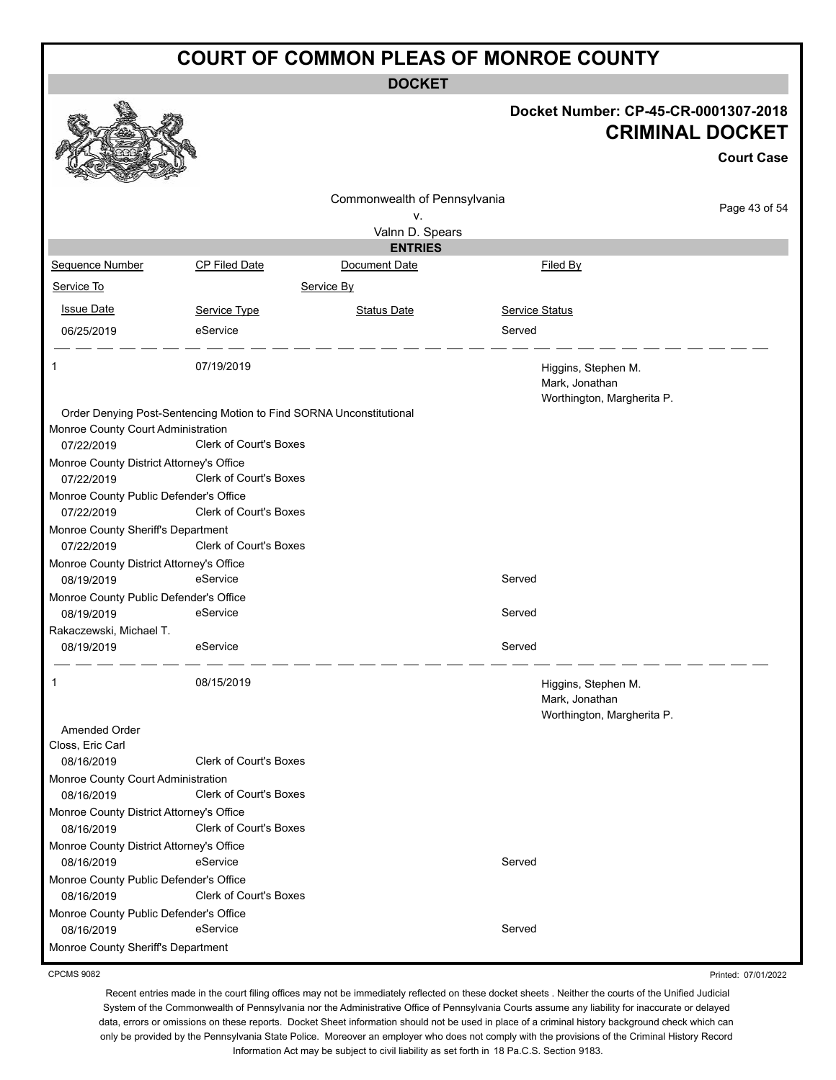**DOCKET**

|                                                                     |                        | DUUNE I                           |                       |                                                                                     |
|---------------------------------------------------------------------|------------------------|-----------------------------------|-----------------------|-------------------------------------------------------------------------------------|
|                                                                     |                        |                                   |                       | Docket Number: CP-45-CR-0001307-2018<br><b>CRIMINAL DOCKET</b><br><b>Court Case</b> |
|                                                                     |                        |                                   |                       |                                                                                     |
|                                                                     |                        | Commonwealth of Pennsylvania      |                       | Page 43 of 54                                                                       |
|                                                                     |                        | ۷.                                |                       |                                                                                     |
|                                                                     |                        | Valnn D. Spears<br><b>ENTRIES</b> |                       |                                                                                     |
| Sequence Number                                                     | CP Filed Date          | Document Date                     |                       | Filed By                                                                            |
| Service To                                                          |                        | Service By                        |                       |                                                                                     |
|                                                                     |                        |                                   |                       |                                                                                     |
| <b>Issue Date</b>                                                   | Service Type           | <b>Status Date</b>                | <b>Service Status</b> |                                                                                     |
| 06/25/2019                                                          | eService               |                                   | Served                |                                                                                     |
| 1                                                                   | 07/19/2019             |                                   |                       | Higgins, Stephen M.<br>Mark, Jonathan<br>Worthington, Margherita P.                 |
| Order Denying Post-Sentencing Motion to Find SORNA Unconstitutional |                        |                                   |                       |                                                                                     |
| Monroe County Court Administration<br>07/22/2019                    | Clerk of Court's Boxes |                                   |                       |                                                                                     |
| Monroe County District Attorney's Office                            |                        |                                   |                       |                                                                                     |
| 07/22/2019                                                          | Clerk of Court's Boxes |                                   |                       |                                                                                     |
| Monroe County Public Defender's Office<br>07/22/2019                | Clerk of Court's Boxes |                                   |                       |                                                                                     |
| Monroe County Sheriff's Department                                  |                        |                                   |                       |                                                                                     |
| 07/22/2019                                                          | Clerk of Court's Boxes |                                   |                       |                                                                                     |
| Monroe County District Attorney's Office<br>08/19/2019              | eService               |                                   | Served                |                                                                                     |
| Monroe County Public Defender's Office                              |                        |                                   |                       |                                                                                     |
| 08/19/2019<br>Rakaczewski, Michael T.                               | eService               |                                   | Served                |                                                                                     |
| 08/19/2019                                                          | eService               |                                   | Served                |                                                                                     |
| 1                                                                   | 08/15/2019             |                                   |                       | Higgins, Stephen M.<br>Mark, Jonathan<br>Worthington, Margherita P.                 |
| Amended Order                                                       |                        |                                   |                       |                                                                                     |
| Closs, Eric Carl<br>08/16/2019                                      | Clerk of Court's Boxes |                                   |                       |                                                                                     |
| Monroe County Court Administration                                  |                        |                                   |                       |                                                                                     |
| 08/16/2019                                                          | Clerk of Court's Boxes |                                   |                       |                                                                                     |
| Monroe County District Attorney's Office                            |                        |                                   |                       |                                                                                     |
| 08/16/2019                                                          | Clerk of Court's Boxes |                                   |                       |                                                                                     |
| Monroe County District Attorney's Office                            |                        |                                   |                       |                                                                                     |
| 08/16/2019                                                          | eService               |                                   | Served                |                                                                                     |
| Monroe County Public Defender's Office<br>08/16/2019                | Clerk of Court's Boxes |                                   |                       |                                                                                     |
| Monroe County Public Defender's Office                              |                        |                                   |                       |                                                                                     |
| 08/16/2019                                                          | eService               |                                   | Served                |                                                                                     |
| Monroe County Sheriff's Department                                  |                        |                                   |                       |                                                                                     |

CPCMS 9082

Recent entries made in the court filing offices may not be immediately reflected on these docket sheets . Neither the courts of the Unified Judicial System of the Commonwealth of Pennsylvania nor the Administrative Office of Pennsylvania Courts assume any liability for inaccurate or delayed data, errors or omissions on these reports. Docket Sheet information should not be used in place of a criminal history background check which can only be provided by the Pennsylvania State Police. Moreover an employer who does not comply with the provisions of the Criminal History Record Information Act may be subject to civil liability as set forth in 18 Pa.C.S. Section 9183.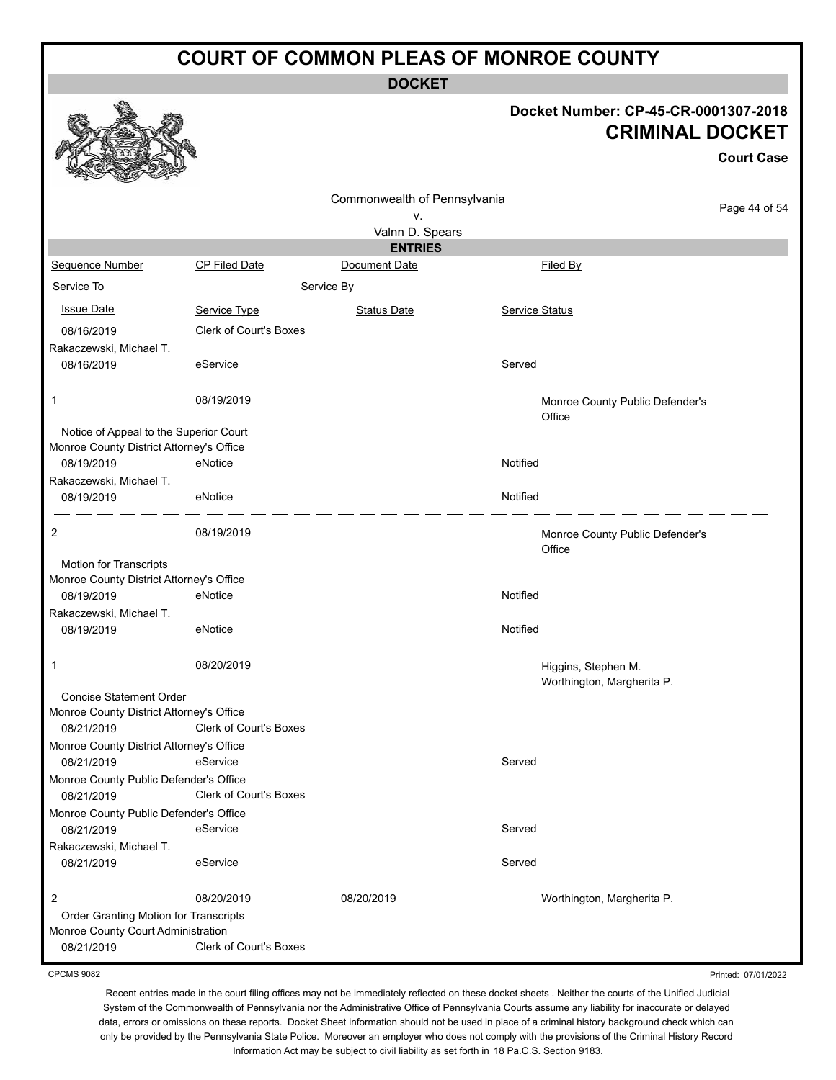**DOCKET**

#### **Docket Number: CP-45-CR-0001307-2018 CRIMINAL DOCKET**

**Court Case**

|                                                                                    |                               |                              |                |                                                   | <b>Court Case</b> |
|------------------------------------------------------------------------------------|-------------------------------|------------------------------|----------------|---------------------------------------------------|-------------------|
|                                                                                    |                               | Commonwealth of Pennsylvania |                |                                                   |                   |
|                                                                                    |                               | ٧.                           |                |                                                   | Page 44 of 54     |
|                                                                                    |                               | Valnn D. Spears              |                |                                                   |                   |
|                                                                                    |                               | <b>ENTRIES</b>               |                | Filed By                                          |                   |
| Sequence Number                                                                    | CP Filed Date                 | Document Date                |                |                                                   |                   |
| Service To                                                                         |                               | Service By                   |                |                                                   |                   |
| <b>Issue Date</b>                                                                  | Service Type                  | Status Date                  | Service Status |                                                   |                   |
| 08/16/2019                                                                         | <b>Clerk of Court's Boxes</b> |                              |                |                                                   |                   |
| Rakaczewski, Michael T.                                                            |                               |                              |                |                                                   |                   |
| 08/16/2019                                                                         | eService                      |                              | Served         |                                                   |                   |
| 1                                                                                  | 08/19/2019                    |                              |                | Monroe County Public Defender's<br>Office         |                   |
| Notice of Appeal to the Superior Court<br>Monroe County District Attorney's Office |                               |                              |                |                                                   |                   |
| 08/19/2019                                                                         | eNotice                       |                              | Notified       |                                                   |                   |
| Rakaczewski, Michael T.                                                            |                               |                              |                |                                                   |                   |
| 08/19/2019                                                                         | eNotice                       |                              | Notified       |                                                   |                   |
| 2                                                                                  | 08/19/2019                    |                              |                | Monroe County Public Defender's<br>Office         |                   |
| Motion for Transcripts                                                             |                               |                              |                |                                                   |                   |
| Monroe County District Attorney's Office<br>08/19/2019                             | eNotice                       |                              | Notified       |                                                   |                   |
| Rakaczewski, Michael T.                                                            |                               |                              |                |                                                   |                   |
| 08/19/2019                                                                         | eNotice                       |                              | Notified       |                                                   |                   |
| 1                                                                                  | 08/20/2019                    |                              |                | Higgins, Stephen M.<br>Worthington, Margherita P. |                   |
| Concise Statement Order                                                            |                               |                              |                |                                                   |                   |
| Monroe County District Attorney's Office<br>08/21/2019                             | Clerk of Court's Boxes        |                              |                |                                                   |                   |
| Monroe County District Attorney's Office                                           |                               |                              |                |                                                   |                   |
| 08/21/2019                                                                         | eService                      |                              | Served         |                                                   |                   |
| Monroe County Public Defender's Office                                             |                               |                              |                |                                                   |                   |
| 08/21/2019                                                                         | Clerk of Court's Boxes        |                              |                |                                                   |                   |
| Monroe County Public Defender's Office                                             | eService                      |                              | Served         |                                                   |                   |
| 08/21/2019<br>Rakaczewski, Michael T.                                              |                               |                              |                |                                                   |                   |
| 08/21/2019                                                                         | eService                      |                              | Served         |                                                   |                   |
| 2                                                                                  | 08/20/2019                    | 08/20/2019                   |                | Worthington, Margherita P.                        |                   |
| Order Granting Motion for Transcripts                                              |                               |                              |                |                                                   |                   |
| Monroe County Court Administration<br>08/21/2019                                   | <b>Clerk of Court's Boxes</b> |                              |                |                                                   |                   |

CPCMS 9082

Recent entries made in the court filing offices may not be immediately reflected on these docket sheets . Neither the courts of the Unified Judicial System of the Commonwealth of Pennsylvania nor the Administrative Office of Pennsylvania Courts assume any liability for inaccurate or delayed data, errors or omissions on these reports. Docket Sheet information should not be used in place of a criminal history background check which can only be provided by the Pennsylvania State Police. Moreover an employer who does not comply with the provisions of the Criminal History Record Information Act may be subject to civil liability as set forth in 18 Pa.C.S. Section 9183.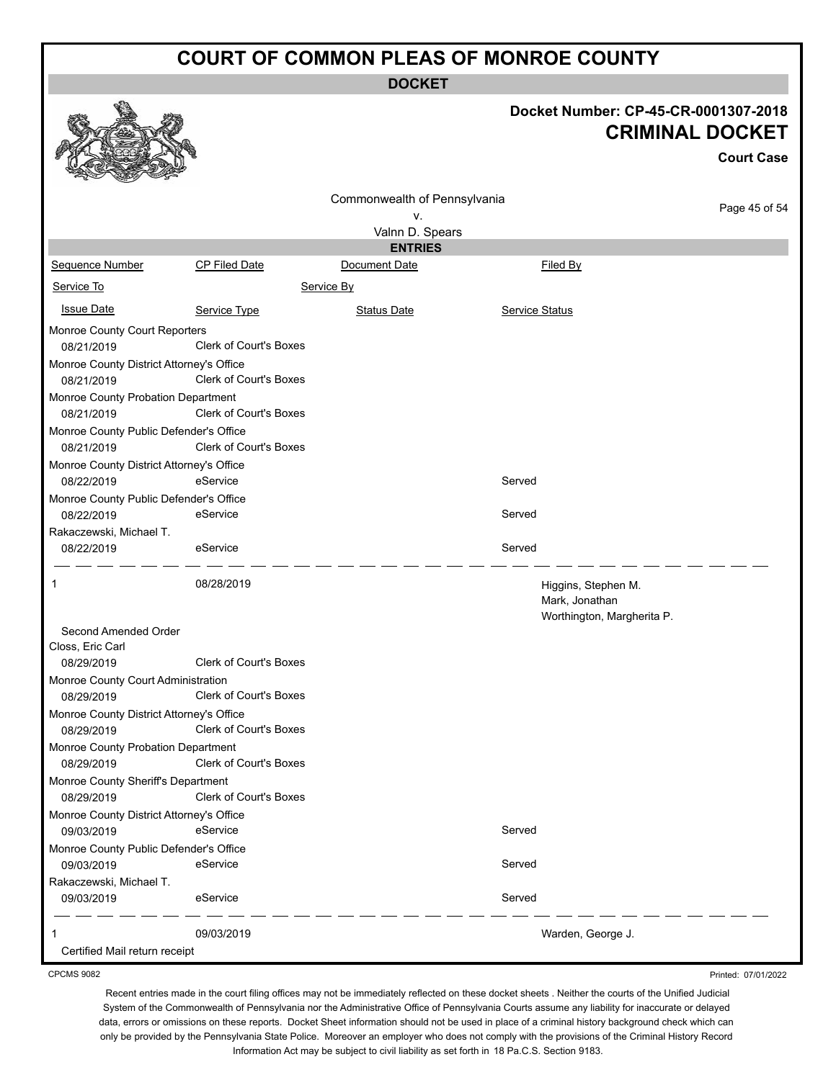**DOCKET**

#### **Docket Number: CP-45-CR-0001307-2018 CRIMINAL DOCKET**

Printed: 07/01/2022

|                                                        |                               |                              | <b>CRIMINAL DOCKET</b>                |                   |
|--------------------------------------------------------|-------------------------------|------------------------------|---------------------------------------|-------------------|
|                                                        |                               |                              |                                       | <b>Court Case</b> |
|                                                        |                               | Commonwealth of Pennsylvania |                                       |                   |
|                                                        |                               | ۷.                           |                                       | Page 45 of 54     |
|                                                        |                               | Valnn D. Spears              |                                       |                   |
|                                                        |                               | <b>ENTRIES</b>               |                                       |                   |
| Sequence Number                                        | CP Filed Date                 | Document Date                | Filed By                              |                   |
| Service To                                             |                               | Service By                   |                                       |                   |
| <b>Issue Date</b>                                      | Service Type                  | <b>Status Date</b>           | Service Status                        |                   |
| Monroe County Court Reporters                          |                               |                              |                                       |                   |
| 08/21/2019                                             | <b>Clerk of Court's Boxes</b> |                              |                                       |                   |
| Monroe County District Attorney's Office               |                               |                              |                                       |                   |
| 08/21/2019                                             | <b>Clerk of Court's Boxes</b> |                              |                                       |                   |
| Monroe County Probation Department                     |                               |                              |                                       |                   |
| 08/21/2019                                             | <b>Clerk of Court's Boxes</b> |                              |                                       |                   |
| Monroe County Public Defender's Office                 |                               |                              |                                       |                   |
| 08/21/2019                                             | <b>Clerk of Court's Boxes</b> |                              |                                       |                   |
| Monroe County District Attorney's Office               |                               |                              |                                       |                   |
| 08/22/2019                                             | eService                      |                              | Served                                |                   |
| Monroe County Public Defender's Office                 |                               |                              |                                       |                   |
| 08/22/2019                                             | eService                      |                              | Served                                |                   |
| Rakaczewski, Michael T.                                |                               |                              |                                       |                   |
| 08/22/2019                                             | eService                      |                              | Served                                |                   |
| 1                                                      | 08/28/2019                    |                              | Higgins, Stephen M.<br>Mark, Jonathan |                   |
|                                                        |                               |                              | Worthington, Margherita P.            |                   |
| Second Amended Order                                   |                               |                              |                                       |                   |
| Closs, Eric Carl                                       | <b>Clerk of Court's Boxes</b> |                              |                                       |                   |
| 08/29/2019                                             |                               |                              |                                       |                   |
| Monroe County Court Administration                     | <b>Clerk of Court's Boxes</b> |                              |                                       |                   |
| 08/29/2019                                             |                               |                              |                                       |                   |
| Monroe County District Attorney's Office<br>08/29/2019 | <b>Clerk of Court's Boxes</b> |                              |                                       |                   |
|                                                        |                               |                              |                                       |                   |
| Monroe County Probation Department<br>08/29/2019       | Clerk of Court's Boxes        |                              |                                       |                   |
| Monroe County Sheriff's Department                     |                               |                              |                                       |                   |
| 08/29/2019                                             | <b>Clerk of Court's Boxes</b> |                              |                                       |                   |
| Monroe County District Attorney's Office               |                               |                              |                                       |                   |
| 09/03/2019                                             | eService                      |                              | Served                                |                   |
| Monroe County Public Defender's Office                 |                               |                              |                                       |                   |
| 09/03/2019                                             | eService                      |                              | Served                                |                   |
| Rakaczewski, Michael T.                                |                               |                              |                                       |                   |
| 09/03/2019                                             | eService                      |                              | Served                                |                   |
|                                                        | 09/03/2019                    |                              | Warden, George J.                     |                   |
| Certified Mail return receipt                          |                               |                              |                                       |                   |

CPCMS 9082

a An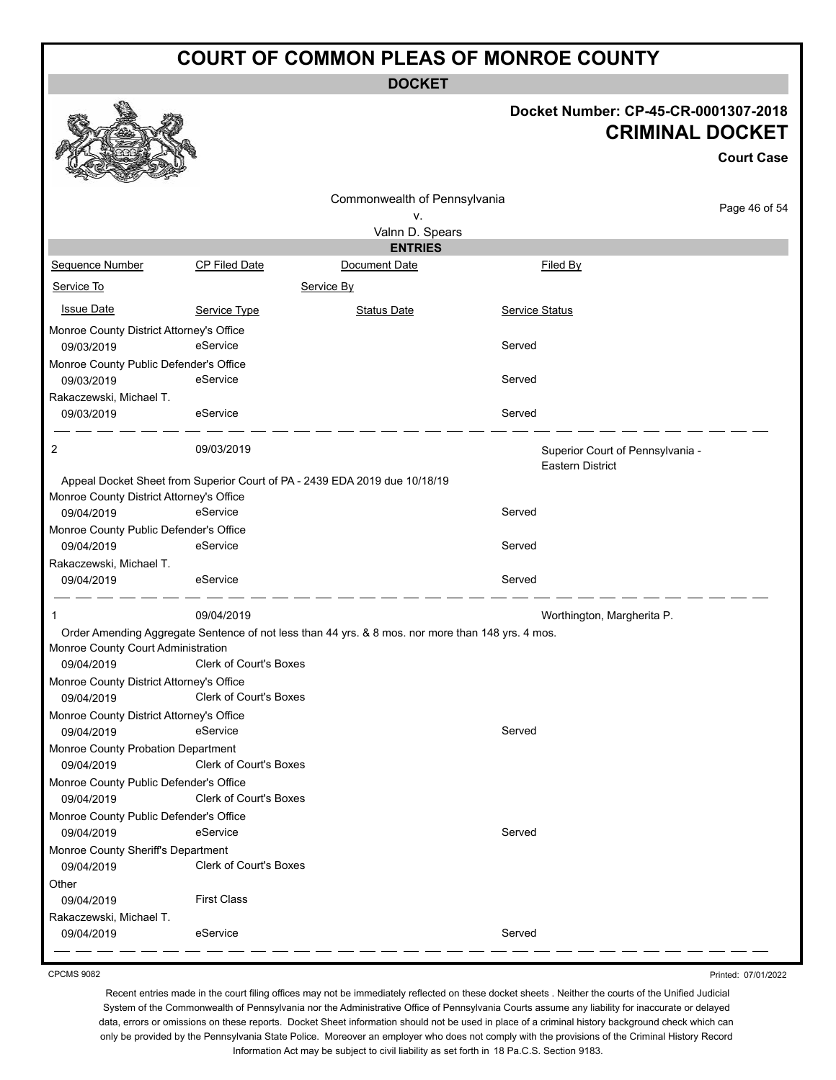**DOCKET**

#### **Docket Number: CP-45-CR-0001307-2018 CRIMINAL DOCKET**

**Court Case**

|                                                      |                                                                                                   | Commonwealth of Pennsylvania |                                                             |  |
|------------------------------------------------------|---------------------------------------------------------------------------------------------------|------------------------------|-------------------------------------------------------------|--|
|                                                      |                                                                                                   | ٧.                           | Page 46 of 54                                               |  |
|                                                      |                                                                                                   | Valnn D. Spears              |                                                             |  |
|                                                      |                                                                                                   | <b>ENTRIES</b>               |                                                             |  |
| Sequence Number                                      | <b>CP Filed Date</b>                                                                              | Document Date                | Filed By                                                    |  |
| Service To                                           |                                                                                                   | Service By                   |                                                             |  |
| <b>Issue Date</b>                                    | Service Type                                                                                      | <b>Status Date</b>           | Service Status                                              |  |
| Monroe County District Attorney's Office             |                                                                                                   |                              |                                                             |  |
| 09/03/2019                                           | eService                                                                                          |                              | Served                                                      |  |
| Monroe County Public Defender's Office               |                                                                                                   |                              |                                                             |  |
| 09/03/2019                                           | eService                                                                                          |                              | Served                                                      |  |
| Rakaczewski, Michael T.                              |                                                                                                   |                              |                                                             |  |
| 09/03/2019                                           | eService                                                                                          |                              | Served                                                      |  |
| 2                                                    | 09/03/2019                                                                                        |                              | Superior Court of Pennsylvania -<br><b>Eastern District</b> |  |
|                                                      | Appeal Docket Sheet from Superior Court of PA - 2439 EDA 2019 due 10/18/19                        |                              |                                                             |  |
| Monroe County District Attorney's Office             |                                                                                                   |                              |                                                             |  |
| 09/04/2019                                           | eService                                                                                          |                              | Served                                                      |  |
| Monroe County Public Defender's Office               |                                                                                                   |                              |                                                             |  |
| 09/04/2019                                           | eService                                                                                          |                              | Served                                                      |  |
| Rakaczewski, Michael T.                              |                                                                                                   |                              |                                                             |  |
| 09/04/2019                                           | eService                                                                                          |                              | Served                                                      |  |
| 1                                                    | 09/04/2019                                                                                        |                              | Worthington, Margherita P.                                  |  |
|                                                      | Order Amending Aggregate Sentence of not less than 44 yrs. & 8 mos. nor more than 148 yrs. 4 mos. |                              |                                                             |  |
| Monroe County Court Administration                   |                                                                                                   |                              |                                                             |  |
| 09/04/2019                                           | Clerk of Court's Boxes                                                                            |                              |                                                             |  |
| Monroe County District Attorney's Office             |                                                                                                   |                              |                                                             |  |
| 09/04/2019                                           | <b>Clerk of Court's Boxes</b>                                                                     |                              |                                                             |  |
| Monroe County District Attorney's Office             | eService                                                                                          |                              | Served                                                      |  |
| 09/04/2019                                           |                                                                                                   |                              |                                                             |  |
| Monroe County Probation Department<br>09/04/2019     | Clerk of Court's Boxes                                                                            |                              |                                                             |  |
|                                                      |                                                                                                   |                              |                                                             |  |
| Monroe County Public Defender's Office<br>09/04/2019 | <b>Clerk of Court's Boxes</b>                                                                     |                              |                                                             |  |
| Monroe County Public Defender's Office               |                                                                                                   |                              |                                                             |  |
| 09/04/2019                                           | eService                                                                                          |                              | Served                                                      |  |
| Monroe County Sheriff's Department                   |                                                                                                   |                              |                                                             |  |
| 09/04/2019                                           | <b>Clerk of Court's Boxes</b>                                                                     |                              |                                                             |  |
| Other                                                |                                                                                                   |                              |                                                             |  |
| 09/04/2019                                           | <b>First Class</b>                                                                                |                              |                                                             |  |
| Rakaczewski, Michael T.                              |                                                                                                   |                              |                                                             |  |
| 09/04/2019                                           | eService                                                                                          |                              | Served                                                      |  |
|                                                      |                                                                                                   |                              |                                                             |  |

CPCMS 9082

Printed: 07/01/2022

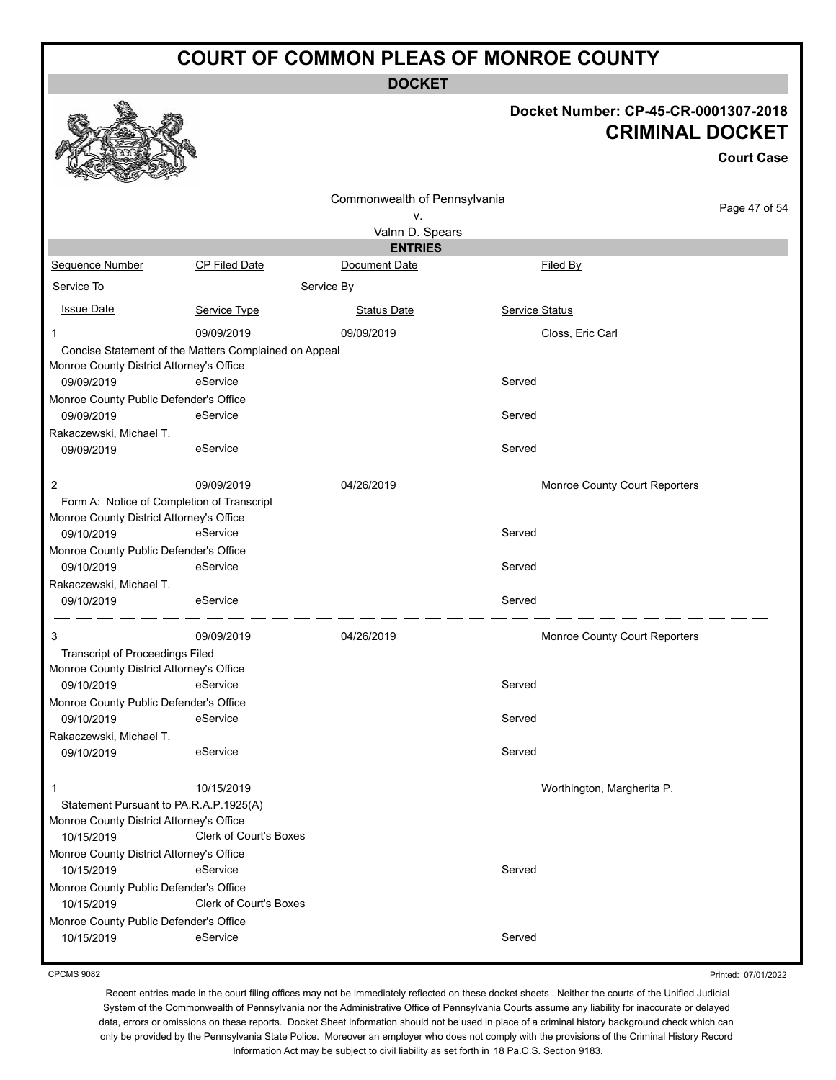**DOCKET**

#### **Docket Number: CP-45-CR-0001307-2018 CRIMINAL DOCKET**

| <b>Court Case</b> |
|-------------------|
| Page 47 of 54     |
|                   |
|                   |
|                   |
|                   |
|                   |
|                   |
|                   |
|                   |
|                   |
|                   |
|                   |
|                   |
|                   |
|                   |
|                   |
|                   |
|                   |
|                   |
|                   |
|                   |
|                   |
|                   |
|                   |
|                   |
|                   |
|                   |
|                   |
|                   |
|                   |
|                   |
|                   |
|                   |
|                   |
|                   |
|                   |
|                   |

CPCMS 9082

Printed: 07/01/2022

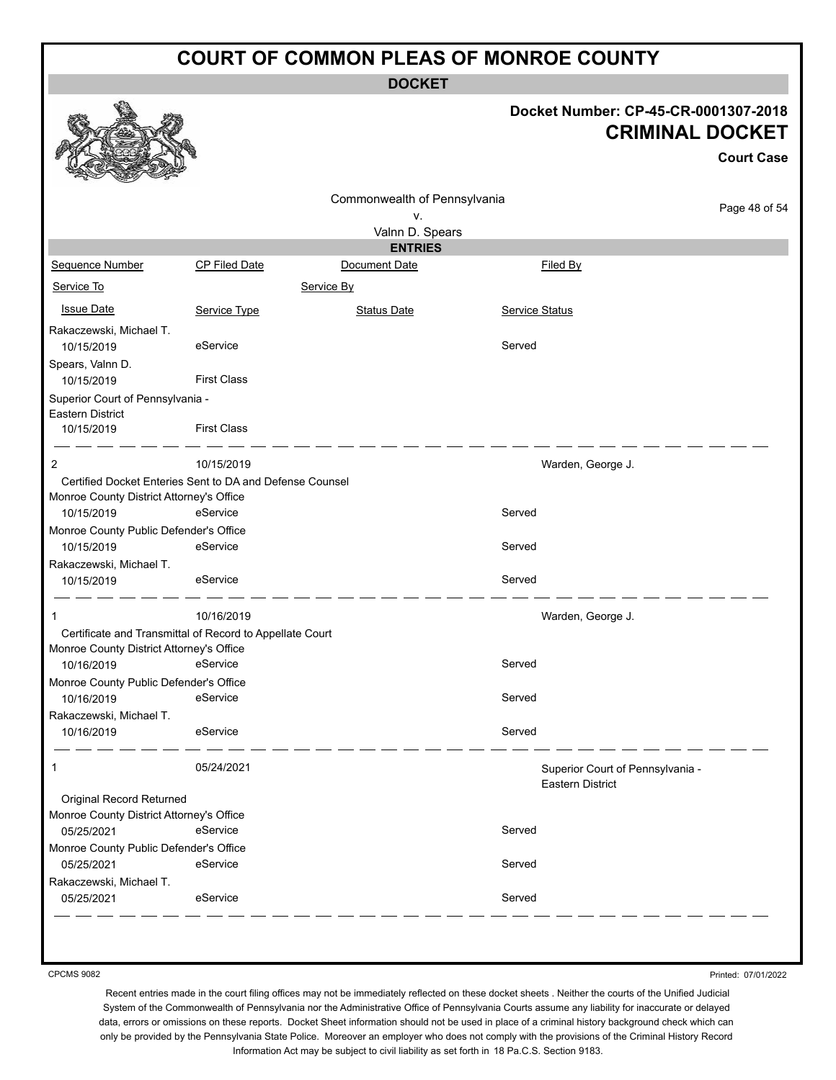**DOCKET**

#### **Docket Number: CP-45-CR-0001307-2018 CRIMINAL DOCKET**

|                                                                    |                                                                      |                                    |                                                      | <b>Court Case</b> |
|--------------------------------------------------------------------|----------------------------------------------------------------------|------------------------------------|------------------------------------------------------|-------------------|
|                                                                    |                                                                      | Commonwealth of Pennsylvania<br>v. |                                                      | Page 48 of 54     |
|                                                                    |                                                                      | Valnn D. Spears                    |                                                      |                   |
|                                                                    |                                                                      | <b>ENTRIES</b>                     |                                                      |                   |
| Sequence Number                                                    | <b>CP Filed Date</b>                                                 | Document Date                      | Filed By                                             |                   |
| Service To                                                         |                                                                      | Service By                         |                                                      |                   |
| <b>Issue Date</b>                                                  | Service Type                                                         | <b>Status Date</b>                 | Service Status                                       |                   |
| Rakaczewski, Michael T.<br>10/15/2019                              | eService                                                             |                                    | Served                                               |                   |
| Spears, Valnn D.<br>10/15/2019                                     | <b>First Class</b>                                                   |                                    |                                                      |                   |
| Superior Court of Pennsylvania -<br>Eastern District<br>10/15/2019 | <b>First Class</b>                                                   |                                    |                                                      |                   |
| 2                                                                  | 10/15/2019                                                           |                                    | Warden, George J.                                    |                   |
| Monroe County District Attorney's Office<br>10/15/2019             | Certified Docket Enteries Sent to DA and Defense Counsel<br>eService |                                    | Served                                               |                   |
| Monroe County Public Defender's Office<br>10/15/2019               | eService                                                             |                                    | Served                                               |                   |
| Rakaczewski, Michael T.                                            |                                                                      |                                    |                                                      |                   |
| 10/15/2019                                                         | eService                                                             |                                    | Served                                               |                   |
| 1                                                                  | 10/16/2019                                                           |                                    | Warden, George J.                                    |                   |
| Monroe County District Attorney's Office                           | Certificate and Transmittal of Record to Appellate Court             |                                    |                                                      |                   |
| 10/16/2019                                                         | eService                                                             |                                    | Served                                               |                   |
| Monroe County Public Defender's Office                             |                                                                      |                                    |                                                      |                   |
| 10/16/2019                                                         | eService                                                             |                                    | Served                                               |                   |
| Rakaczewski, Michael T.                                            |                                                                      |                                    |                                                      |                   |
| 10/16/2019                                                         | eService                                                             |                                    | Served                                               |                   |
| $\mathbf{1}$                                                       | 05/24/2021                                                           |                                    | Superior Court of Pennsylvania -<br>Eastern District |                   |
| Original Record Returned                                           |                                                                      |                                    |                                                      |                   |
| Monroe County District Attorney's Office                           |                                                                      |                                    |                                                      |                   |
| 05/25/2021                                                         | eService                                                             |                                    | Served                                               |                   |
| Monroe County Public Defender's Office                             |                                                                      |                                    |                                                      |                   |
| 05/25/2021                                                         | eService                                                             |                                    | Served                                               |                   |
| Rakaczewski, Michael T.                                            |                                                                      |                                    |                                                      |                   |
| 05/25/2021                                                         | eService                                                             |                                    | Served                                               |                   |

CPCMS 9082

Printed: 07/01/2022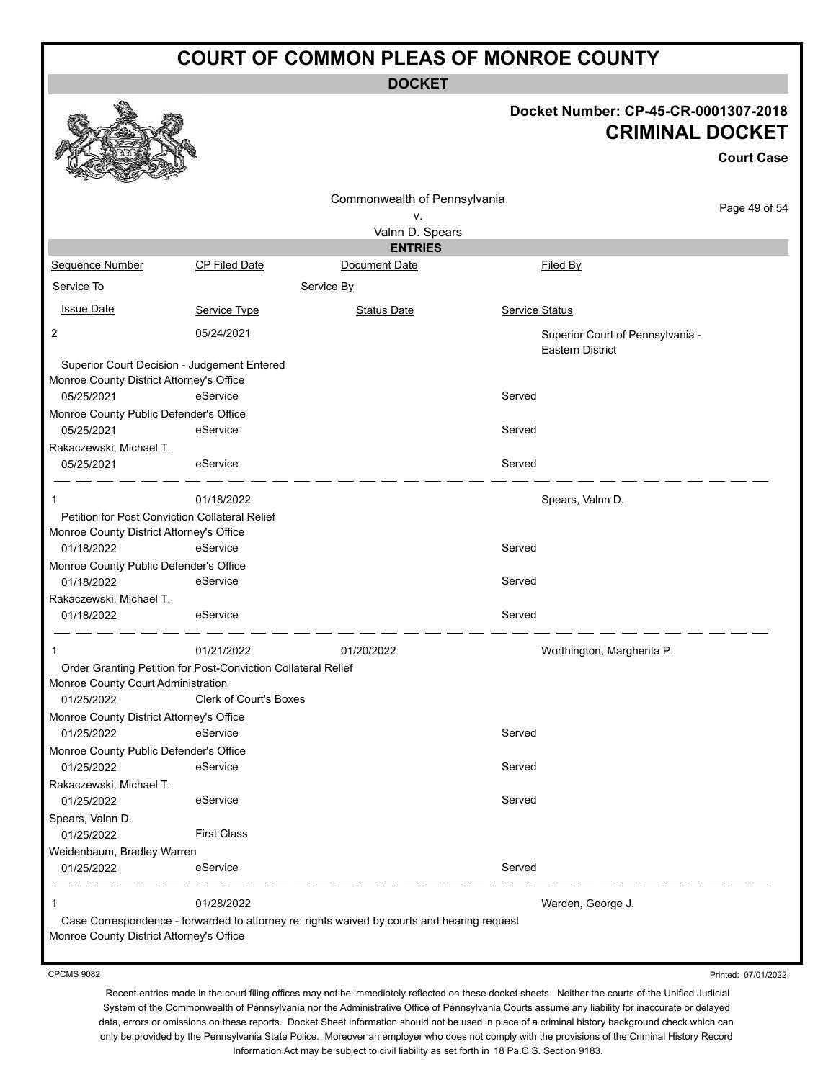**DOCKET**

#### **Docket Number: CP-45-CR-0001307-2018 CRIMINAL DOCKET**

**Court Case**

|                                                                                         |                        | Commonwealth of Pennsylvania                                                                |                |                                                             |               |
|-----------------------------------------------------------------------------------------|------------------------|---------------------------------------------------------------------------------------------|----------------|-------------------------------------------------------------|---------------|
|                                                                                         |                        | ۷.                                                                                          |                |                                                             | Page 49 of 54 |
|                                                                                         |                        | Valnn D. Spears                                                                             |                |                                                             |               |
|                                                                                         |                        | <b>ENTRIES</b>                                                                              |                |                                                             |               |
| <b>Sequence Number</b>                                                                  | CP Filed Date          | Document Date                                                                               |                | Filed By                                                    |               |
| Service To                                                                              |                        | Service By                                                                                  |                |                                                             |               |
| <b>Issue Date</b>                                                                       | Service Type           | <b>Status Date</b>                                                                          | Service Status |                                                             |               |
| 2                                                                                       | 05/24/2021             |                                                                                             |                | Superior Court of Pennsylvania -<br><b>Eastern District</b> |               |
| Superior Court Decision - Judgement Entered<br>Monroe County District Attorney's Office |                        |                                                                                             |                |                                                             |               |
| 05/25/2021                                                                              | eService               |                                                                                             | Served         |                                                             |               |
| Monroe County Public Defender's Office                                                  |                        |                                                                                             |                |                                                             |               |
| 05/25/2021                                                                              | eService               |                                                                                             | Served         |                                                             |               |
| Rakaczewski, Michael T.<br>05/25/2021                                                   | eService               |                                                                                             | Served         |                                                             |               |
|                                                                                         |                        |                                                                                             |                |                                                             |               |
| 1                                                                                       | 01/18/2022             |                                                                                             |                | Spears, Valnn D.                                            |               |
| Petition for Post Conviction Collateral Relief                                          |                        |                                                                                             |                |                                                             |               |
| Monroe County District Attorney's Office<br>01/18/2022                                  | eService               |                                                                                             | Served         |                                                             |               |
| Monroe County Public Defender's Office                                                  |                        |                                                                                             |                |                                                             |               |
| 01/18/2022                                                                              | eService               |                                                                                             | Served         |                                                             |               |
| Rakaczewski, Michael T.                                                                 |                        |                                                                                             |                |                                                             |               |
| 01/18/2022                                                                              | eService               |                                                                                             | Served         |                                                             |               |
| 1                                                                                       | 01/21/2022             | 01/20/2022                                                                                  |                | Worthington, Margherita P.                                  |               |
| Order Granting Petition for Post-Conviction Collateral Relief                           |                        |                                                                                             |                |                                                             |               |
| Monroe County Court Administration                                                      |                        |                                                                                             |                |                                                             |               |
| 01/25/2022                                                                              | Clerk of Court's Boxes |                                                                                             |                |                                                             |               |
| Monroe County District Attorney's Office                                                |                        |                                                                                             |                |                                                             |               |
| 01/25/2022                                                                              | eService               |                                                                                             | Served         |                                                             |               |
| Monroe County Public Defender's Office                                                  |                        |                                                                                             |                |                                                             |               |
| 01/25/2022                                                                              | eService               |                                                                                             | Served         |                                                             |               |
| Rakaczewski, Michael T.                                                                 | eService               |                                                                                             | Served         |                                                             |               |
| 01/25/2022                                                                              |                        |                                                                                             |                |                                                             |               |
| Spears, Valnn D.<br>01/25/2022                                                          | <b>First Class</b>     |                                                                                             |                |                                                             |               |
| Weidenbaum, Bradley Warren                                                              |                        |                                                                                             |                |                                                             |               |
| 01/25/2022                                                                              | eService               |                                                                                             | Served         |                                                             |               |
| 1                                                                                       | 01/28/2022             |                                                                                             |                | Warden, George J.                                           |               |
|                                                                                         |                        | Case Correspondence - forwarded to attorney re: rights waived by courts and hearing request |                |                                                             |               |
| Monroe County District Attorney's Office                                                |                        |                                                                                             |                |                                                             |               |

CPCMS 9082

Printed: 07/01/2022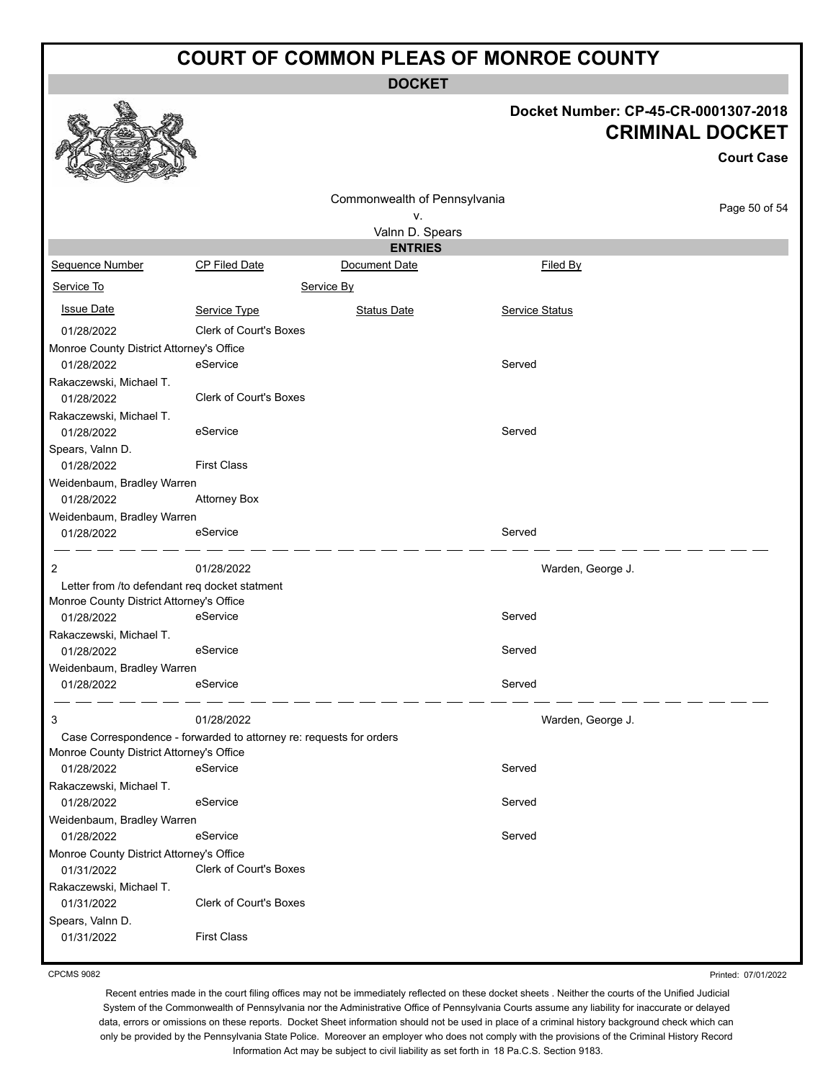**DOCKET**

# **Docket Number: CP-45-CR-0001307-2018**

|                                               |                                                                                                                                                                                                                                                      |                                                                                   | <b>CRIMINAL DOCKET</b><br><b>Court Case</b>                                                       |
|-----------------------------------------------|------------------------------------------------------------------------------------------------------------------------------------------------------------------------------------------------------------------------------------------------------|-----------------------------------------------------------------------------------|---------------------------------------------------------------------------------------------------|
|                                               |                                                                                                                                                                                                                                                      |                                                                                   |                                                                                                   |
|                                               | ٧.                                                                                                                                                                                                                                                   |                                                                                   | Page 50 of 54                                                                                     |
|                                               |                                                                                                                                                                                                                                                      |                                                                                   |                                                                                                   |
|                                               | <b>ENTRIES</b>                                                                                                                                                                                                                                       |                                                                                   |                                                                                                   |
| <b>CP Filed Date</b>                          | Document Date                                                                                                                                                                                                                                        | Filed By                                                                          |                                                                                                   |
|                                               |                                                                                                                                                                                                                                                      |                                                                                   |                                                                                                   |
| Service Type                                  | <b>Status Date</b>                                                                                                                                                                                                                                   | Service Status                                                                    |                                                                                                   |
| Clerk of Court's Boxes                        |                                                                                                                                                                                                                                                      |                                                                                   |                                                                                                   |
| Monroe County District Attorney's Office      |                                                                                                                                                                                                                                                      |                                                                                   |                                                                                                   |
| eService                                      |                                                                                                                                                                                                                                                      | Served                                                                            |                                                                                                   |
|                                               |                                                                                                                                                                                                                                                      |                                                                                   |                                                                                                   |
|                                               |                                                                                                                                                                                                                                                      |                                                                                   |                                                                                                   |
| eService                                      |                                                                                                                                                                                                                                                      | Served                                                                            |                                                                                                   |
| <b>First Class</b>                            |                                                                                                                                                                                                                                                      |                                                                                   |                                                                                                   |
| Weidenbaum, Bradley Warren                    |                                                                                                                                                                                                                                                      |                                                                                   |                                                                                                   |
| <b>Attorney Box</b>                           |                                                                                                                                                                                                                                                      |                                                                                   |                                                                                                   |
| Weidenbaum, Bradley Warren                    |                                                                                                                                                                                                                                                      |                                                                                   |                                                                                                   |
| eService                                      |                                                                                                                                                                                                                                                      | Served                                                                            |                                                                                                   |
| 01/28/2022                                    |                                                                                                                                                                                                                                                      |                                                                                   | Warden, George J.                                                                                 |
| Letter from /to defendant req docket statment |                                                                                                                                                                                                                                                      |                                                                                   |                                                                                                   |
| Monroe County District Attorney's Office      |                                                                                                                                                                                                                                                      |                                                                                   |                                                                                                   |
| eService                                      |                                                                                                                                                                                                                                                      | Served                                                                            |                                                                                                   |
|                                               |                                                                                                                                                                                                                                                      |                                                                                   |                                                                                                   |
| eService                                      |                                                                                                                                                                                                                                                      |                                                                                   |                                                                                                   |
|                                               |                                                                                                                                                                                                                                                      |                                                                                   |                                                                                                   |
|                                               |                                                                                                                                                                                                                                                      |                                                                                   |                                                                                                   |
| 01/28/2022                                    |                                                                                                                                                                                                                                                      |                                                                                   | Warden, George J.                                                                                 |
|                                               |                                                                                                                                                                                                                                                      |                                                                                   |                                                                                                   |
|                                               |                                                                                                                                                                                                                                                      |                                                                                   |                                                                                                   |
|                                               |                                                                                                                                                                                                                                                      |                                                                                   |                                                                                                   |
|                                               |                                                                                                                                                                                                                                                      |                                                                                   |                                                                                                   |
|                                               |                                                                                                                                                                                                                                                      |                                                                                   |                                                                                                   |
|                                               |                                                                                                                                                                                                                                                      |                                                                                   |                                                                                                   |
|                                               |                                                                                                                                                                                                                                                      |                                                                                   |                                                                                                   |
|                                               |                                                                                                                                                                                                                                                      |                                                                                   |                                                                                                   |
|                                               |                                                                                                                                                                                                                                                      |                                                                                   |                                                                                                   |
| Clerk of Court's Boxes                        |                                                                                                                                                                                                                                                      |                                                                                   |                                                                                                   |
|                                               |                                                                                                                                                                                                                                                      |                                                                                   |                                                                                                   |
| <b>First Class</b>                            |                                                                                                                                                                                                                                                      |                                                                                   |                                                                                                   |
|                                               | Clerk of Court's Boxes<br>Weidenbaum, Bradley Warren<br>eService<br>Monroe County District Attorney's Office<br>eService<br>eService<br>Weidenbaum, Bradley Warren<br>eService<br>Monroe County District Attorney's Office<br>Clerk of Court's Boxes | Service By<br>Case Correspondence - forwarded to attorney re: requests for orders | Commonwealth of Pennsylvania<br>Valnn D. Spears<br>Served<br>Served<br>Served<br>Served<br>Served |

CPCMS 9082

 $\mathbb{Z}$ 

Recent entries made in the court filing offices may not be immediately reflected on these docket sheets . Neither the courts of the Unified Judicial System of the Commonwealth of Pennsylvania nor the Administrative Office of Pennsylvania Courts assume any liability for inaccurate or delayed data, errors or omissions on these reports. Docket Sheet information should not be used in place of a criminal history background check which can only be provided by the Pennsylvania State Police. Moreover an employer who does not comply with the provisions of the Criminal History Record Information Act may be subject to civil liability as set forth in 18 Pa.C.S. Section 9183.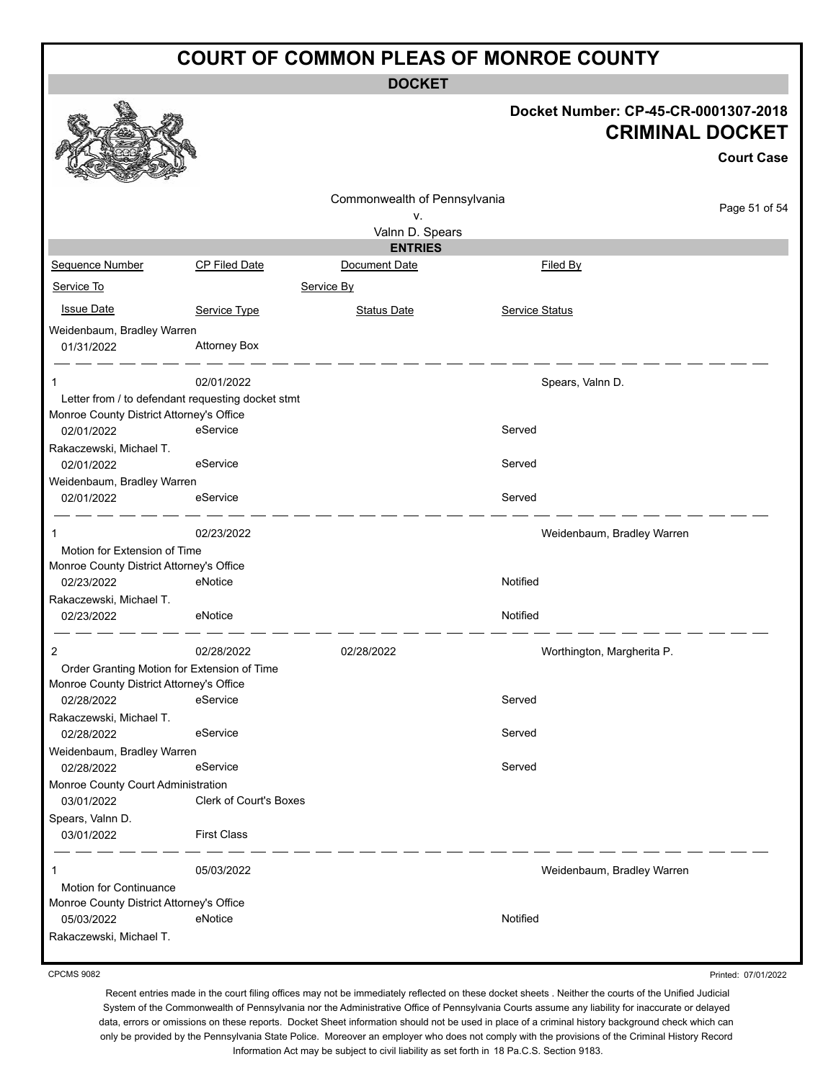**DOCKET**

|                                                   |                        |                              |                       | Docket Number: CP-45-CR-0001307-2018<br><b>CRIMINAL DOCKET</b><br><b>Court Case</b> |
|---------------------------------------------------|------------------------|------------------------------|-----------------------|-------------------------------------------------------------------------------------|
|                                                   |                        | Commonwealth of Pennsylvania |                       | Page 51 of 54                                                                       |
|                                                   |                        | ν.<br>Valnn D. Spears        |                       |                                                                                     |
|                                                   |                        | <b>ENTRIES</b>               |                       |                                                                                     |
| Sequence Number                                   | <b>CP Filed Date</b>   | Document Date                |                       | Filed By                                                                            |
| Service To                                        |                        | Service By                   |                       |                                                                                     |
| <b>Issue Date</b>                                 | Service Type           | <b>Status Date</b>           | <b>Service Status</b> |                                                                                     |
| Weidenbaum, Bradley Warren                        |                        |                              |                       |                                                                                     |
| 01/31/2022                                        | <b>Attorney Box</b>    |                              |                       |                                                                                     |
| 1                                                 | 02/01/2022             |                              |                       | Spears, Valnn D.                                                                    |
| Letter from / to defendant requesting docket stmt |                        |                              |                       |                                                                                     |
| Monroe County District Attorney's Office          |                        |                              |                       |                                                                                     |
| 02/01/2022                                        | eService               |                              | Served                |                                                                                     |
| Rakaczewski, Michael T.                           |                        |                              |                       |                                                                                     |
| 02/01/2022                                        | eService               |                              | Served                |                                                                                     |
| Weidenbaum, Bradley Warren                        |                        |                              |                       |                                                                                     |
| 02/01/2022                                        | eService               |                              | Served                |                                                                                     |
| 1                                                 | 02/23/2022             |                              |                       | Weidenbaum, Bradley Warren                                                          |
| Motion for Extension of Time                      |                        |                              |                       |                                                                                     |
| Monroe County District Attorney's Office          |                        |                              |                       |                                                                                     |
| 02/23/2022                                        | eNotice                |                              | Notified              |                                                                                     |
| Rakaczewski, Michael T.<br>02/23/2022             | eNotice                |                              | Notified              |                                                                                     |
| 2                                                 | 02/28/2022             | 02/28/2022                   |                       | Worthington, Margherita P.                                                          |
| Order Granting Motion for Extension of Time       |                        |                              |                       |                                                                                     |
| Monroe County District Attorney's Office          |                        |                              |                       |                                                                                     |
| 02/28/2022 eService                               |                        |                              | Served                |                                                                                     |
| Rakaczewski, Michael T.                           |                        |                              |                       |                                                                                     |
| 02/28/2022<br>Weidenbaum, Bradley Warren          | eService               |                              | Served                |                                                                                     |
| 02/28/2022                                        | eService               |                              | Served                |                                                                                     |
| Monroe County Court Administration                |                        |                              |                       |                                                                                     |
| 03/01/2022                                        | Clerk of Court's Boxes |                              |                       |                                                                                     |
| Spears, Valnn D.<br>03/01/2022                    | <b>First Class</b>     |                              |                       |                                                                                     |
| $\mathbf{1}$                                      | 05/03/2022             |                              |                       | Weidenbaum, Bradley Warren                                                          |
| Motion for Continuance                            |                        |                              |                       |                                                                                     |
| Monroe County District Attorney's Office          |                        |                              |                       |                                                                                     |
| 05/03/2022                                        | eNotice                |                              | Notified              |                                                                                     |
| Rakaczewski, Michael T.                           |                        |                              |                       |                                                                                     |

CPCMS 9082

Recent entries made in the court filing offices may not be immediately reflected on these docket sheets . Neither the courts of the Unified Judicial System of the Commonwealth of Pennsylvania nor the Administrative Office of Pennsylvania Courts assume any liability for inaccurate or delayed data, errors or omissions on these reports. Docket Sheet information should not be used in place of a criminal history background check which can only be provided by the Pennsylvania State Police. Moreover an employer who does not comply with the provisions of the Criminal History Record Information Act may be subject to civil liability as set forth in 18 Pa.C.S. Section 9183.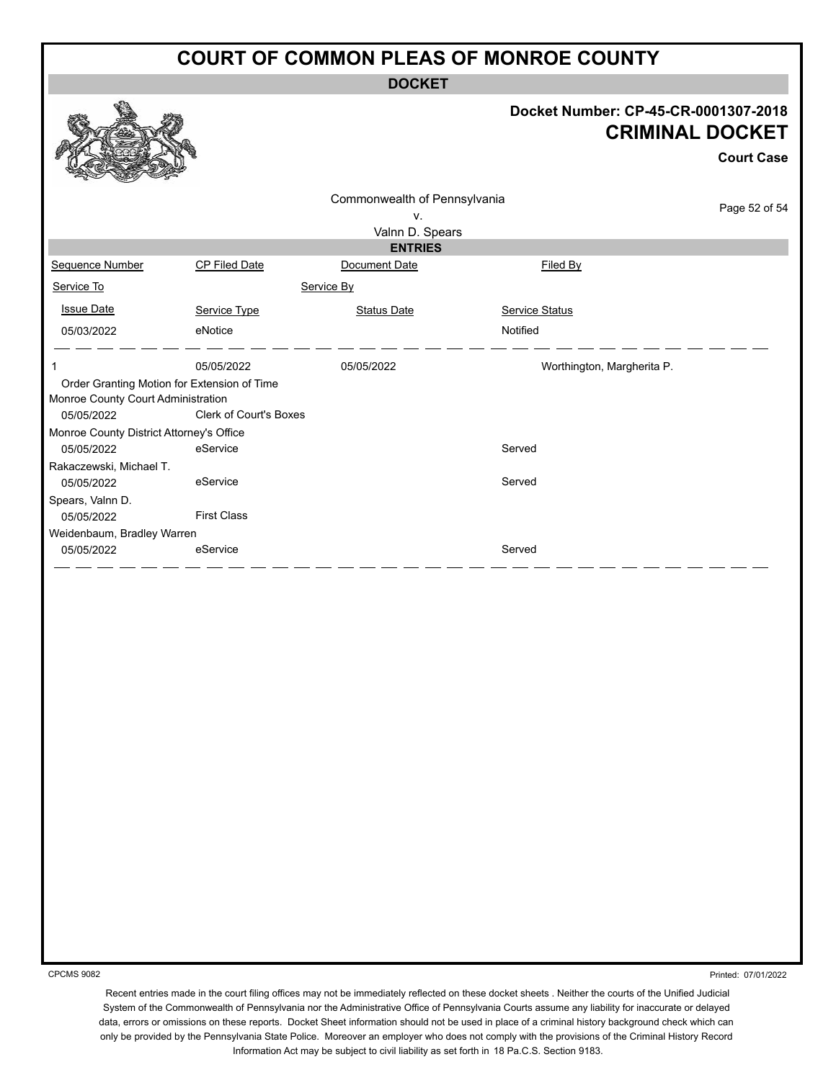**DOCKET**

#### **Docket Number: CP-45-CR-0001307-2018 CRIMINAL DOCKET**

**Court Case**

|                                          |                                             | Commonwealth of Pennsylvania |                            |               |
|------------------------------------------|---------------------------------------------|------------------------------|----------------------------|---------------|
|                                          |                                             | V.                           |                            | Page 52 of 54 |
|                                          |                                             | Valnn D. Spears              |                            |               |
|                                          |                                             | <b>ENTRIES</b>               |                            |               |
| Sequence Number                          | CP Filed Date                               | Document Date                | Filed By                   |               |
| Service To                               |                                             | Service By                   |                            |               |
| <b>Issue Date</b>                        | Service Type                                | <b>Status Date</b>           | <b>Service Status</b>      |               |
| 05/03/2022                               | eNotice                                     |                              | Notified                   |               |
|                                          | 05/05/2022                                  | 05/05/2022                   | Worthington, Margherita P. |               |
|                                          | Order Granting Motion for Extension of Time |                              |                            |               |
| Monroe County Court Administration       |                                             |                              |                            |               |
| 05/05/2022                               | <b>Clerk of Court's Boxes</b>               |                              |                            |               |
| Monroe County District Attorney's Office |                                             |                              |                            |               |
| 05/05/2022                               | eService                                    |                              | Served                     |               |
| Rakaczewski, Michael T.                  |                                             |                              |                            |               |
| 05/05/2022                               | eService                                    |                              | Served                     |               |
| Spears, Valnn D.                         |                                             |                              |                            |               |
| 05/05/2022                               | <b>First Class</b>                          |                              |                            |               |
| Weidenbaum, Bradley Warren               |                                             |                              |                            |               |
| 05/05/2022                               | eService                                    |                              | Served                     |               |
|                                          |                                             |                              |                            |               |

CPCMS 9082

Printed: 07/01/2022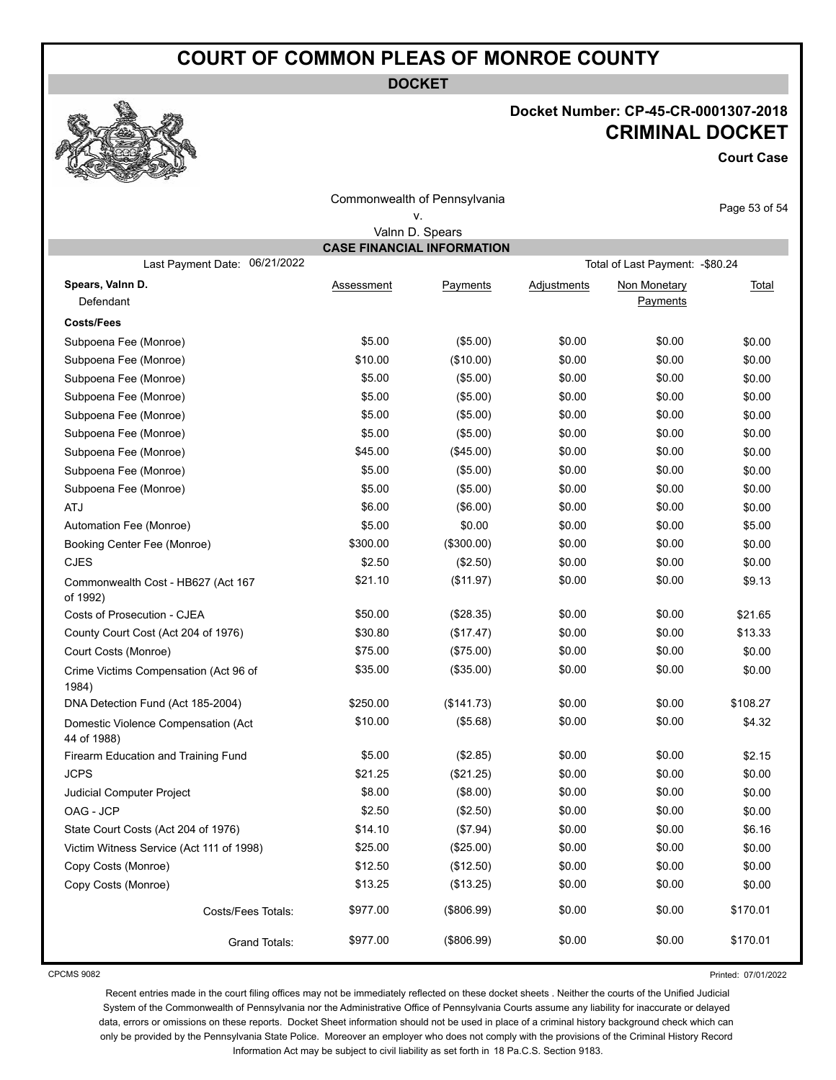**DOCKET**

#### **Docket Number: CP-45-CR-0001307-2018 CRIMINAL DOCKET**

**Court Case**

| Commonwealth of Pennsylvania                       |                   |                                   |                    | Page 53 of 54                    |          |
|----------------------------------------------------|-------------------|-----------------------------------|--------------------|----------------------------------|----------|
|                                                    |                   | ۷.                                |                    |                                  |          |
|                                                    |                   | Valnn D. Spears                   |                    |                                  |          |
| 06/21/2022<br>Last Payment Date:                   |                   | <b>CASE FINANCIAL INFORMATION</b> |                    | Total of Last Payment: - \$80.24 |          |
| Spears, Valnn D.                                   |                   |                                   |                    |                                  |          |
| Defendant                                          | <b>Assessment</b> | Payments                          | <b>Adjustments</b> | Non Monetary<br>Payments         | Total    |
| <b>Costs/Fees</b>                                  |                   |                                   |                    |                                  |          |
| Subpoena Fee (Monroe)                              | \$5.00            | (\$5.00)                          | \$0.00             | \$0.00                           | \$0.00   |
| Subpoena Fee (Monroe)                              | \$10.00           | (\$10.00)                         | \$0.00             | \$0.00                           | \$0.00   |
| Subpoena Fee (Monroe)                              | \$5.00            | (\$5.00)                          | \$0.00             | \$0.00                           | \$0.00   |
| Subpoena Fee (Monroe)                              | \$5.00            | (\$5.00)                          | \$0.00             | \$0.00                           | \$0.00   |
| Subpoena Fee (Monroe)                              | \$5.00            | (\$5.00)                          | \$0.00             | \$0.00                           | \$0.00   |
| Subpoena Fee (Monroe)                              | \$5.00            | (\$5.00)                          | \$0.00             | \$0.00                           | \$0.00   |
| Subpoena Fee (Monroe)                              | \$45.00           | (\$45.00)                         | \$0.00             | \$0.00                           | \$0.00   |
| Subpoena Fee (Monroe)                              | \$5.00            | (\$5.00)                          | \$0.00             | \$0.00                           | \$0.00   |
| Subpoena Fee (Monroe)                              | \$5.00            | (\$5.00)                          | \$0.00             | \$0.00                           | \$0.00   |
| <b>ATJ</b>                                         | \$6.00            | (\$6.00)                          | \$0.00             | \$0.00                           | \$0.00   |
| Automation Fee (Monroe)                            | \$5.00            | \$0.00                            | \$0.00             | \$0.00                           | \$5.00   |
| Booking Center Fee (Monroe)                        | \$300.00          | (\$300.00)                        | \$0.00             | \$0.00                           | \$0.00   |
| <b>CJES</b>                                        | \$2.50            | (\$2.50)                          | \$0.00             | \$0.00                           | \$0.00   |
| Commonwealth Cost - HB627 (Act 167<br>of 1992)     | \$21.10           | (\$11.97)                         | \$0.00             | \$0.00                           | \$9.13   |
| Costs of Prosecution - CJEA                        | \$50.00           | (\$28.35)                         | \$0.00             | \$0.00                           | \$21.65  |
| County Court Cost (Act 204 of 1976)                | \$30.80           | (\$17.47)                         | \$0.00             | \$0.00                           | \$13.33  |
| Court Costs (Monroe)                               | \$75.00           | (\$75.00)                         | \$0.00             | \$0.00                           | \$0.00   |
| Crime Victims Compensation (Act 96 of<br>1984)     | \$35.00           | (\$35.00)                         | \$0.00             | \$0.00                           | \$0.00   |
| DNA Detection Fund (Act 185-2004)                  | \$250.00          | (\$141.73)                        | \$0.00             | \$0.00                           | \$108.27 |
| Domestic Violence Compensation (Act<br>44 of 1988) | \$10.00           | (\$5.68)                          | \$0.00             | \$0.00                           | \$4.32   |
| Firearm Education and Training Fund                | \$5.00            | (\$2.85)                          | \$0.00             | \$0.00                           | \$2.15   |
| <b>JCPS</b>                                        | \$21.25           | (\$21.25)                         | \$0.00             | \$0.00                           | \$0.00   |
| Judicial Computer Project                          | \$8.00            | (\$8.00)                          | \$0.00             | \$0.00                           | \$0.00   |
| OAG - JCP                                          | \$2.50            | (\$2.50)                          | \$0.00             | \$0.00                           | \$0.00   |
| State Court Costs (Act 204 of 1976)                | \$14.10           | (\$7.94)                          | \$0.00             | \$0.00                           | \$6.16   |
| Victim Witness Service (Act 111 of 1998)           | \$25.00           | (\$25.00)                         | \$0.00             | \$0.00                           | \$0.00   |
| Copy Costs (Monroe)                                | \$12.50           | (\$12.50)                         | \$0.00             | \$0.00                           | \$0.00   |
| Copy Costs (Monroe)                                | \$13.25           | (\$13.25)                         | \$0.00             | \$0.00                           | \$0.00   |
| Costs/Fees Totals:                                 | \$977.00          | (\$806.99)                        | \$0.00             | \$0.00                           | \$170.01 |
| Grand Totals:                                      | \$977.00          | (\$806.99)                        | \$0.00             | \$0.00                           | \$170.01 |

CPCMS 9082

Printed: 07/01/2022